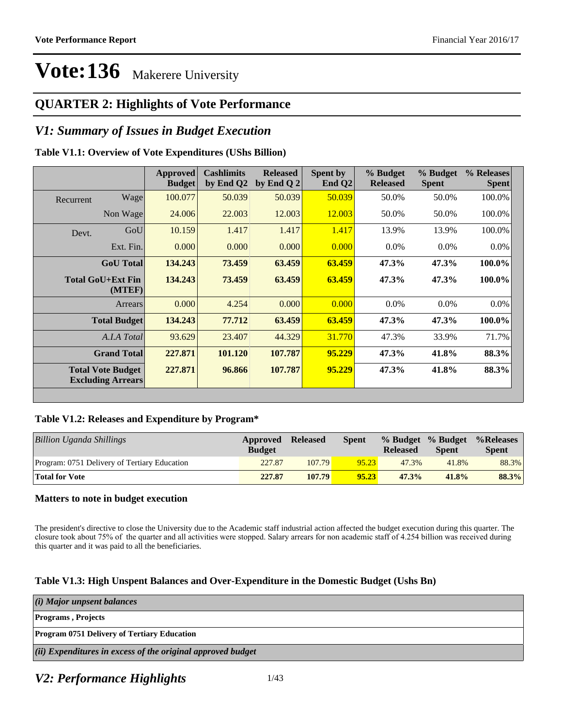### **QUARTER 2: Highlights of Vote Performance**

### *V1: Summary of Issues in Budget Execution*

### **Table V1.1: Overview of Vote Expenditures (UShs Billion)**

|           |                                                      | Approved<br><b>Budget</b> | <b>Cashlimits</b><br>by End Q2 | <b>Released</b><br>by End Q $2$ | Spent by<br>End $Q2$ | % Budget<br><b>Released</b> | % Budget<br><b>Spent</b> | % Releases<br><b>Spent</b> |
|-----------|------------------------------------------------------|---------------------------|--------------------------------|---------------------------------|----------------------|-----------------------------|--------------------------|----------------------------|
| Recurrent | Wagel                                                | 100.077                   | 50.039                         | 50.039                          | 50.039               | 50.0%                       | 50.0%                    | 100.0%                     |
|           | Non Wage                                             | 24.006                    | 22.003                         | 12.003                          | 12.003               | 50.0%                       | 50.0%                    | 100.0%                     |
| Devt.     | GoU                                                  | 10.159                    | 1.417                          | 1.417                           | 1.417                | 13.9%                       | 13.9%                    | 100.0%                     |
|           | Ext. Fin.                                            | 0.000                     | 0.000                          | 0.000                           | 0.000                | $0.0\%$                     | $0.0\%$                  | $0.0\%$                    |
|           | <b>GoU</b> Total                                     | 134.243                   | 73.459                         | 63.459                          | 63.459               | 47.3%                       | 47.3%                    | 100.0%                     |
|           | <b>Total GoU+Ext Fin</b><br>(MTEF)                   | 134.243                   | 73.459                         | 63.459                          | 63.459               | 47.3%                       | 47.3%                    | 100.0%                     |
|           | Arrears                                              | 0.000                     | 4.254                          | 0.000                           | 0.000                | $0.0\%$                     | 0.0%                     | $0.0\%$                    |
|           | <b>Total Budget</b>                                  | 134.243                   | 77.712                         | 63.459                          | 63.459               | 47.3%                       | 47.3%                    | 100.0%                     |
|           | A.I.A Total                                          | 93.629                    | 23.407                         | 44.329                          | 31.770               | 47.3%                       | 33.9%                    | 71.7%                      |
|           | <b>Grand Total</b>                                   | 227.871                   | 101.120                        | 107.787                         | 95.229               | 47.3%                       | 41.8%                    | 88.3%                      |
|           | <b>Total Vote Budget</b><br><b>Excluding Arrears</b> | 227.871                   | 96.866                         | 107.787                         | 95.229               | 47.3%                       | 41.8%                    | 88.3%                      |

### **Table V1.2: Releases and Expenditure by Program\***

| Billion Uganda Shillings                     | Approved<br><b>Budget</b> | <b>Released</b> | Spent | % Budget % Budget<br><b>Released</b> | <b>Spent</b> | %Releases<br><b>Spent</b> |
|----------------------------------------------|---------------------------|-----------------|-------|--------------------------------------|--------------|---------------------------|
| Program: 0751 Delivery of Tertiary Education | 227.87                    | 107.79          | 95.23 | 47.3%                                | 41.8%        | 88.3%                     |
| <b>Total for Vote</b>                        | 227.87                    | 107.79          | 95.23 | 47.3%                                | 41.8%        | 88.3%                     |

### **Matters to note in budget execution**

The president's directive to close the University due to the Academic staff industrial action affected the budget execution during this quarter. The closure took about 75% of the quarter and all activities were stopped. Salary arrears for non academic staff of 4.254 billion was received during this quarter and it was paid to all the beneficiaries.

### **Table V1.3: High Unspent Balances and Over-Expenditure in the Domestic Budget (Ushs Bn)**

| (i) Major unpsent balances                                  |
|-------------------------------------------------------------|
| <b>Programs</b> , Projects                                  |
| <b>Program 0751 Delivery of Tertiary Education</b>          |
| (ii) Expenditures in excess of the original approved budget |

### *V2: Performance Highlights*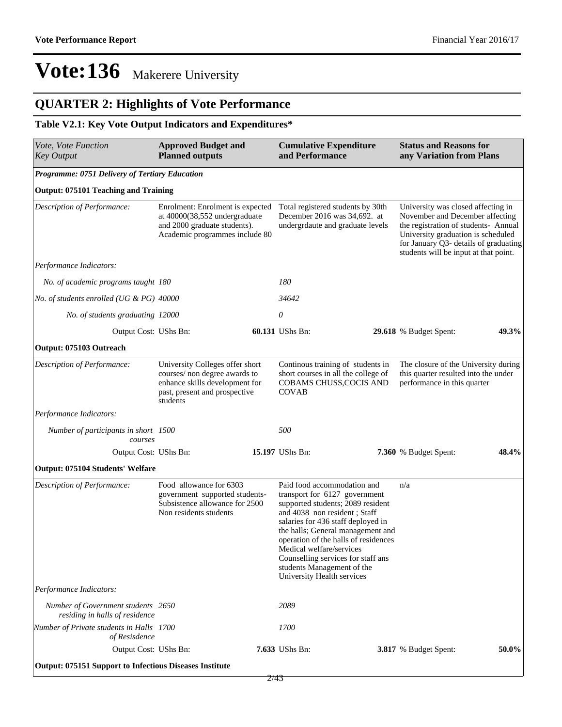## **QUARTER 2: Highlights of Vote Performance**

### **Table V2.1: Key Vote Output Indicators and Expenditures\***

| Vote, Vote Function<br><b>Key Output</b>                             | <b>Approved Budget and</b><br><b>Planned outputs</b>                                                                                            |  | <b>Cumulative Expenditure</b><br>and Performance                                                                                                                                                                                                                                                                                                                                   |  | <b>Status and Reasons for</b><br>any Variation from Plans                                                                                                                                                                             |       |
|----------------------------------------------------------------------|-------------------------------------------------------------------------------------------------------------------------------------------------|--|------------------------------------------------------------------------------------------------------------------------------------------------------------------------------------------------------------------------------------------------------------------------------------------------------------------------------------------------------------------------------------|--|---------------------------------------------------------------------------------------------------------------------------------------------------------------------------------------------------------------------------------------|-------|
| Programme: 0751 Delivery of Tertiary Education                       |                                                                                                                                                 |  |                                                                                                                                                                                                                                                                                                                                                                                    |  |                                                                                                                                                                                                                                       |       |
| <b>Output: 075101 Teaching and Training</b>                          |                                                                                                                                                 |  |                                                                                                                                                                                                                                                                                                                                                                                    |  |                                                                                                                                                                                                                                       |       |
| Description of Performance:                                          | Enrolment: Enrolment is expected<br>at 40000(38,552 undergraduate<br>and 2000 graduate students).<br>Academic programmes include 80             |  | Total registered students by 30th<br>December 2016 was 34,692. at<br>undergrdaute and graduate levels                                                                                                                                                                                                                                                                              |  | University was closed affecting in<br>November and December affecting<br>the registration of students- Annual<br>University graduation is scheduled<br>for January Q3- details of graduating<br>students will be input at that point. |       |
| Performance Indicators:                                              |                                                                                                                                                 |  |                                                                                                                                                                                                                                                                                                                                                                                    |  |                                                                                                                                                                                                                                       |       |
| No. of academic programs taught 180                                  |                                                                                                                                                 |  | 180                                                                                                                                                                                                                                                                                                                                                                                |  |                                                                                                                                                                                                                                       |       |
| No. of students enrolled (UG & PG) 40000                             |                                                                                                                                                 |  | 34642                                                                                                                                                                                                                                                                                                                                                                              |  |                                                                                                                                                                                                                                       |       |
| No. of students graduating 12000                                     |                                                                                                                                                 |  | 0                                                                                                                                                                                                                                                                                                                                                                                  |  |                                                                                                                                                                                                                                       |       |
| Output Cost: UShs Bn:                                                |                                                                                                                                                 |  | 60.131 UShs Bn:                                                                                                                                                                                                                                                                                                                                                                    |  | 29.618 % Budget Spent:                                                                                                                                                                                                                | 49.3% |
| Output: 075103 Outreach                                              |                                                                                                                                                 |  |                                                                                                                                                                                                                                                                                                                                                                                    |  |                                                                                                                                                                                                                                       |       |
| Description of Performance:                                          | University Colleges offer short<br>courses/ non degree awards to<br>enhance skills development for<br>past, present and prospective<br>students |  | Continous training of students in<br>short courses in all the college of<br>COBAMS CHUSS, COCIS AND<br><b>COVAB</b>                                                                                                                                                                                                                                                                |  | The closure of the University during<br>this quarter resulted into the under<br>performance in this quarter                                                                                                                           |       |
| Performance Indicators:                                              |                                                                                                                                                 |  |                                                                                                                                                                                                                                                                                                                                                                                    |  |                                                                                                                                                                                                                                       |       |
| Number of participants in short 1500<br>courses                      |                                                                                                                                                 |  | 500                                                                                                                                                                                                                                                                                                                                                                                |  |                                                                                                                                                                                                                                       |       |
| Output Cost: UShs Bn:                                                |                                                                                                                                                 |  | 15.197 UShs Bn:                                                                                                                                                                                                                                                                                                                                                                    |  | 7.360 % Budget Spent:                                                                                                                                                                                                                 | 48.4% |
| <b>Output: 075104 Students' Welfare</b>                              |                                                                                                                                                 |  |                                                                                                                                                                                                                                                                                                                                                                                    |  |                                                                                                                                                                                                                                       |       |
| Description of Performance:                                          | Food allowance for 6303<br>government supported students-<br>Subsistence allowance for 2500<br>Non residents students                           |  | Paid food accommodation and<br>transport for 6127 government<br>supported students; 2089 resident<br>and 4038 non resident; Staff<br>salaries for 436 staff deployed in<br>the halls; General management and<br>operation of the halls of residences<br>Medical welfare/services<br>Counselling services for staff ans<br>students Management of the<br>University Health services |  | n/a                                                                                                                                                                                                                                   |       |
| Performance Indicators:                                              |                                                                                                                                                 |  |                                                                                                                                                                                                                                                                                                                                                                                    |  |                                                                                                                                                                                                                                       |       |
| Number of Government students 2650<br>residing in halls of residence |                                                                                                                                                 |  | 2089                                                                                                                                                                                                                                                                                                                                                                               |  |                                                                                                                                                                                                                                       |       |
| Number of Private students in Halls 1700<br>of Resisdence            |                                                                                                                                                 |  | 1700                                                                                                                                                                                                                                                                                                                                                                               |  |                                                                                                                                                                                                                                       |       |
| Output Cost: UShs Bn:                                                |                                                                                                                                                 |  | 7.633 UShs Bn:                                                                                                                                                                                                                                                                                                                                                                     |  | 3.817 % Budget Spent:                                                                                                                                                                                                                 | 50.0% |
| <b>Output: 075151 Support to Infectious Diseases Institute</b>       |                                                                                                                                                 |  |                                                                                                                                                                                                                                                                                                                                                                                    |  |                                                                                                                                                                                                                                       |       |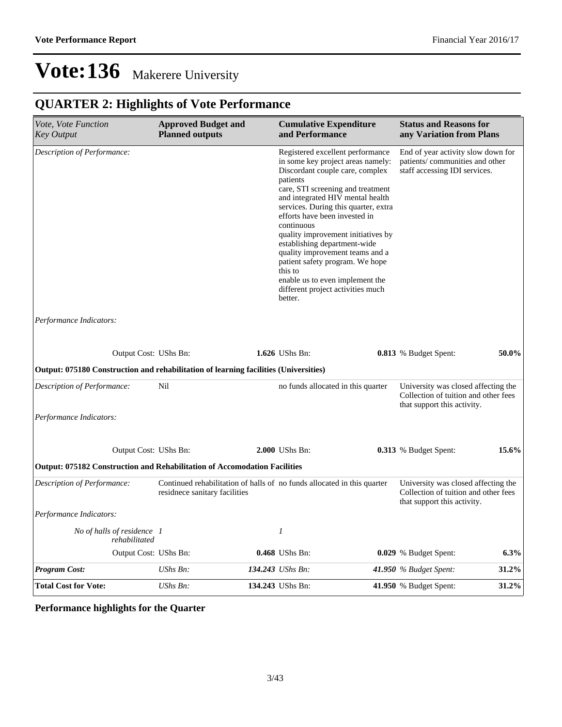## **QUARTER 2: Highlights of Vote Performance**

| Vote, Vote Function<br><b>Key Output</b>                                             | <b>Approved Budget and</b><br><b>Planned outputs</b>                                                     | <b>Cumulative Expenditure</b><br>and Performance                                                                                                                                                                                                                                                                                                                                                                                                                                                                               |  | <b>Status and Reasons for</b><br>any Variation from Plans                                                  |         |
|--------------------------------------------------------------------------------------|----------------------------------------------------------------------------------------------------------|--------------------------------------------------------------------------------------------------------------------------------------------------------------------------------------------------------------------------------------------------------------------------------------------------------------------------------------------------------------------------------------------------------------------------------------------------------------------------------------------------------------------------------|--|------------------------------------------------------------------------------------------------------------|---------|
| Description of Performance:                                                          |                                                                                                          | Registered excellent performance<br>in some key project areas namely:<br>Discordant couple care, complex<br>patients<br>care, STI screening and treatment<br>and integrated HIV mental health<br>services. During this quarter, extra<br>efforts have been invested in<br>continuous<br>quality improvement initiatives by<br>establishing department-wide<br>quality improvement teams and a<br>patient safety program. We hope<br>this to<br>enable us to even implement the<br>different project activities much<br>better. |  | End of year activity slow down for<br>patients/communities and other<br>staff accessing IDI services.      |         |
| Performance Indicators:                                                              |                                                                                                          |                                                                                                                                                                                                                                                                                                                                                                                                                                                                                                                                |  |                                                                                                            |         |
| Output Cost: UShs Bn:                                                                |                                                                                                          | 1.626 UShs Bn:                                                                                                                                                                                                                                                                                                                                                                                                                                                                                                                 |  | 0.813 % Budget Spent:                                                                                      | 50.0%   |
| Output: 075180 Construction and rehabilitation of learning facilities (Universities) |                                                                                                          |                                                                                                                                                                                                                                                                                                                                                                                                                                                                                                                                |  |                                                                                                            |         |
| Description of Performance:                                                          | Nil                                                                                                      | no funds allocated in this quarter                                                                                                                                                                                                                                                                                                                                                                                                                                                                                             |  | University was closed affecting the<br>Collection of tuition and other fees<br>that support this activity. |         |
| Performance Indicators:                                                              |                                                                                                          |                                                                                                                                                                                                                                                                                                                                                                                                                                                                                                                                |  |                                                                                                            |         |
| Output Cost: UShs Bn:                                                                |                                                                                                          | 2.000 UShs Bn:                                                                                                                                                                                                                                                                                                                                                                                                                                                                                                                 |  | <b>0.313</b> % Budget Spent:                                                                               | 15.6%   |
| <b>Output: 075182 Construction and Rehabilitation of Accomodation Facilities</b>     |                                                                                                          |                                                                                                                                                                                                                                                                                                                                                                                                                                                                                                                                |  |                                                                                                            |         |
| Description of Performance:                                                          | Continued rehabilitation of halls of no funds allocated in this quarter<br>residnece sanitary facilities |                                                                                                                                                                                                                                                                                                                                                                                                                                                                                                                                |  | University was closed affecting the<br>Collection of tuition and other fees<br>that support this activity. |         |
| Performance Indicators:                                                              |                                                                                                          |                                                                                                                                                                                                                                                                                                                                                                                                                                                                                                                                |  |                                                                                                            |         |
| No of halls of residence 1<br>rehabilitated                                          |                                                                                                          | $\boldsymbol{l}$                                                                                                                                                                                                                                                                                                                                                                                                                                                                                                               |  |                                                                                                            |         |
| Output Cost: UShs Bn:                                                                |                                                                                                          | 0.468 UShs Bn:                                                                                                                                                                                                                                                                                                                                                                                                                                                                                                                 |  | 0.029 % Budget Spent:                                                                                      | $6.3\%$ |
| <b>Program Cost:</b>                                                                 | $UShs Bn$ :                                                                                              | 134.243 UShs Bn:                                                                                                                                                                                                                                                                                                                                                                                                                                                                                                               |  | 41.950 $%$ Budget Spent:                                                                                   | 31.2%   |
| <b>Total Cost for Vote:</b>                                                          | $UShs Bn$ :                                                                                              | 134.243 UShs Bn:                                                                                                                                                                                                                                                                                                                                                                                                                                                                                                               |  | <b>41.950</b> % Budget Spent:                                                                              | 31.2%   |

### **Performance highlights for the Quarter**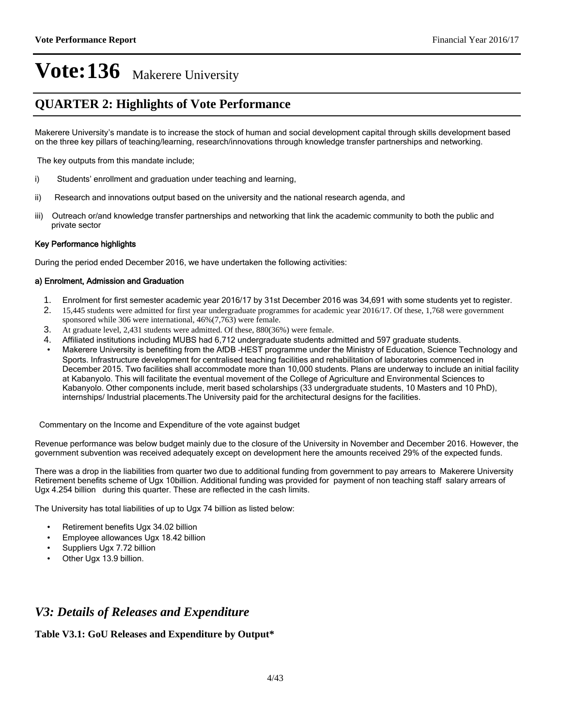### **QUARTER 2: Highlights of Vote Performance**

Makerere University's mandate is to increase the stock of human and social development capital through skills development based on the three key pillars of teaching/learning, research/innovations through knowledge transfer partnerships and networking.

The key outputs from this mandate include;

- i) Students' enrollment and graduation under teaching and learning,
- ii) Research and innovations output based on the university and the national research agenda, and
- iii) Outreach or/and knowledge transfer partnerships and networking that link the academic community to both the public and private sector

#### Key Performance highlights

During the period ended December 2016, we have undertaken the following activities:

#### a) Enrolment, Admission and Graduation

- 1. Enrolment for first semester academic year 2016/17 by 31st December 2016 was 34,691 with some students yet to register.
- 2. 15,445 students were admitted for first year undergraduate programmes for academic year 2016/17. Of these, 1,768 were government sponsored while 306 were international, 46%(7,763) were female.
- 3. At graduate level, 2,431 students were admitted. Of these, 880(36%) were female.
- 4. Affiliated institutions including MUBS had 6.712 undergraduate students admitted and 597 graduate students.
- Makerere University is benefiting from the AfDB-HEST programme under the Ministry of Education, Science Technology and Sports. Infrastructure development for centralised teaching facilities and rehabilitation of laboratories commenced in December 2015. Two facilities shall accommodate more than 10,000 students. Plans are underway to include an initial facility at Kabanyolo. This will facilitate the eventual movement of the College of Agriculture and Environmental Sciences to Kabanyolo. Other components include, merit based scholarships (33 undergraduate students, 10 Masters and 10 PhD), internships/ Industrial placements.The University paid for the architectural designs for the facilities.

Commentary on the Income and Expenditure of the vote against budget

Revenue performance was below budget mainly due to the closure of the University in November and December 2016. However, the government subvention was received adequately except on development here the amounts received 29% of the expected funds.

There was a drop in the liabilities from quarter two due to additional funding from government to pay arrears to Makerere University Retirement benefits scheme of Ugx 10billion. Additional funding was provided for payment of non teaching staff salary arrears of Ugx 4.254 billion during this quarter. These are reflected in the cash limits.

The University has total liabilities of up to Ugx 74 billion as listed below:

- Retirement benefits Ugx 34.02 billion
- Employee allowances Ugx 18.42 billion
- Suppliers Ugx 7.72 billion
- Other Ugx 13.9 billion.

### *V3: Details of Releases and Expenditure*

### **Table V3.1: GoU Releases and Expenditure by Output\***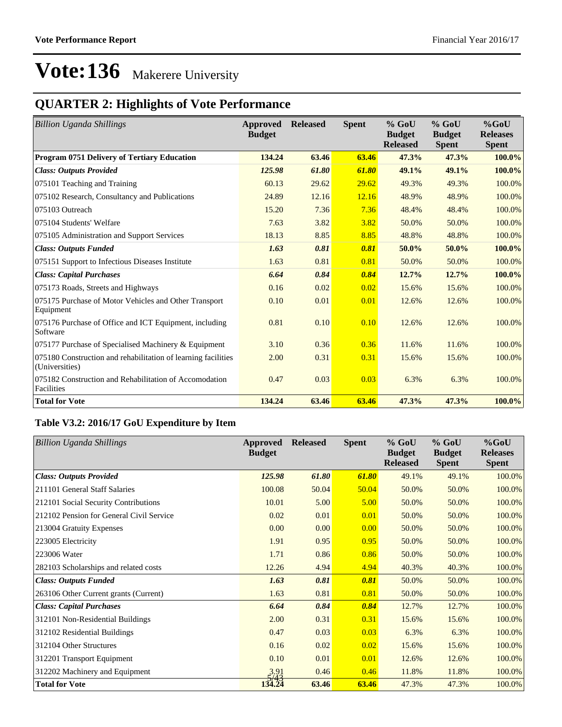## **QUARTER 2: Highlights of Vote Performance**

| <b>Billion Uganda Shillings</b>                                                 | Approved<br><b>Budget</b> | <b>Released</b> | <b>Spent</b> | $%$ GoU<br><b>Budget</b><br><b>Released</b> | $%$ GoU<br><b>Budget</b><br><b>Spent</b> | %GoU<br><b>Releases</b><br><b>Spent</b> |
|---------------------------------------------------------------------------------|---------------------------|-----------------|--------------|---------------------------------------------|------------------------------------------|-----------------------------------------|
| Program 0751 Delivery of Tertiary Education                                     | 134.24                    | 63.46           | 63.46        | 47.3%                                       | 47.3%                                    | 100.0%                                  |
| <b>Class: Outputs Provided</b>                                                  | 125.98                    | 61.80           | 61.80        | 49.1%                                       | 49.1%                                    | 100.0%                                  |
| 075101 Teaching and Training                                                    | 60.13                     | 29.62           | 29.62        | 49.3%                                       | 49.3%                                    | 100.0%                                  |
| 075102 Research, Consultancy and Publications                                   | 24.89                     | 12.16           | 12.16        | 48.9%                                       | 48.9%                                    | 100.0%                                  |
| 075103 Outreach                                                                 | 15.20                     | 7.36            | 7.36         | 48.4%                                       | 48.4%                                    | 100.0%                                  |
| 075104 Students' Welfare                                                        | 7.63                      | 3.82            | 3.82         | 50.0%                                       | 50.0%                                    | 100.0%                                  |
| 075105 Administration and Support Services                                      | 18.13                     | 8.85            | 8.85         | 48.8%                                       | 48.8%                                    | 100.0%                                  |
| <b>Class: Outputs Funded</b>                                                    | 1.63                      | 0.81            | 0.81         | 50.0%                                       | 50.0%                                    | 100.0%                                  |
| 075151 Support to Infectious Diseases Institute                                 | 1.63                      | 0.81            | 0.81         | 50.0%                                       | 50.0%                                    | 100.0%                                  |
| <b>Class: Capital Purchases</b>                                                 | 6.64                      | 0.84            | 0.84         | 12.7%                                       | 12.7%                                    | 100.0%                                  |
| 075173 Roads, Streets and Highways                                              | 0.16                      | 0.02            | 0.02         | 15.6%                                       | 15.6%                                    | 100.0%                                  |
| 075175 Purchase of Motor Vehicles and Other Transport<br>Equipment              | 0.10                      | 0.01            | 0.01         | 12.6%                                       | 12.6%                                    | 100.0%                                  |
| 075176 Purchase of Office and ICT Equipment, including<br>Software              | 0.81                      | 0.10            | 0.10         | 12.6%                                       | 12.6%                                    | 100.0%                                  |
| 075177 Purchase of Specialised Machinery & Equipment                            | 3.10                      | 0.36            | 0.36         | 11.6%                                       | 11.6%                                    | 100.0%                                  |
| 075180 Construction and rehabilitation of learning facilities<br>(Universities) | 2.00                      | 0.31            | 0.31         | 15.6%                                       | 15.6%                                    | 100.0%                                  |
| 075182 Construction and Rehabilitation of Accomodation<br>Facilities            | 0.47                      | 0.03            | 0.03         | 6.3%                                        | 6.3%                                     | 100.0%                                  |
| <b>Total for Vote</b>                                                           | 134.24                    | 63.46           | 63.46        | 47.3%                                       | 47.3%                                    | 100.0%                                  |

### **Table V3.2: 2016/17 GoU Expenditure by Item**

| <b>Billion Uganda Shillings</b>          | Approved<br><b>Budget</b> | <b>Released</b> | <b>Spent</b> | $%$ GoU<br><b>Budget</b><br><b>Released</b> | $%$ GoU<br><b>Budget</b><br><b>Spent</b> | $%$ GoU<br><b>Releases</b><br><b>Spent</b> |
|------------------------------------------|---------------------------|-----------------|--------------|---------------------------------------------|------------------------------------------|--------------------------------------------|
| <b>Class: Outputs Provided</b>           | 125.98                    | 61.80           | 61.80        | 49.1%                                       | 49.1%                                    | 100.0%                                     |
| 211101 General Staff Salaries            | 100.08                    | 50.04           | 50.04        | 50.0%                                       | 50.0%                                    | 100.0%                                     |
| 212101 Social Security Contributions     | 10.01                     | 5.00            | 5.00         | 50.0%                                       | 50.0%                                    | 100.0%                                     |
| 212102 Pension for General Civil Service | 0.02                      | 0.01            | 0.01         | 50.0%                                       | 50.0%                                    | 100.0%                                     |
| 213004 Gratuity Expenses                 | 0.00                      | 0.00            | 0.00         | 50.0%                                       | 50.0%                                    | 100.0%                                     |
| 223005 Electricity                       | 1.91                      | 0.95            | 0.95         | 50.0%                                       | 50.0%                                    | 100.0%                                     |
| 223006 Water                             | 1.71                      | 0.86            | 0.86         | 50.0%                                       | 50.0%                                    | 100.0%                                     |
| 282103 Scholarships and related costs    | 12.26                     | 4.94            | 4.94         | 40.3%                                       | 40.3%                                    | 100.0%                                     |
| <b>Class: Outputs Funded</b>             | 1.63                      | 0.81            | 0.81         | 50.0%                                       | 50.0%                                    | 100.0%                                     |
| 263106 Other Current grants (Current)    | 1.63                      | 0.81            | 0.81         | 50.0%                                       | 50.0%                                    | 100.0%                                     |
| <b>Class: Capital Purchases</b>          | 6.64                      | 0.84            | 0.84         | 12.7%                                       | 12.7%                                    | 100.0%                                     |
| 312101 Non-Residential Buildings         | 2.00                      | 0.31            | 0.31         | 15.6%                                       | 15.6%                                    | 100.0%                                     |
| 312102 Residential Buildings             | 0.47                      | 0.03            | 0.03         | 6.3%                                        | 6.3%                                     | 100.0%                                     |
| 312104 Other Structures                  | 0.16                      | 0.02            | 0.02         | 15.6%                                       | 15.6%                                    | 100.0%                                     |
| 312201 Transport Equipment               | 0.10                      | 0.01            | 0.01         | 12.6%                                       | 12.6%                                    | 100.0%                                     |
| 312202 Machinery and Equipment           | 3.91<br>5/43              | 0.46            | 0.46         | 11.8%                                       | 11.8%                                    | 100.0%                                     |
| <b>Total for Vote</b>                    | 134.24                    | 63.46           | 63.46        | 47.3%                                       | 47.3%                                    | 100.0%                                     |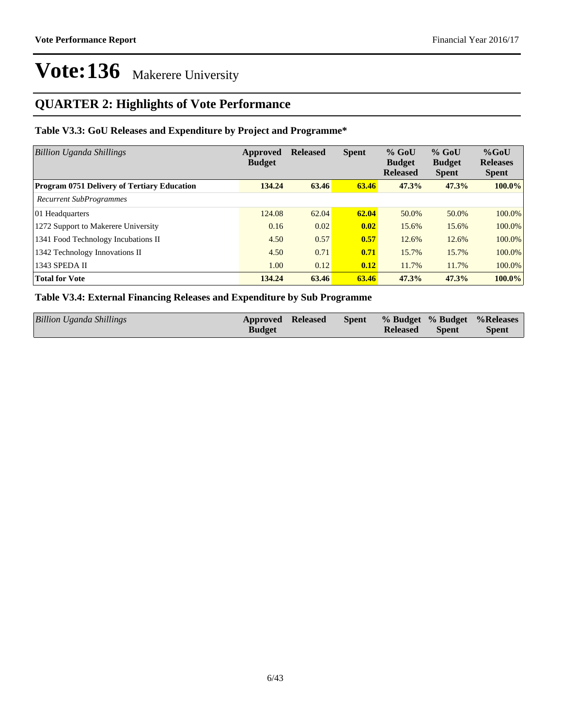### **QUARTER 2: Highlights of Vote Performance**

### **Table V3.3: GoU Releases and Expenditure by Project and Programme\***

| <b>Billion Uganda Shillings</b>                    | Approved<br><b>Budget</b> | <b>Released</b> | <b>Spent</b>       | $%$ GoU<br><b>Budget</b><br><b>Released</b> | $%$ GoU<br><b>Budget</b><br><b>Spent</b> | $%$ GoU<br><b>Releases</b><br><b>Spent</b> |
|----------------------------------------------------|---------------------------|-----------------|--------------------|---------------------------------------------|------------------------------------------|--------------------------------------------|
| <b>Program 0751 Delivery of Tertiary Education</b> | 134.24                    | 63.46           | 63.46              | 47.3%                                       | 47.3%                                    | $100.0\%$                                  |
| <b>Recurrent SubProgrammes</b>                     |                           |                 |                    |                                             |                                          |                                            |
| 01 Headquarters                                    | 124.08                    | 62.04           | 62.04              | 50.0%                                       | 50.0%                                    | 100.0%                                     |
| 1272 Support to Makerere University                | 0.16                      | 0.02            | $\vert 0.02 \vert$ | 15.6%                                       | 15.6%                                    | 100.0%                                     |
| 1341 Food Technology Incubations II                | 4.50                      | 0.57            | 0.57               | 12.6%                                       | 12.6%                                    | 100.0%                                     |
| 1342 Technology Innovations II                     | 4.50                      | 0.71            | 0.71               | 15.7%                                       | 15.7%                                    | 100.0%                                     |
| 1343 SPEDA II                                      | 1.00                      | 0.12            | 0.12               | 11.7%                                       | 11.7%                                    | 100.0%                                     |
| <b>Total for Vote</b>                              | 134.24                    | 63.46           | 63.46              | 47.3%                                       | 47.3%                                    | 100.0%                                     |

### **Table V3.4: External Financing Releases and Expenditure by Sub Programme**

| Billion Uganda Shillings | Approved Released |  |                 |       | Spent % Budget % Budget % Releases |
|--------------------------|-------------------|--|-----------------|-------|------------------------------------|
|                          | <b>Budget</b>     |  | <b>Released</b> | Spent | <b>Spent</b>                       |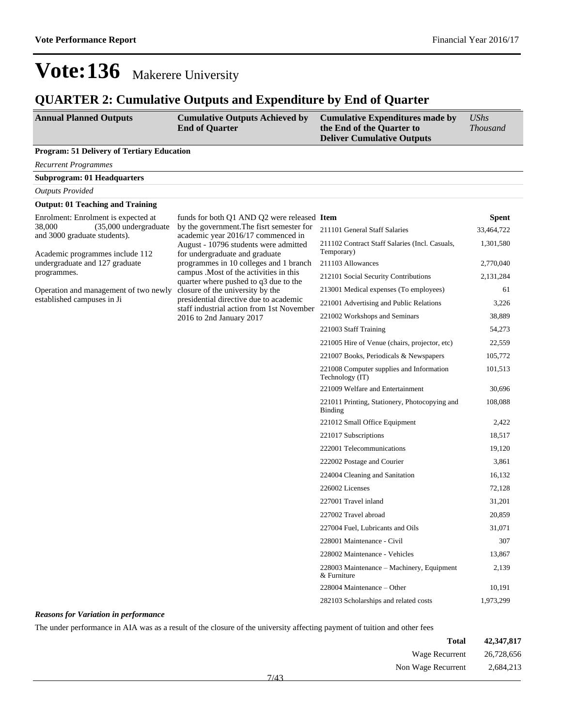### **QUARTER 2: Cumulative Outputs and Expenditure by End of Quarter**

| <b>Annual Planned Outputs</b><br><b>Cumulative Outputs Achieved by</b><br><b>End of Quarter</b> |                                                                                     | <b>Cumulative Expenditures made by</b><br>the End of the Quarter to<br><b>Deliver Cumulative Outputs</b> | <b>UShs</b><br><b>Thousand</b> |
|-------------------------------------------------------------------------------------------------|-------------------------------------------------------------------------------------|----------------------------------------------------------------------------------------------------------|--------------------------------|
| <b>Program: 51 Delivery of Tertiary Education</b>                                               |                                                                                     |                                                                                                          |                                |
| <b>Recurrent Programmes</b>                                                                     |                                                                                     |                                                                                                          |                                |
| <b>Subprogram: 01 Headquarters</b>                                                              |                                                                                     |                                                                                                          |                                |
| <b>Outputs Provided</b>                                                                         |                                                                                     |                                                                                                          |                                |
| <b>Output: 01 Teaching and Training</b>                                                         |                                                                                     |                                                                                                          |                                |
| Enrolment: Enrolment is expected at                                                             | funds for both Q1 AND Q2 were released Item                                         |                                                                                                          | <b>Spent</b>                   |
| (35,000 undergraduate<br>38,000<br>and 3000 graduate students).                                 | by the government. The fisrt semester for<br>academic year 2016/17 commenced in     | 211101 General Staff Salaries                                                                            | 33,464,722                     |
| Academic programmes include 112                                                                 | August - 10796 students were admitted<br>for undergraduate and graduate             | 211102 Contract Staff Salaries (Incl. Casuals,<br>Temporary)                                             | 1,301,580                      |
| undergraduate and 127 graduate                                                                  | programmes in 10 colleges and 1 branch                                              | 211103 Allowances                                                                                        | 2,770,040                      |
| programmes.                                                                                     | campus . Most of the activities in this<br>quarter where pushed to q3 due to the    | 212101 Social Security Contributions                                                                     | 2,131,284                      |
| Operation and management of two newly                                                           | closure of the university by the                                                    | 213001 Medical expenses (To employees)                                                                   | 61                             |
| established campuses in Ji                                                                      | presidential directive due to academic<br>staff industrial action from 1st November | 221001 Advertising and Public Relations                                                                  | 3,226                          |
|                                                                                                 | 2016 to 2nd January 2017                                                            | 221002 Workshops and Seminars                                                                            | 38,889                         |
|                                                                                                 |                                                                                     | 221003 Staff Training                                                                                    | 54,273                         |
|                                                                                                 |                                                                                     | 221005 Hire of Venue (chairs, projector, etc)                                                            | 22,559                         |
|                                                                                                 |                                                                                     | 221007 Books, Periodicals & Newspapers                                                                   | 105,772                        |
|                                                                                                 |                                                                                     | 221008 Computer supplies and Information<br>Technology (IT)                                              | 101,513                        |
|                                                                                                 |                                                                                     | 221009 Welfare and Entertainment                                                                         | 30,696                         |
|                                                                                                 |                                                                                     | 221011 Printing, Stationery, Photocopying and<br>Binding                                                 | 108,088                        |
|                                                                                                 |                                                                                     | 221012 Small Office Equipment                                                                            | 2,422                          |
|                                                                                                 |                                                                                     | 221017 Subscriptions                                                                                     | 18,517                         |
|                                                                                                 |                                                                                     | 222001 Telecommunications                                                                                | 19,120                         |
|                                                                                                 |                                                                                     | 222002 Postage and Courier                                                                               | 3,861                          |
|                                                                                                 |                                                                                     | 224004 Cleaning and Sanitation                                                                           | 16,132                         |
|                                                                                                 |                                                                                     | 226002 Licenses                                                                                          | 72,128                         |
|                                                                                                 |                                                                                     | 227001 Travel inland                                                                                     | 31,201                         |
|                                                                                                 |                                                                                     | 227002 Travel abroad                                                                                     | 20,859                         |
|                                                                                                 |                                                                                     | 227004 Fuel, Lubricants and Oils                                                                         | 31,071                         |
|                                                                                                 |                                                                                     | 228001 Maintenance - Civil                                                                               | 307                            |
|                                                                                                 |                                                                                     | 228002 Maintenance - Vehicles                                                                            | 13,867                         |
|                                                                                                 |                                                                                     | 228003 Maintenance – Machinery, Equipment<br>& Furniture                                                 | 2,139                          |
|                                                                                                 |                                                                                     | 228004 Maintenance – Other                                                                               | 10,191                         |
|                                                                                                 |                                                                                     | 282103 Scholarships and related costs                                                                    | 1,973,299                      |

#### *Reasons for Variation in performance*

The under performance in AIA was as a result of the closure of the university affecting payment of tuition and other fees

| 42,347,817 | <b>Total</b>               |
|------------|----------------------------|
| 26,728,656 | Wage Recurrent             |
| 2,684,213  | Non Wage Recurrent<br>7112 |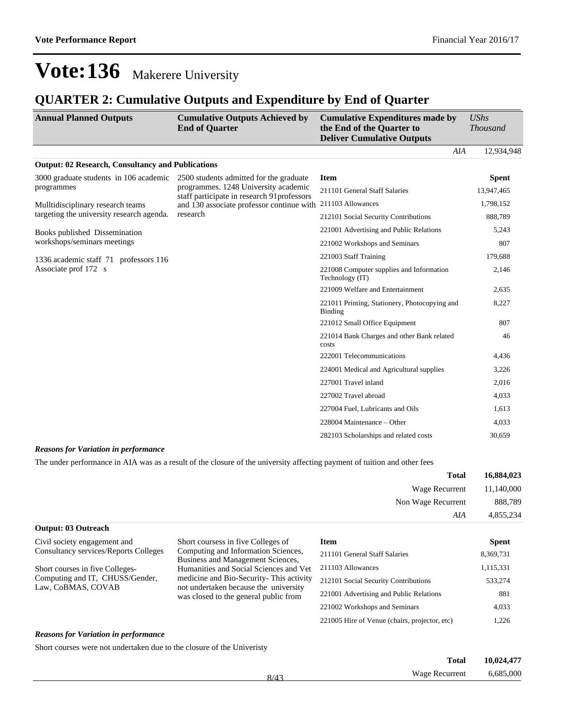### **QUARTER 2: Cumulative Outputs and Expenditure by End of Quarter**

| <b>Annual Planned Outputs</b>                            | <b>Cumulative Outputs Achieved by</b><br><b>End of Quarter</b>                     | <b>Cumulative Expenditures made by</b><br>the End of the Quarter to<br><b>Deliver Cumulative Outputs</b> | $\mathit{UShs}$<br><b>Thousand</b> |
|----------------------------------------------------------|------------------------------------------------------------------------------------|----------------------------------------------------------------------------------------------------------|------------------------------------|
|                                                          |                                                                                    | AIA                                                                                                      | 12,934,948                         |
| <b>Output: 02 Research, Consultancy and Publications</b> |                                                                                    |                                                                                                          |                                    |
| 3000 graduate students in 106 academic                   | 2500 students admitted for the graduate                                            | <b>Item</b>                                                                                              | <b>Spent</b>                       |
| programmes                                               | programmes. 1248 University academic<br>staff participate in research 91professors | 211101 General Staff Salaries                                                                            | 13,947,465                         |
| Mulltidisciplinary research teams                        | and 130 associate professor continue with                                          | 211103 Allowances                                                                                        | 1,798,152                          |
| targeting the university research agenda.                | research                                                                           | 212101 Social Security Contributions                                                                     | 888,789                            |
| Books published Dissemination                            |                                                                                    | 221001 Advertising and Public Relations                                                                  | 5,243                              |
| workshops/seminars meetings                              |                                                                                    | 221002 Workshops and Seminars                                                                            | 807                                |
| 1336 academic staff 71 professors 116                    |                                                                                    | 221003 Staff Training                                                                                    | 179,688                            |
| Associate prof 172 s                                     |                                                                                    | 221008 Computer supplies and Information<br>Technology (IT)                                              | 2,146                              |
|                                                          |                                                                                    | 221009 Welfare and Entertainment                                                                         | 2,635                              |
|                                                          |                                                                                    | 221011 Printing, Stationery, Photocopying and<br><b>Binding</b>                                          | 8,227                              |
|                                                          |                                                                                    | 221012 Small Office Equipment                                                                            | 807                                |
|                                                          |                                                                                    | 221014 Bank Charges and other Bank related<br>costs                                                      | 46                                 |
|                                                          |                                                                                    | 222001 Telecommunications                                                                                | 4,436                              |
|                                                          |                                                                                    | 224001 Medical and Agricultural supplies                                                                 | 3,226                              |
|                                                          |                                                                                    | 227001 Travel inland                                                                                     | 2,016                              |
|                                                          |                                                                                    | 227002 Travel abroad                                                                                     | 4,033                              |
|                                                          |                                                                                    | 227004 Fuel, Lubricants and Oils                                                                         | 1,613                              |
|                                                          |                                                                                    | $228004$ Maintenance – Other                                                                             | 4,033                              |
|                                                          |                                                                                    | 282103 Scholarships and related costs                                                                    | 30,659                             |

#### *Reasons for Variation in performance*

**Output: 03 Outreach**

The under performance in AIA was as a result of the closure of the university affecting payment of tuition and other fees

| 16,884,023 | <b>Total</b>       |
|------------|--------------------|
| 11,140,000 | Wage Recurrent     |
| 888,789    | Non Wage Recurrent |
| 4,855,234  | AIA                |

| Civil society engagement and<br>Consultancy services/Reports Colleges | Short coursess in five Colleges of<br>Computing and Information Sciences,<br>Business and Management Sciences,            | Item<br>211101 General Staff Salaries         | <b>Spent</b><br>8,369,731 |
|-----------------------------------------------------------------------|---------------------------------------------------------------------------------------------------------------------------|-----------------------------------------------|---------------------------|
| Short courses in five Colleges-                                       | Humanities and Social Sciences and Vet                                                                                    | 211103 Allowances                             | 1,115,331                 |
| Computing and IT, CHUSS/Gender,<br>Law, CoBMAS, COVAB                 | medicine and Bio-Security-This activity<br>not undertaken because the university<br>was closed to the general public from | 212101 Social Security Contributions          | 533,274                   |
|                                                                       |                                                                                                                           | 221001 Advertising and Public Relations       | 881                       |
|                                                                       |                                                                                                                           | 221002 Workshops and Seminars                 | 4,033                     |
|                                                                       |                                                                                                                           | 221005 Hire of Venue (chairs, projector, etc) | 1.226                     |

#### *Reasons for Variation in performance*

Short courses were not undertaken due to the closure of the Univeristy

| <b>Total</b>                     | 10,024,477 |
|----------------------------------|------------|
| <b>Wage Recurrent</b><br>$8/4^2$ | 6,685,000  |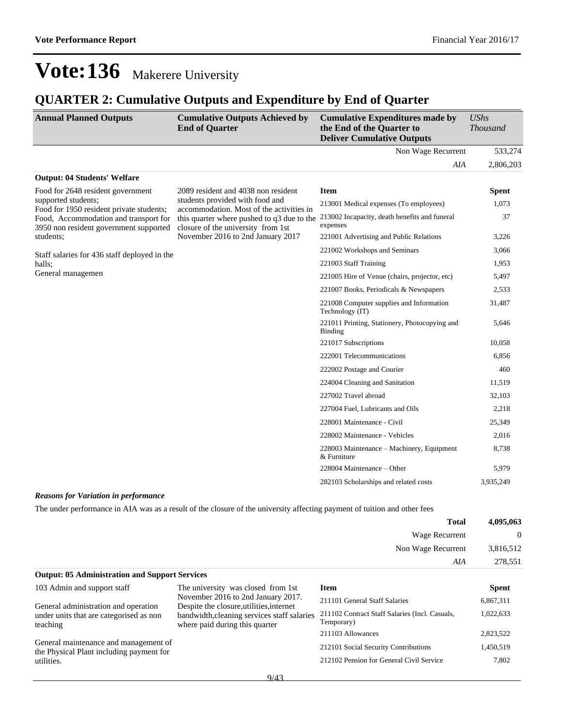## **QUARTER 2: Cumulative Outputs and Expenditure by End of Quarter**

| <b>Annual Planned Outputs</b>                                                   | <b>Cumulative Outputs Achieved by</b><br><b>End of Quarter</b>                                                     | <b>Cumulative Expenditures made by</b><br>the End of the Quarter to<br><b>Deliver Cumulative Outputs</b> | <b>UShs</b><br><b>Thousand</b> |
|---------------------------------------------------------------------------------|--------------------------------------------------------------------------------------------------------------------|----------------------------------------------------------------------------------------------------------|--------------------------------|
|                                                                                 |                                                                                                                    | Non Wage Recurrent                                                                                       | 533,274                        |
|                                                                                 |                                                                                                                    | AIA                                                                                                      | 2,806,203                      |
| <b>Output: 04 Students' Welfare</b>                                             |                                                                                                                    |                                                                                                          |                                |
| Food for 2648 resident government                                               | 2089 resident and 4038 non resident<br>students provided with food and<br>accommodation. Most of the activities in | <b>Item</b>                                                                                              | <b>Spent</b>                   |
| supported students;<br>Food for 1950 resident private students;                 |                                                                                                                    | 213001 Medical expenses (To employees)                                                                   | 1,073                          |
| Food, Accommodation and transport for<br>3950 non resident government supported | this quarter where pushed to q3 due to the<br>closure of the university from 1st                                   | 213002 Incapacity, death benefits and funeral<br>expenses                                                | 37                             |
| students;                                                                       | November 2016 to 2nd January 2017                                                                                  | 221001 Advertising and Public Relations                                                                  | 3,226                          |
| Staff salaries for 436 staff deployed in the                                    |                                                                                                                    | 221002 Workshops and Seminars                                                                            | 3,066                          |
| halls;                                                                          |                                                                                                                    | 221003 Staff Training                                                                                    | 1,953                          |
| General managemen                                                               |                                                                                                                    | 221005 Hire of Venue (chairs, projector, etc)                                                            | 5,497                          |
|                                                                                 |                                                                                                                    | 221007 Books, Periodicals & Newspapers                                                                   | 2,533                          |
|                                                                                 |                                                                                                                    | 221008 Computer supplies and Information<br>Technology (IT)                                              | 31,487                         |
|                                                                                 |                                                                                                                    | 221011 Printing, Stationery, Photocopying and<br><b>Binding</b>                                          | 5,646                          |
|                                                                                 |                                                                                                                    | 221017 Subscriptions                                                                                     | 10,058                         |
|                                                                                 |                                                                                                                    | 222001 Telecommunications                                                                                | 6,856                          |
|                                                                                 |                                                                                                                    | 222002 Postage and Courier                                                                               | 460                            |
|                                                                                 |                                                                                                                    | 224004 Cleaning and Sanitation                                                                           | 11,519                         |
|                                                                                 |                                                                                                                    | 227002 Travel abroad                                                                                     | 32,103                         |
|                                                                                 |                                                                                                                    | 227004 Fuel, Lubricants and Oils                                                                         | 2,218                          |
|                                                                                 |                                                                                                                    | 228001 Maintenance - Civil                                                                               | 25,349                         |
|                                                                                 |                                                                                                                    | 228002 Maintenance - Vehicles                                                                            | 2,016                          |
|                                                                                 |                                                                                                                    | 228003 Maintenance – Machinery, Equipment<br>& Furniture                                                 | 8,738                          |
|                                                                                 |                                                                                                                    | 228004 Maintenance – Other                                                                               | 5,979                          |
|                                                                                 |                                                                                                                    | 282103 Scholarships and related costs                                                                    | 3,935,249                      |

#### *Reasons for Variation in performance*

The under performance in AIA was as a result of the closure of the university affecting payment of tuition and other fees

| 4,095,063    | <b>Total</b>       |
|--------------|--------------------|
| $\mathbf{0}$ | Wage Recurrent     |
| 3,816,512    | Non Wage Recurrent |
| 278,551      | AIA                |

| <b>Output: 05 Administration and Support Services</b>                             |                                                                                |                                                              |              |
|-----------------------------------------------------------------------------------|--------------------------------------------------------------------------------|--------------------------------------------------------------|--------------|
| 103 Admin and support staff                                                       | The university was closed from 1st.                                            | Item                                                         | <b>Spent</b> |
| General administration and operation                                              | November 2016 to 2nd January 2017.<br>Despite the closure, utilities, internet | 211101 General Staff Salaries                                | 6,867,311    |
| under units that are categorised as non<br>teaching                               | bandwidth, cleaning services staff salaries<br>where paid during this quarter  | 211102 Contract Staff Salaries (Incl. Casuals,<br>Temporary) | 1,022,633    |
|                                                                                   |                                                                                | 211103 Allowances                                            | 2,823,522    |
| General maintenance and management of<br>the Physical Plant including payment for |                                                                                | 212101 Social Security Contributions                         | 1,450,519    |
| utilities.                                                                        |                                                                                | 212102 Pension for General Civil Service                     | 7.802        |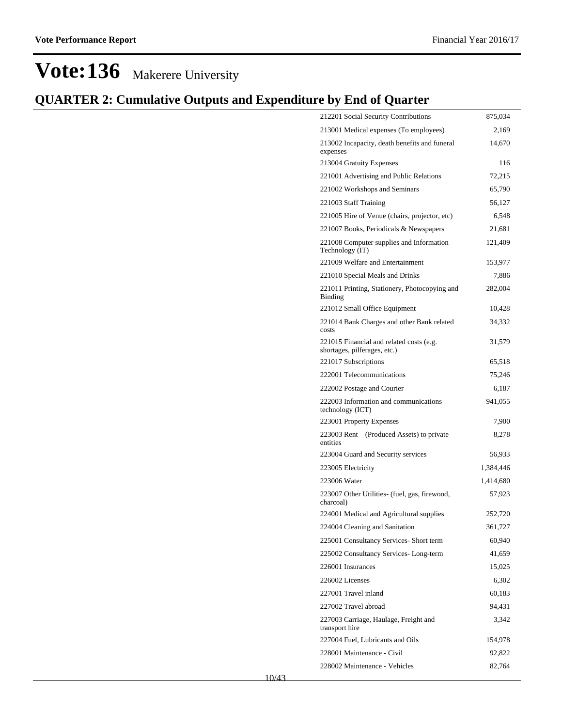| 212201 Social Security Contributions                                     | 875,034   |
|--------------------------------------------------------------------------|-----------|
| 213001 Medical expenses (To employees)                                   | 2,169     |
| 213002 Incapacity, death benefits and funeral<br>expenses                | 14,670    |
| 213004 Gratuity Expenses                                                 | 116       |
| 221001 Advertising and Public Relations                                  | 72,215    |
| 221002 Workshops and Seminars                                            | 65,790    |
| 221003 Staff Training                                                    | 56,127    |
| 221005 Hire of Venue (chairs, projector, etc)                            | 6,548     |
| 221007 Books, Periodicals & Newspapers                                   | 21,681    |
| 221008 Computer supplies and Information<br>Technology (IT)              | 121,409   |
| 221009 Welfare and Entertainment                                         | 153,977   |
| 221010 Special Meals and Drinks                                          | 7,886     |
| 221011 Printing, Stationery, Photocopying and<br><b>Binding</b>          | 282,004   |
| 221012 Small Office Equipment                                            | 10,428    |
| 221014 Bank Charges and other Bank related<br>costs                      | 34,332    |
| 221015 Financial and related costs (e.g.<br>shortages, pilferages, etc.) | 31,579    |
| 221017 Subscriptions                                                     | 65,518    |
| 222001 Telecommunications                                                | 75,246    |
| 222002 Postage and Courier                                               | 6,187     |
| 222003 Information and communications<br>technology (ICT)                | 941,055   |
| 223001 Property Expenses                                                 | 7,900     |
| 223003 Rent – (Produced Assets) to private<br>entities                   | 8,278     |
| 223004 Guard and Security services                                       | 56,933    |
| 223005 Electricity                                                       | 1,384,446 |
| 223006 Water                                                             | 1,414,680 |
| 223007 Other Utilities- (fuel, gas, firewood,<br>charcoal)               | 57,923    |
| 224001 Medical and Agricultural supplies                                 | 252,720   |
| 224004 Cleaning and Sanitation                                           | 361,727   |
| 225001 Consultancy Services- Short term                                  | 60,940    |
| 225002 Consultancy Services-Long-term                                    | 41,659    |
| 226001 Insurances                                                        | 15,025    |
| 226002 Licenses                                                          | 6,302     |
| 227001 Travel inland                                                     | 60,183    |
| 227002 Travel abroad                                                     | 94,431    |
| 227003 Carriage, Haulage, Freight and<br>transport hire                  | 3,342     |
| 227004 Fuel, Lubricants and Oils                                         | 154,978   |
| 228001 Maintenance - Civil                                               | 92,822    |
| 228002 Maintenance - Vehicles                                            | 82,764    |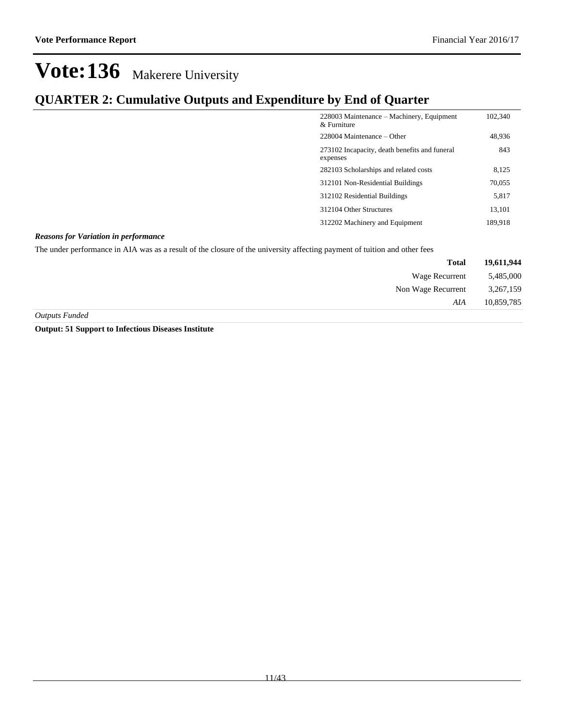### **QUARTER 2: Cumulative Outputs and Expenditure by End of Quarter**

| 228003 Maintenance – Machinery, Equipment<br>$\&$ Furniture | 102,340 |
|-------------------------------------------------------------|---------|
| $228004$ Maintenance – Other                                | 48,936  |
| 273102 Incapacity, death benefits and funeral<br>expenses   | 843     |
| 282103 Scholarships and related costs                       | 8,125   |
| 312101 Non-Residential Buildings                            | 70,055  |
| 312102 Residential Buildings                                | 5,817   |
| 312104 Other Structures                                     | 13.101  |
| 312202 Machinery and Equipment                              | 189,918 |

#### *Reasons for Variation in performance*

The under performance in AIA was as a result of the closure of the university affecting payment of tuition and other fees

| 19,611,944 | <b>Total</b>       |
|------------|--------------------|
| 5,485,000  | Wage Recurrent     |
| 3,267,159  | Non Wage Recurrent |
| 10,859,785 | AIA                |
|            |                    |

*Outputs Funded*

**Output: 51 Support to Infectious Diseases Institute**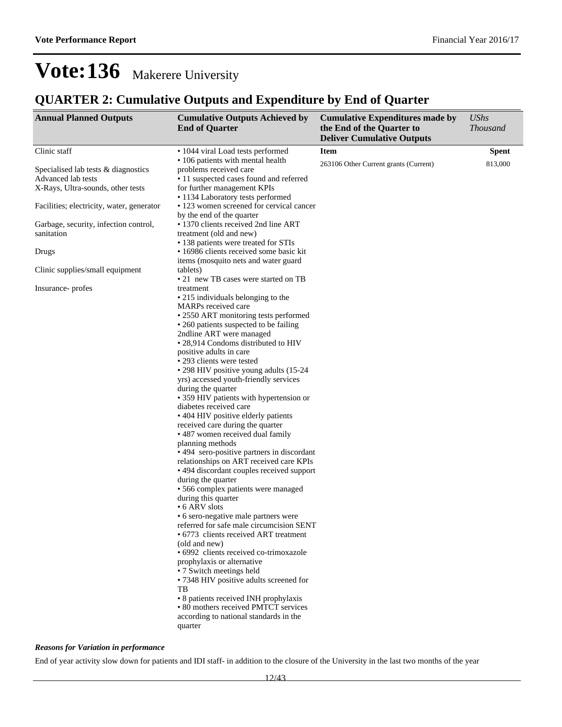### **QUARTER 2: Cumulative Outputs and Expenditure by End of Quarter**

| <b>Annual Planned Outputs</b>                                                                  | <b>Cumulative Outputs Achieved by</b><br><b>End of Quarter</b>                                                                                                                                                                                                                                                                                                                                                                                                                                                                                                                                                                                                                                                                                                                                                                                                                                                                                                                                                                                                                                                                                                                                                                                                                             | <b>Cumulative Expenditures made by</b><br>the End of the Quarter to<br><b>Deliver Cumulative Outputs</b> | <b>UShs</b><br><b>Thousand</b> |
|------------------------------------------------------------------------------------------------|--------------------------------------------------------------------------------------------------------------------------------------------------------------------------------------------------------------------------------------------------------------------------------------------------------------------------------------------------------------------------------------------------------------------------------------------------------------------------------------------------------------------------------------------------------------------------------------------------------------------------------------------------------------------------------------------------------------------------------------------------------------------------------------------------------------------------------------------------------------------------------------------------------------------------------------------------------------------------------------------------------------------------------------------------------------------------------------------------------------------------------------------------------------------------------------------------------------------------------------------------------------------------------------------|----------------------------------------------------------------------------------------------------------|--------------------------------|
| Clinic staff                                                                                   | • 1044 viral Load tests performed                                                                                                                                                                                                                                                                                                                                                                                                                                                                                                                                                                                                                                                                                                                                                                                                                                                                                                                                                                                                                                                                                                                                                                                                                                                          | <b>Item</b>                                                                                              | <b>Spent</b>                   |
| Specialised lab tests & diagnostics<br>Advanced lab tests<br>X-Rays, Ultra-sounds, other tests | • 106 patients with mental health<br>problems received care<br>• 11 suspected cases found and referred<br>for further management KPIs                                                                                                                                                                                                                                                                                                                                                                                                                                                                                                                                                                                                                                                                                                                                                                                                                                                                                                                                                                                                                                                                                                                                                      | 263106 Other Current grants (Current)                                                                    | 813,000                        |
| Facilities; electricity, water, generator                                                      | • 1134 Laboratory tests performed<br>• 123 women screened for cervical cancer                                                                                                                                                                                                                                                                                                                                                                                                                                                                                                                                                                                                                                                                                                                                                                                                                                                                                                                                                                                                                                                                                                                                                                                                              |                                                                                                          |                                |
| Garbage, security, infection control,<br>sanitation                                            | by the end of the quarter<br>· 1370 clients received 2nd line ART<br>treatment (old and new)                                                                                                                                                                                                                                                                                                                                                                                                                                                                                                                                                                                                                                                                                                                                                                                                                                                                                                                                                                                                                                                                                                                                                                                               |                                                                                                          |                                |
| Drugs                                                                                          | • 138 patients were treated for STIs<br>• 16986 clients received some basic kit<br>items (mosquito nets and water guard                                                                                                                                                                                                                                                                                                                                                                                                                                                                                                                                                                                                                                                                                                                                                                                                                                                                                                                                                                                                                                                                                                                                                                    |                                                                                                          |                                |
| Clinic supplies/small equipment                                                                | (tablets)<br>• 21 new TB cases were started on TB                                                                                                                                                                                                                                                                                                                                                                                                                                                                                                                                                                                                                                                                                                                                                                                                                                                                                                                                                                                                                                                                                                                                                                                                                                          |                                                                                                          |                                |
| Insurance-profes                                                                               | treatment<br>• 215 individuals belonging to the<br>MARPs received care<br>• 2550 ART monitoring tests performed<br>• 260 patients suspected to be failing<br>2ndline ART were managed<br>• 28,914 Condoms distributed to HIV<br>positive adults in care<br>• 293 clients were tested<br>• 298 HIV positive young adults (15-24)<br>yrs) accessed youth-friendly services<br>during the quarter<br>• 359 HIV patients with hypertension or<br>diabetes received care<br>• 404 HIV positive elderly patients<br>received care during the quarter<br>• 487 women received dual family<br>planning methods<br>• 494 sero-positive partners in discordant<br>relationships on ART received care KPIs<br>• 494 discordant couples received support<br>during the quarter<br>· 566 complex patients were managed<br>during this quarter<br>• 6 ARV slots<br>• 6 sero-negative male partners were<br>referred for safe male circumcision SENT<br>• 6773 clients received ART treatment<br>(old and new)<br>· 6992 clients received co-trimoxazole<br>prophylaxis or alternative<br>• 7 Switch meetings held<br>• 7348 HIV positive adults screened for<br>TВ<br>• 8 patients received INH prophylaxis<br>• 80 mothers received PMTCT services<br>according to national standards in the<br>quarter |                                                                                                          |                                |

#### *Reasons for Variation in performance*

End of year activity slow down for patients and IDI staff- in addition to the closure of the University in the last two months of the year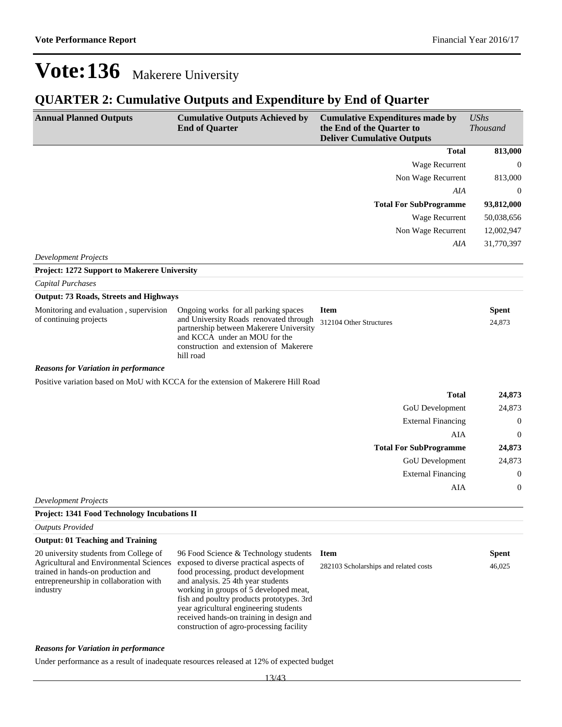## **QUARTER 2: Cumulative Outputs and Expenditure by End of Quarter**

| <b>Annual Planned Outputs</b>                                                                                                                                                 | <b>Cumulative Outputs Achieved by</b><br><b>End of Quarter</b>                                                                                                                                                                                                                                                                                                                          | <b>Cumulative Expenditures made by</b><br>the End of the Quarter to<br><b>Deliver Cumulative Outputs</b> | <b>UShs</b><br><b>Thousand</b> |
|-------------------------------------------------------------------------------------------------------------------------------------------------------------------------------|-----------------------------------------------------------------------------------------------------------------------------------------------------------------------------------------------------------------------------------------------------------------------------------------------------------------------------------------------------------------------------------------|----------------------------------------------------------------------------------------------------------|--------------------------------|
|                                                                                                                                                                               |                                                                                                                                                                                                                                                                                                                                                                                         | <b>Total</b>                                                                                             | 813,000                        |
|                                                                                                                                                                               |                                                                                                                                                                                                                                                                                                                                                                                         | Wage Recurrent                                                                                           | $\mathbf{0}$                   |
|                                                                                                                                                                               |                                                                                                                                                                                                                                                                                                                                                                                         | Non Wage Recurrent                                                                                       | 813,000                        |
|                                                                                                                                                                               |                                                                                                                                                                                                                                                                                                                                                                                         | AIA                                                                                                      | $\overline{0}$                 |
|                                                                                                                                                                               |                                                                                                                                                                                                                                                                                                                                                                                         | <b>Total For SubProgramme</b>                                                                            | 93,812,000                     |
|                                                                                                                                                                               |                                                                                                                                                                                                                                                                                                                                                                                         | Wage Recurrent                                                                                           | 50,038,656                     |
|                                                                                                                                                                               |                                                                                                                                                                                                                                                                                                                                                                                         | Non Wage Recurrent                                                                                       | 12,002,947                     |
|                                                                                                                                                                               |                                                                                                                                                                                                                                                                                                                                                                                         | AIA                                                                                                      | 31,770,397                     |
| <b>Development Projects</b>                                                                                                                                                   |                                                                                                                                                                                                                                                                                                                                                                                         |                                                                                                          |                                |
| Project: 1272 Support to Makerere University                                                                                                                                  |                                                                                                                                                                                                                                                                                                                                                                                         |                                                                                                          |                                |
| Capital Purchases                                                                                                                                                             |                                                                                                                                                                                                                                                                                                                                                                                         |                                                                                                          |                                |
| <b>Output: 73 Roads, Streets and Highways</b>                                                                                                                                 |                                                                                                                                                                                                                                                                                                                                                                                         |                                                                                                          |                                |
| Monitoring and evaluation, supervision<br>of continuing projects                                                                                                              | Ongoing works for all parking spaces<br>and University Roads renovated through<br>partnership between Makerere University<br>and KCCA under an MOU for the<br>construction and extension of Makerere<br>hill road                                                                                                                                                                       | <b>Item</b><br>312104 Other Structures                                                                   | <b>Spent</b><br>24,873         |
| <b>Reasons for Variation in performance</b>                                                                                                                                   |                                                                                                                                                                                                                                                                                                                                                                                         |                                                                                                          |                                |
|                                                                                                                                                                               | Positive variation based on MoU with KCCA for the extension of Makerere Hill Road                                                                                                                                                                                                                                                                                                       |                                                                                                          |                                |
|                                                                                                                                                                               |                                                                                                                                                                                                                                                                                                                                                                                         | <b>Total</b>                                                                                             | 24,873                         |
|                                                                                                                                                                               |                                                                                                                                                                                                                                                                                                                                                                                         | GoU Development                                                                                          | 24,873                         |
|                                                                                                                                                                               |                                                                                                                                                                                                                                                                                                                                                                                         | <b>External Financing</b>                                                                                | $\boldsymbol{0}$               |
|                                                                                                                                                                               |                                                                                                                                                                                                                                                                                                                                                                                         | AIA                                                                                                      | $\overline{0}$                 |
|                                                                                                                                                                               |                                                                                                                                                                                                                                                                                                                                                                                         | <b>Total For SubProgramme</b>                                                                            | 24,873                         |
|                                                                                                                                                                               |                                                                                                                                                                                                                                                                                                                                                                                         | GoU Development                                                                                          | 24,873                         |
|                                                                                                                                                                               |                                                                                                                                                                                                                                                                                                                                                                                         | <b>External Financing</b>                                                                                | $\boldsymbol{0}$               |
|                                                                                                                                                                               |                                                                                                                                                                                                                                                                                                                                                                                         | AIA                                                                                                      | $\boldsymbol{0}$               |
| <b>Development Projects</b>                                                                                                                                                   |                                                                                                                                                                                                                                                                                                                                                                                         |                                                                                                          |                                |
| <b>Project: 1341 Food Technology Incubations II</b>                                                                                                                           |                                                                                                                                                                                                                                                                                                                                                                                         |                                                                                                          |                                |
| <b>Outputs Provided</b>                                                                                                                                                       |                                                                                                                                                                                                                                                                                                                                                                                         |                                                                                                          |                                |
| <b>Output: 01 Teaching and Training</b>                                                                                                                                       |                                                                                                                                                                                                                                                                                                                                                                                         |                                                                                                          |                                |
| 20 university students from College of<br>Agricultural and Environmental Sciences<br>trained in hands-on production and<br>entrepreneurship in collaboration with<br>industry | 96 Food Science & Technology students<br>exposed to diverse practical aspects of<br>food processing, product development<br>and analysis. 25 4th year students<br>working in groups of 5 developed meat,<br>fish and poultry products prototypes. 3rd<br>year agricultural engineering students<br>received hands-on training in design and<br>construction of agro-processing facility | <b>Item</b><br>282103 Scholarships and related costs                                                     | <b>Spent</b><br>46,025         |
| <b>Reasons for Variation in performance</b>                                                                                                                                   |                                                                                                                                                                                                                                                                                                                                                                                         |                                                                                                          |                                |

Under performance as a result of inadequate resources released at 12% of expected budget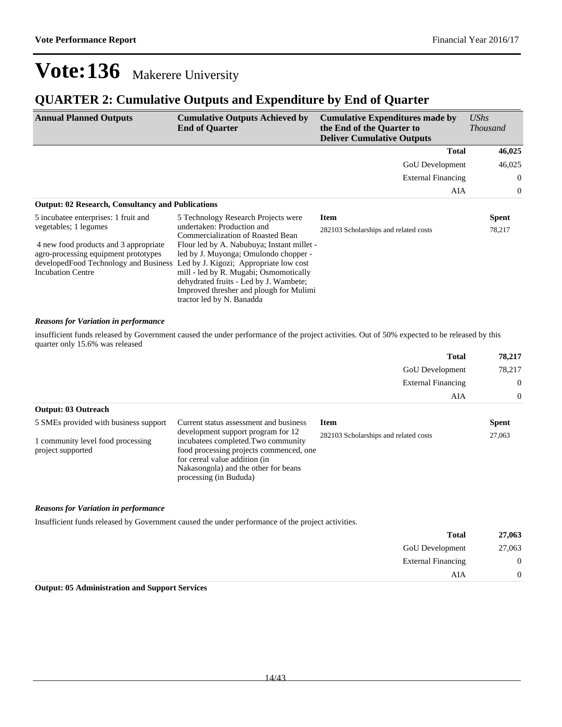### **QUARTER 2: Cumulative Outputs and Expenditure by End of Quarter**

| <b>Annual Planned Outputs</b>                                                 | <b>Cumulative Outputs Achieved by</b><br><b>End of Quarter</b>  | <b>Cumulative Expenditures made by</b><br>the End of the Quarter to<br><b>Deliver Cumulative Outputs</b> | <b>UShs</b><br><i>Thousand</i> |
|-------------------------------------------------------------------------------|-----------------------------------------------------------------|----------------------------------------------------------------------------------------------------------|--------------------------------|
|                                                                               |                                                                 | <b>Total</b>                                                                                             | 46,025                         |
|                                                                               |                                                                 | <b>GoU</b> Development                                                                                   | 46,025                         |
|                                                                               |                                                                 | <b>External Financing</b>                                                                                | $\overline{0}$                 |
|                                                                               |                                                                 | AIA                                                                                                      | $\overline{0}$                 |
| <b>Output: 02 Research, Consultancy and Publications</b>                      |                                                                 |                                                                                                          |                                |
| 5 incubate eenterprises: 1 fruit and                                          | 5 Technology Research Projects were                             | <b>Item</b>                                                                                              | Spent                          |
| vegetables; 1 legumes                                                         | undertaken: Production and<br>Commercialization of Roasted Bean | 282103 Scholarships and related costs                                                                    | 78,217                         |
| 4 new food products and 3 appropriate                                         | Flour led by A. Nabubuya; Instant millet -                      |                                                                                                          |                                |
| agro-processing equipment prototypes                                          | led by J. Muyonga; Omulondo chopper -                           |                                                                                                          |                                |
| developed Food Technology and Business Led by J. Kigozi; Appropriate low cost |                                                                 |                                                                                                          |                                |
| <b>Incubation Centre</b>                                                      | mill - led by R. Mugabi; Osmomotically                          |                                                                                                          |                                |
|                                                                               | dehydrated fruits - Led by J. Wambete;                          |                                                                                                          |                                |
|                                                                               | Improved thresher and plough for Mulimi                         |                                                                                                          |                                |
|                                                                               | tractor led by N. Banadda                                       |                                                                                                          |                                |

#### *Reasons for Variation in performance*

insufficient funds released by Government caused the under performance of the project activities. Out of 50% expected to be released by this quarter only 15.6% was released

|                                                        |                                                                                                                                                                                                                         | <b>Total</b>                          | 78,217       |  |
|--------------------------------------------------------|-------------------------------------------------------------------------------------------------------------------------------------------------------------------------------------------------------------------------|---------------------------------------|--------------|--|
|                                                        |                                                                                                                                                                                                                         | <b>GoU</b> Development                | 78,217       |  |
|                                                        |                                                                                                                                                                                                                         | <b>External Financing</b>             | $\Omega$     |  |
|                                                        |                                                                                                                                                                                                                         | AIA                                   | $\Omega$     |  |
| <b>Output: 03 Outreach</b>                             |                                                                                                                                                                                                                         |                                       |              |  |
| 5 SMEs provided with business support                  | Current status assessment and business                                                                                                                                                                                  | <b>Item</b>                           | <b>Spent</b> |  |
| 1 community level food processing<br>project supported | development support program for 12<br>incubatees completed. Two community<br>food processing projects commenced, one<br>for cereal value addition (in<br>Nakasongola) and the other for beans<br>processing (in Bududa) | 282103 Scholarships and related costs | 27,063       |  |

#### *Reasons for Variation in performance*

Insufficient funds released by Government caused the under performance of the project activities.

| 27,063           | <b>Total</b>              |
|------------------|---------------------------|
| 27,063           | <b>GoU</b> Development    |
| $\boldsymbol{0}$ | <b>External Financing</b> |
| $\theta$         | AIA                       |
|                  |                           |

#### **Output: 05 Administration and Support Services**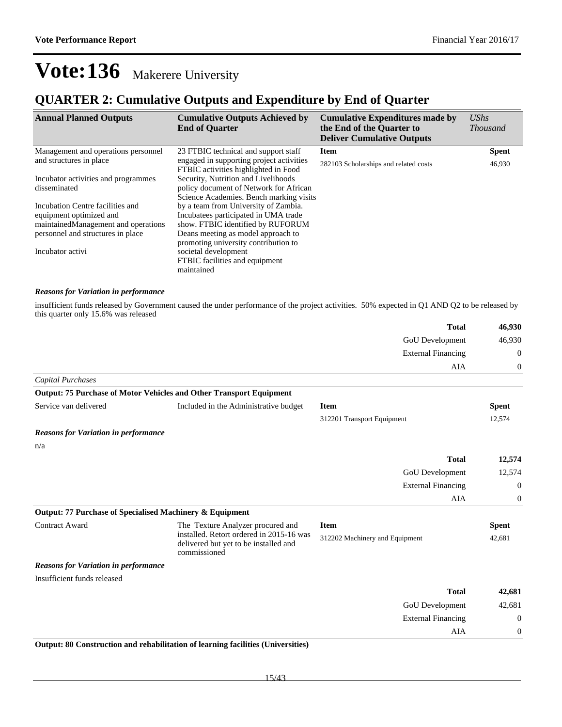### **QUARTER 2: Cumulative Outputs and Expenditure by End of Quarter**

| <b>Annual Planned Outputs</b>                                                                                                                                | <b>Cumulative Outputs Achieved by</b><br><b>End of Quarter</b>                                                                                                                                                                                             | <b>Cumulative Expenditures made by</b><br>the End of the Quarter to<br><b>Deliver Cumulative Outputs</b> | $\mathit{UShs}$<br><i>Thousand</i> |
|--------------------------------------------------------------------------------------------------------------------------------------------------------------|------------------------------------------------------------------------------------------------------------------------------------------------------------------------------------------------------------------------------------------------------------|----------------------------------------------------------------------------------------------------------|------------------------------------|
| Management and operations personnel                                                                                                                          | 23 FTBIC technical and support staff                                                                                                                                                                                                                       | <b>Item</b>                                                                                              | <b>Spent</b>                       |
| and structures in place                                                                                                                                      | engaged in supporting project activities<br>FTBIC activities highlighted in Food                                                                                                                                                                           | 282103 Scholarships and related costs                                                                    | 46,930                             |
| Incubator activities and programmes                                                                                                                          | Security, Nutrition and Livelihoods                                                                                                                                                                                                                        |                                                                                                          |                                    |
| disseminated                                                                                                                                                 | policy document of Network for African<br>Science Academies. Bench marking visits                                                                                                                                                                          |                                                                                                          |                                    |
| Incubation Centre facilities and<br>equipment optimized and<br>maintained Management and operations<br>personnel and structures in place<br>Incubator activi | by a team from University of Zambia.<br>Incubate es participated in UMA trade<br>show. FTBIC identified by RUFORUM<br>Deans meeting as model approach to<br>promoting university contribution to<br>societal development<br>FTBIC facilities and equipment |                                                                                                          |                                    |
|                                                                                                                                                              | maintained                                                                                                                                                                                                                                                 |                                                                                                          |                                    |

#### *Reasons for Variation in performance*

insufficient funds released by Government caused the under performance of the project activities. 50% expected in Q1 AND Q2 to be released by this quarter only 15.6% was released

| 46,930         | <b>Total</b>              |
|----------------|---------------------------|
| 46,930         | GoU Development           |
| $\overline{0}$ | <b>External Financing</b> |
| $\overline{0}$ | AIA                       |
|                |                           |

#### *Capital Purchases* **Output: 75 Purchase of Motor Vehicles and Other Transport Equipment**

| Output: 75 Purchase of Motor Venicles and Other Transport Equipment |                                                                                                   |                                |                |
|---------------------------------------------------------------------|---------------------------------------------------------------------------------------------------|--------------------------------|----------------|
| Service van delivered                                               | Included in the Administrative budget                                                             | <b>Item</b>                    | <b>Spent</b>   |
|                                                                     |                                                                                                   | 312201 Transport Equipment     | 12,574         |
| <b>Reasons for Variation in performance</b>                         |                                                                                                   |                                |                |
| n/a                                                                 |                                                                                                   |                                |                |
|                                                                     |                                                                                                   | <b>Total</b>                   | 12,574         |
|                                                                     |                                                                                                   | <b>GoU</b> Development         | 12,574         |
|                                                                     |                                                                                                   | <b>External Financing</b>      | $\overline{0}$ |
|                                                                     |                                                                                                   | AIA                            | $\overline{0}$ |
| Output: 77 Purchase of Specialised Machinery & Equipment            |                                                                                                   |                                |                |
| <b>Contract Award</b>                                               | The Texture Analyzer procured and                                                                 | <b>Item</b>                    | <b>Spent</b>   |
|                                                                     | installed. Retort ordered in 2015-16 was<br>delivered but yet to be installed and<br>commissioned | 312202 Machinery and Equipment | 42,681         |
| <b>Reasons for Variation in performance</b>                         |                                                                                                   |                                |                |

Insufficient funds released

| 42,681           | <b>Total</b>              |
|------------------|---------------------------|
| 42,681           | GoU Development           |
| $\boldsymbol{0}$ | <b>External Financing</b> |
| $\theta$         | AIA                       |
|                  |                           |

#### **Output: 80 Construction and rehabilitation of learning facilities (Universities)**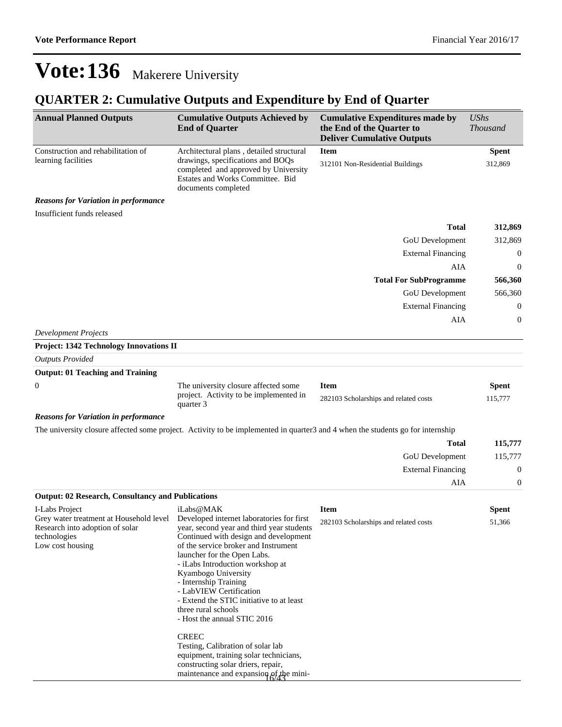## **QUARTER 2: Cumulative Outputs and Expenditure by End of Quarter**

| <b>Annual Planned Outputs</b>                                                                                                                                              | <b>Cumulative Outputs Achieved by</b><br><b>End of Quarter</b>                                                                                                                                                                                                                                                                                                                                                                                                                                                                                                         | <b>Cumulative Expenditures made by</b><br>the End of the Quarter to<br><b>Deliver Cumulative Outputs</b> | <b>UShs</b><br><b>Thousand</b> |
|----------------------------------------------------------------------------------------------------------------------------------------------------------------------------|------------------------------------------------------------------------------------------------------------------------------------------------------------------------------------------------------------------------------------------------------------------------------------------------------------------------------------------------------------------------------------------------------------------------------------------------------------------------------------------------------------------------------------------------------------------------|----------------------------------------------------------------------------------------------------------|--------------------------------|
| Construction and rehabilitation of<br>learning facilities                                                                                                                  | Architectural plans, detailed structural<br>drawings, specifications and BOQs<br>completed and approved by University<br>Estates and Works Committee. Bid<br>documents completed                                                                                                                                                                                                                                                                                                                                                                                       | <b>Item</b><br>312101 Non-Residential Buildings                                                          | <b>Spent</b><br>312,869        |
| <b>Reasons for Variation in performance</b>                                                                                                                                |                                                                                                                                                                                                                                                                                                                                                                                                                                                                                                                                                                        |                                                                                                          |                                |
| Insufficient funds released                                                                                                                                                |                                                                                                                                                                                                                                                                                                                                                                                                                                                                                                                                                                        |                                                                                                          |                                |
|                                                                                                                                                                            |                                                                                                                                                                                                                                                                                                                                                                                                                                                                                                                                                                        | <b>Total</b>                                                                                             | 312,869                        |
|                                                                                                                                                                            |                                                                                                                                                                                                                                                                                                                                                                                                                                                                                                                                                                        | GoU Development                                                                                          | 312,869                        |
|                                                                                                                                                                            |                                                                                                                                                                                                                                                                                                                                                                                                                                                                                                                                                                        | <b>External Financing</b>                                                                                | $\boldsymbol{0}$               |
|                                                                                                                                                                            |                                                                                                                                                                                                                                                                                                                                                                                                                                                                                                                                                                        | AIA                                                                                                      | $\mathbf{0}$                   |
|                                                                                                                                                                            |                                                                                                                                                                                                                                                                                                                                                                                                                                                                                                                                                                        | <b>Total For SubProgramme</b>                                                                            | 566,360                        |
|                                                                                                                                                                            |                                                                                                                                                                                                                                                                                                                                                                                                                                                                                                                                                                        | GoU Development                                                                                          | 566,360                        |
|                                                                                                                                                                            |                                                                                                                                                                                                                                                                                                                                                                                                                                                                                                                                                                        | <b>External Financing</b>                                                                                | $\mathbf{0}$                   |
|                                                                                                                                                                            |                                                                                                                                                                                                                                                                                                                                                                                                                                                                                                                                                                        | AIA                                                                                                      | $\boldsymbol{0}$               |
| <b>Development Projects</b>                                                                                                                                                |                                                                                                                                                                                                                                                                                                                                                                                                                                                                                                                                                                        |                                                                                                          |                                |
| Project: 1342 Technology Innovations II                                                                                                                                    |                                                                                                                                                                                                                                                                                                                                                                                                                                                                                                                                                                        |                                                                                                          |                                |
| <b>Outputs Provided</b><br><b>Output: 01 Teaching and Training</b>                                                                                                         |                                                                                                                                                                                                                                                                                                                                                                                                                                                                                                                                                                        |                                                                                                          |                                |
|                                                                                                                                                                            |                                                                                                                                                                                                                                                                                                                                                                                                                                                                                                                                                                        | <b>Item</b>                                                                                              |                                |
| 0                                                                                                                                                                          | The university closure affected some<br>project. Activity to be implemented in<br>quarter 3                                                                                                                                                                                                                                                                                                                                                                                                                                                                            | 282103 Scholarships and related costs                                                                    | <b>Spent</b><br>115,777        |
| <b>Reasons for Variation in performance</b>                                                                                                                                |                                                                                                                                                                                                                                                                                                                                                                                                                                                                                                                                                                        |                                                                                                          |                                |
|                                                                                                                                                                            | The university closure affected some project. Activity to be implemented in quarter3 and 4 when the students go for internship                                                                                                                                                                                                                                                                                                                                                                                                                                         |                                                                                                          |                                |
|                                                                                                                                                                            |                                                                                                                                                                                                                                                                                                                                                                                                                                                                                                                                                                        | <b>Total</b>                                                                                             | 115,777                        |
|                                                                                                                                                                            |                                                                                                                                                                                                                                                                                                                                                                                                                                                                                                                                                                        | GoU Development                                                                                          | 115,777                        |
|                                                                                                                                                                            |                                                                                                                                                                                                                                                                                                                                                                                                                                                                                                                                                                        | <b>External Financing</b>                                                                                | $\boldsymbol{0}$               |
|                                                                                                                                                                            |                                                                                                                                                                                                                                                                                                                                                                                                                                                                                                                                                                        | AIA                                                                                                      | $\boldsymbol{0}$               |
| <b>Output: 02 Research, Consultancy and Publications</b>                                                                                                                   |                                                                                                                                                                                                                                                                                                                                                                                                                                                                                                                                                                        |                                                                                                          |                                |
| I-Labs Project<br>Grey water treatment at Household level Developed internet laboratories for first<br>Research into adoption of solar<br>technologies<br>Low cost housing | iLabs@MAK<br>year, second year and third year students<br>Continued with design and development<br>of the service broker and Instrument<br>launcher for the Open Labs.<br>- iLabs Introduction workshop at<br>Kyambogo University<br>- Internship Training<br>- LabVIEW Certification<br>- Extend the STIC initiative to at least<br>three rural schools<br>- Host the annual STIC 2016<br><b>CREEC</b><br>Testing, Calibration of solar lab<br>equipment, training solar technicians,<br>constructing solar driers, repair,<br>maintenance and expansion of the mini- | <b>Item</b><br>282103 Scholarships and related costs                                                     | <b>Spent</b><br>51,366         |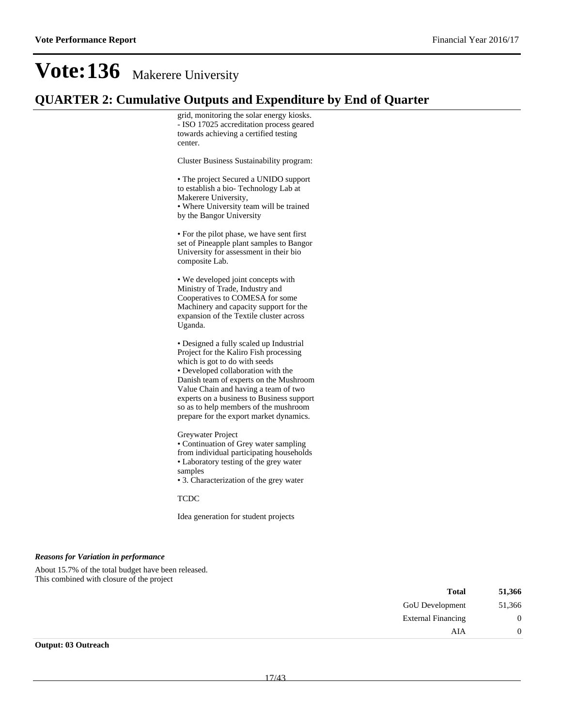### **QUARTER 2: Cumulative Outputs and Expenditure by End of Quarter**

grid, monitoring the solar energy kiosks. - ISO 17025 accreditation process geared towards achieving a certified testing center.

Cluster Business Sustainability program:

The project Secured a UNIDO support to establish a bio- Technology Lab at Makerere University, Where University team will be trained

by the Bangor University

For the pilot phase, we have sent first set of Pineapple plant samples to Bangor University for assessment in their bio composite Lab.

We developed joint concepts with Ministry of Trade, Industry and Cooperatives to COMESA for some Machinery and capacity support for the expansion of the Textile cluster across Uganda.

Designed a fully scaled up Industrial Project for the Kaliro Fish processing which is got to do with seeds Developed collaboration with the Danish team of experts on the Mushroom Value Chain and having a team of two experts on a business to Business support so as to help members of the mushroom prepare for the export market dynamics.

Greywater Project

Continuation of Grey water sampling from individual participating households Laboratory testing of the grey water samples

3. Characterization of the grey water

TCDC

Idea generation for student projects

#### *Reasons for Variation in performance*

About 15.7% of the total budget have been released. This combined with closure of the project

| <b>Total</b>              | 51,366 |
|---------------------------|--------|
| <b>GoU</b> Development    | 51,366 |
| <b>External Financing</b> |        |
| AIA                       |        |
|                           |        |

**Output: 03 Outreach**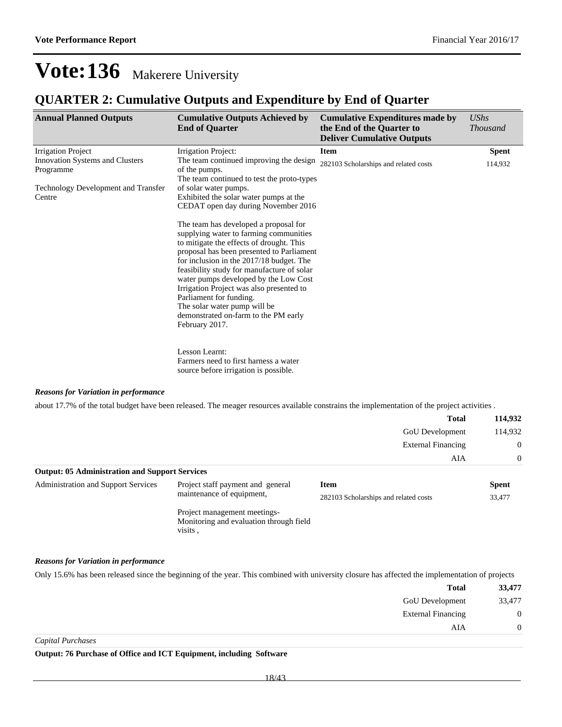### **QUARTER 2: Cumulative Outputs and Expenditure by End of Quarter**

| <b>Annual Planned Outputs</b>                | <b>Cumulative Outputs Achieved by</b><br><b>End of Quarter</b>                                                                                                                                                                                                                                                                                                                                                                                                               | <b>Cumulative Expenditures made by</b><br>the End of the Quarter to<br><b>Deliver Cumulative Outputs</b> | <b>UShs</b><br><b>Thousand</b> |
|----------------------------------------------|------------------------------------------------------------------------------------------------------------------------------------------------------------------------------------------------------------------------------------------------------------------------------------------------------------------------------------------------------------------------------------------------------------------------------------------------------------------------------|----------------------------------------------------------------------------------------------------------|--------------------------------|
| <b>Irrigation Project</b>                    | Irrigation Project:                                                                                                                                                                                                                                                                                                                                                                                                                                                          | <b>Item</b>                                                                                              | <b>Spent</b>                   |
| Innovation Systems and Clusters<br>Programme | The team continued improving the design<br>of the pumps.<br>The team continued to test the proto-types                                                                                                                                                                                                                                                                                                                                                                       | 282103 Scholarships and related costs                                                                    | 114,932                        |
| Technology Development and Transfer          | of solar water pumps.                                                                                                                                                                                                                                                                                                                                                                                                                                                        |                                                                                                          |                                |
| Centre                                       | Exhibited the solar water pumps at the<br>CEDAT open day during November 2016                                                                                                                                                                                                                                                                                                                                                                                                |                                                                                                          |                                |
|                                              | The team has developed a proposal for<br>supplying water to farming communities<br>to mitigate the effects of drought. This<br>proposal has been presented to Parliament<br>for inclusion in the 2017/18 budget. The<br>feasibility study for manufacture of solar<br>water pumps developed by the Low Cost<br>Irrigation Project was also presented to<br>Parliament for funding.<br>The solar water pump will be<br>demonstrated on-farm to the PM early<br>February 2017. |                                                                                                          |                                |
|                                              | Lesson Learnt:<br>Farmers need to first harness a water<br>source before irrigation is possible.                                                                                                                                                                                                                                                                                                                                                                             |                                                                                                          |                                |

#### *Reasons for Variation in performance*

about 17.7% of the total budget have been released. The meager resources available constrains the implementation of the project activities .

|                                                       |                                                                | <b>Total</b>                          | 114,932        |
|-------------------------------------------------------|----------------------------------------------------------------|---------------------------------------|----------------|
|                                                       |                                                                | <b>GoU</b> Development                | 114,932        |
|                                                       |                                                                | <b>External Financing</b>             | $\overline{0}$ |
|                                                       |                                                                | AIA                                   | $\Omega$       |
| <b>Output: 05 Administration and Support Services</b> |                                                                |                                       |                |
| <b>Administration and Support Services</b>            | Project staff payment and general<br>maintenance of equipment, | <b>Item</b>                           | <b>Spent</b>   |
|                                                       |                                                                | 282103 Scholarshins and related costs | 33 477         |

282103 Scholarships and related costs 33,477

Project management meetings-Monitoring and evaluation through field visits ,

#### *Reasons for Variation in performance*

Only 15.6% has been released since the beginning of the year. This combined with university closure has affected the implementation of projects

| 33,477 | <b>Total</b>              |
|--------|---------------------------|
| 33,477 | GoU Development           |
| 0      | <b>External Financing</b> |
|        | AIA                       |
|        |                           |

*Capital Purchases*

**Output: 76 Purchase of Office and ICT Equipment, including Software**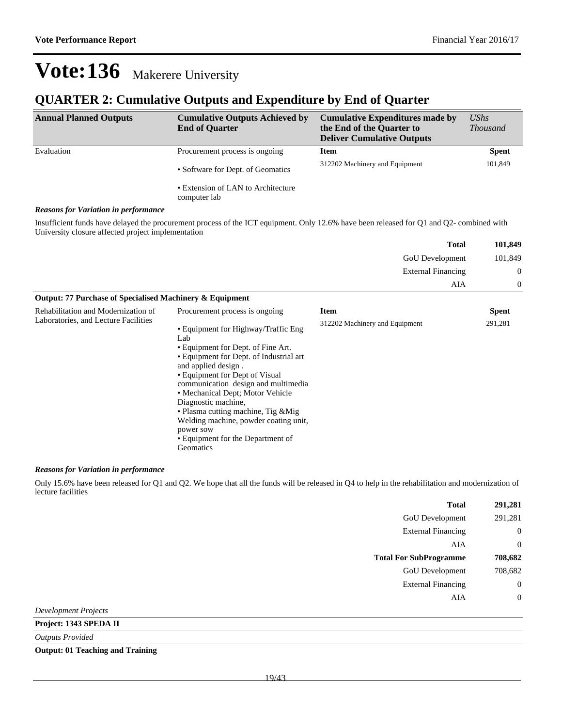### **QUARTER 2: Cumulative Outputs and Expenditure by End of Quarter**

| <b>Annual Planned Outputs</b>               | <b>Cumulative Outputs Achieved by</b><br><b>End of Quarter</b> | <b>Cumulative Expenditures made by</b><br>the End of the Quarter to<br><b>Deliver Cumulative Outputs</b> | $\mathit{UShs}$<br><i>Thousand</i> |
|---------------------------------------------|----------------------------------------------------------------|----------------------------------------------------------------------------------------------------------|------------------------------------|
| Evaluation                                  | Procurement process is ongoing                                 | <b>Item</b>                                                                                              | <b>Spent</b>                       |
|                                             | • Software for Dept. of Geomatics                              | 312202 Machinery and Equipment                                                                           | 101,849                            |
|                                             | • Extension of LAN to Architecture<br>computer lab             |                                                                                                          |                                    |
| <b>Reasons for Variation in performance</b> |                                                                |                                                                                                          |                                    |

Insufficient funds have delayed the procurement process of the ICT equipment. Only 12.6% have been released for Q1 and Q2- combined with University closure affected project implementation

| 101,849 | <b>Total</b>              |
|---------|---------------------------|
| 101,849 | GoU Development           |
| 0       | <b>External Financing</b> |
|         | AIA                       |

| Output: 77 Purchase of Specialised Machinery & Equipment                    |                                                                                                                                                                                                                                                                                  |                                               |                         |
|-----------------------------------------------------------------------------|----------------------------------------------------------------------------------------------------------------------------------------------------------------------------------------------------------------------------------------------------------------------------------|-----------------------------------------------|-------------------------|
| Rehabilitation and Modernization of<br>Laboratories, and Lecture Facilities | Procurement process is ongoing<br>• Equipment for Highway/Traffic Eng<br>Lab<br>• Equipment for Dept. of Fine Art.<br>• Equipment for Dept. of Industrial art<br>and applied design.                                                                                             | <b>Item</b><br>312202 Machinery and Equipment | <b>Spent</b><br>291,281 |
|                                                                             | • Equipment for Dept of Visual<br>communication design and multimedia<br>• Mechanical Dept; Motor Vehicle<br>Diagnostic machine,<br>• Plasma cutting machine, Tig & Mig.<br>Welding machine, powder coating unit,<br>power sow<br>• Equipment for the Department of<br>Geomatics |                                               |                         |

#### *Reasons for Variation in performance*

Only 15.6% have been released for Q1 and Q2. We hope that all the funds will be released in Q4 to help in the rehabilitation and modernization of lecture facilities

| <b>Total</b>                  | 291,281          |
|-------------------------------|------------------|
| GoU Development               | 291,281          |
| <b>External Financing</b>     | $\boldsymbol{0}$ |
| AIA                           | $\overline{0}$   |
| <b>Total For SubProgramme</b> | 708,682          |
| GoU Development               | 708,682          |
| <b>External Financing</b>     | $\boldsymbol{0}$ |
| AIA                           | $\overline{0}$   |
| <b>Development Projects</b>   |                  |

**Project: 1343 SPEDA II**

*Outputs Provided*

**Output: 01 Teaching and Training**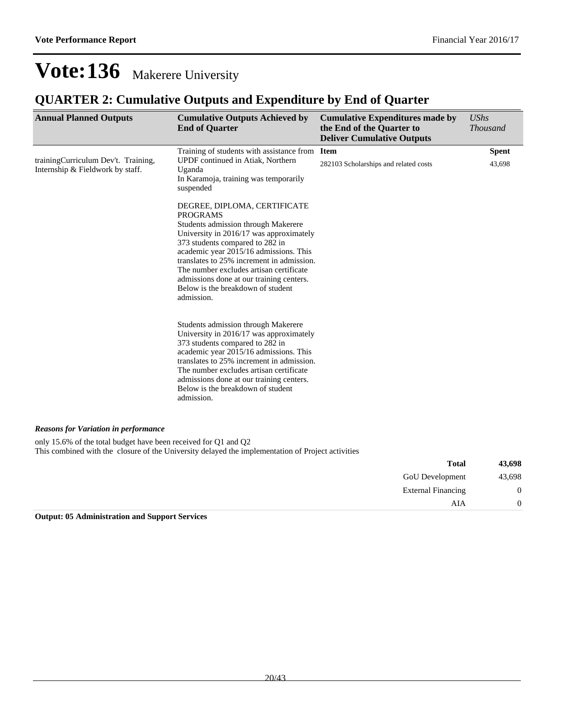### **QUARTER 2: Cumulative Outputs and Expenditure by End of Quarter**

| <b>Annual Planned Outputs</b>                                           | <b>Cumulative Outputs Achieved by</b><br><b>End of Quarter</b>                                                                                                                                                                                                                                                                                                                                        | <b>Cumulative Expenditures made by</b><br>the End of the Quarter to<br><b>Deliver Cumulative Outputs</b> | <b>UShs</b><br><b>Thousand</b> |
|-------------------------------------------------------------------------|-------------------------------------------------------------------------------------------------------------------------------------------------------------------------------------------------------------------------------------------------------------------------------------------------------------------------------------------------------------------------------------------------------|----------------------------------------------------------------------------------------------------------|--------------------------------|
| trainingCurriculum Dev't. Training,<br>Internship & Fieldwork by staff. | Training of students with assistance from<br>UPDF continued in Atiak, Northern<br>Uganda<br>In Karamoja, training was temporarily<br>suspended                                                                                                                                                                                                                                                        | <b>Item</b><br>282103 Scholarships and related costs                                                     | <b>Spent</b><br>43,698         |
|                                                                         | DEGREE, DIPLOMA, CERTIFICATE<br><b>PROGRAMS</b><br>Students admission through Makerere<br>University in 2016/17 was approximately<br>373 students compared to 282 in<br>academic year 2015/16 admissions. This<br>translates to 25% increment in admission.<br>The number excludes artisan certificate<br>admissions done at our training centers.<br>Below is the breakdown of student<br>admission. |                                                                                                          |                                |
|                                                                         | Students admission through Makerere<br>University in 2016/17 was approximately<br>373 students compared to 282 in<br>academic year 2015/16 admissions. This<br>translates to 25% increment in admission.<br>The number excludes artisan certificate<br>admissions done at our training centers.<br>Below is the breakdown of student<br>admission.                                                    |                                                                                                          |                                |
| <b>Reasons for Variation in performance</b>                             |                                                                                                                                                                                                                                                                                                                                                                                                       |                                                                                                          |                                |
| only 15.6% of the total budget have been received for Q1 and Q2         | This combined with the closure of the University delayed the implementation of Project activities                                                                                                                                                                                                                                                                                                     |                                                                                                          |                                |

| 43,698         | <b>Total</b>              |
|----------------|---------------------------|
| 43,698         | GoU Development           |
| $\mathbf{0}$   | <b>External Financing</b> |
| $\overline{0}$ | AIA                       |

**Output: 05 Administration and Support Services**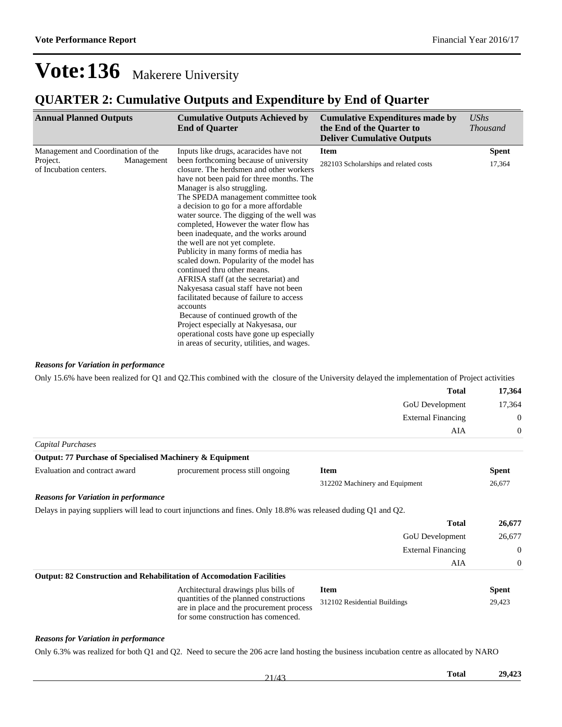### **QUARTER 2: Cumulative Outputs and Expenditure by End of Quarter**

| <b>Annual Planned Outputs</b>                                                          | <b>Cumulative Outputs Achieved by</b><br><b>End of Quarter</b>                                                                                                                                                                                                                                                                                                                                                                                                                                                                                                                                                                                                                                                                                                                                                                                                                                 | <b>Cumulative Expenditures made by</b><br>the End of the Quarter to<br><b>Deliver Cumulative Outputs</b> | <b>UShs</b><br><i>Thousand</i> |
|----------------------------------------------------------------------------------------|------------------------------------------------------------------------------------------------------------------------------------------------------------------------------------------------------------------------------------------------------------------------------------------------------------------------------------------------------------------------------------------------------------------------------------------------------------------------------------------------------------------------------------------------------------------------------------------------------------------------------------------------------------------------------------------------------------------------------------------------------------------------------------------------------------------------------------------------------------------------------------------------|----------------------------------------------------------------------------------------------------------|--------------------------------|
| Management and Coordination of the<br>Project.<br>Management<br>of Incubation centers. | Inputs like drugs, acaracides have not<br>been forthcoming because of university<br>closure. The herdsmen and other workers<br>have not been paid for three months. The<br>Manager is also struggling.<br>The SPEDA management committee took<br>a decision to go for a more affordable<br>water source. The digging of the well was<br>completed, However the water flow has<br>been inadequate, and the works around<br>the well are not yet complete.<br>Publicity in many forms of media has<br>scaled down. Popularity of the model has<br>continued thru other means.<br>AFRISA staff (at the secretariat) and<br>Nakyesasa casual staff have not been<br>facilitated because of failure to access<br>accounts<br>Because of continued growth of the<br>Project especially at Nakyesasa, our<br>operational costs have gone up especially<br>in areas of security, utilities, and wages. | <b>Item</b><br>282103 Scholarships and related costs                                                     | <b>Spent</b><br>17,364         |

#### *Reasons for Variation in performance*

Only 15.6% have been realized for Q1 and Q2.This combined with the closure of the University delayed the implementation of Project activities

|                                                          |                                                                                                                            | <b>Total</b>                   | 17,364<br>17,364 |
|----------------------------------------------------------|----------------------------------------------------------------------------------------------------------------------------|--------------------------------|------------------|
|                                                          |                                                                                                                            | GoU Development                |                  |
|                                                          |                                                                                                                            | <b>External Financing</b>      | $\overline{0}$   |
|                                                          |                                                                                                                            | AIA                            | $\overline{0}$   |
| Capital Purchases                                        |                                                                                                                            |                                |                  |
| Output: 77 Purchase of Specialised Machinery & Equipment |                                                                                                                            |                                |                  |
| Evaluation and contract award                            | procurement process still ongoing                                                                                          | <b>Item</b>                    | <b>Spent</b>     |
|                                                          |                                                                                                                            | 312202 Machinery and Equipment | 26,677           |
| <b>Reasons for Variation in performance</b>              |                                                                                                                            |                                |                  |
|                                                          | Delays in paying suppliers will lead to court injunctions and fines. Only 18.8% was released duding Q1 and Q2.             |                                |                  |
|                                                          |                                                                                                                            | <b>Total</b>                   | 26,677           |
|                                                          |                                                                                                                            | <b>GoU</b> Development         | 26,677           |
|                                                          |                                                                                                                            | <b>External Financing</b>      | $\mathbf{0}$     |
|                                                          |                                                                                                                            | AIA                            | $\overline{0}$   |
|                                                          | <b>Output: 82 Construction and Rehabilitation of Accomodation Facilities</b>                                               |                                |                  |
|                                                          | Architectural drawings plus bills of                                                                                       | <b>Item</b>                    | <b>Spent</b>     |
|                                                          | quantities of the planned constructions<br>are in place and the procurement process<br>for some construction has comenced. | 312102 Residential Buildings   | 29,423           |

#### *Reasons for Variation in performance*

Only 6.3% was realized for both Q1 and Q2. Need to secure the 206 acre land hosting the business incubation centre as allocated by NARO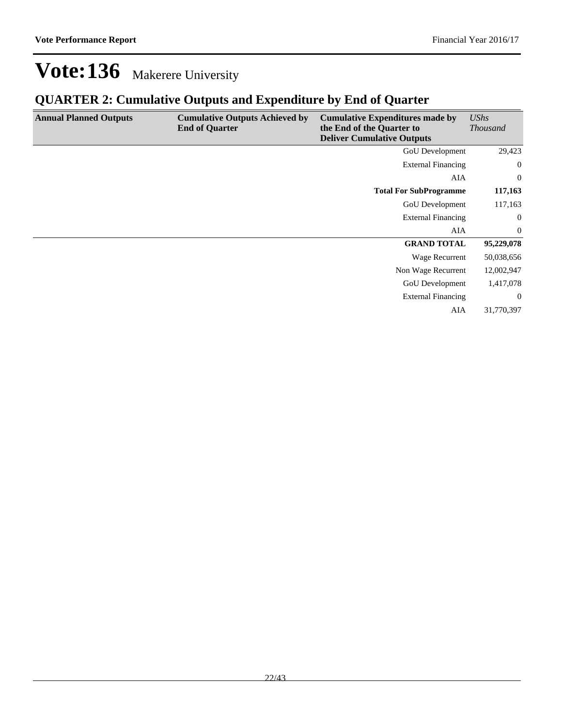## **QUARTER 2: Cumulative Outputs and Expenditure by End of Quarter**

| <b>Annual Planned Outputs</b> | <b>Cumulative Outputs Achieved by</b><br><b>End of Quarter</b> | <b>Cumulative Expenditures made by</b><br>the End of the Quarter to<br><b>Deliver Cumulative Outputs</b> | <b>UShs</b><br><i>Thousand</i> |
|-------------------------------|----------------------------------------------------------------|----------------------------------------------------------------------------------------------------------|--------------------------------|
|                               |                                                                | <b>GoU</b> Development                                                                                   | 29,423                         |
|                               |                                                                | <b>External Financing</b>                                                                                | $\overline{0}$                 |
|                               |                                                                | AIA                                                                                                      | $\overline{0}$                 |
|                               |                                                                | <b>Total For SubProgramme</b>                                                                            | 117,163                        |
|                               |                                                                | GoU Development                                                                                          | 117,163                        |
|                               |                                                                | <b>External Financing</b>                                                                                | $\boldsymbol{0}$               |
|                               |                                                                | AIA                                                                                                      | $\overline{0}$                 |
|                               |                                                                | <b>GRAND TOTAL</b>                                                                                       | 95,229,078                     |
|                               |                                                                | Wage Recurrent                                                                                           | 50,038,656                     |
|                               |                                                                | Non Wage Recurrent                                                                                       | 12,002,947                     |
|                               |                                                                | <b>GoU</b> Development                                                                                   | 1,417,078                      |
|                               |                                                                | <b>External Financing</b>                                                                                | $\overline{0}$                 |
|                               |                                                                | AIA                                                                                                      | 31,770,397                     |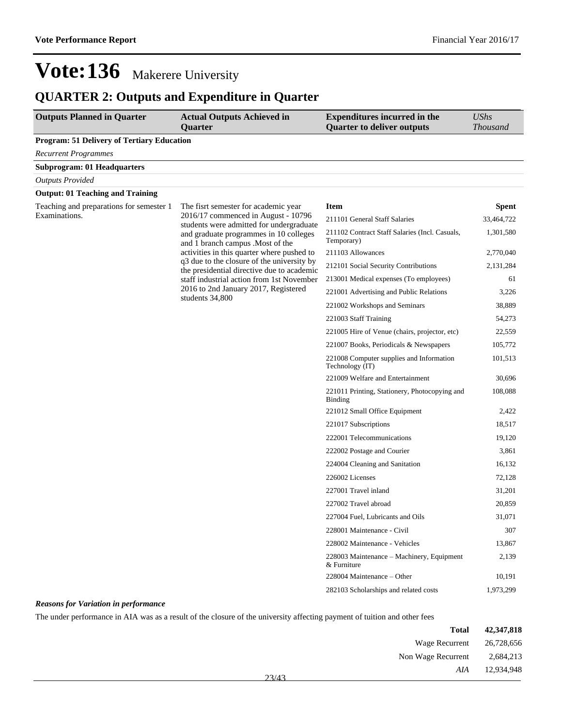## **QUARTER 2: Outputs and Expenditure in Quarter**

| <b>Outputs Planned in Quarter</b>                 | <b>Actual Outputs Achieved in</b><br>Quarter                                             | <b>Expenditures incurred in the</b><br><b>Quarter to deliver outputs</b> | <b>UShs</b><br><b>Thousand</b> |
|---------------------------------------------------|------------------------------------------------------------------------------------------|--------------------------------------------------------------------------|--------------------------------|
| <b>Program: 51 Delivery of Tertiary Education</b> |                                                                                          |                                                                          |                                |
| <b>Recurrent Programmes</b>                       |                                                                                          |                                                                          |                                |
| <b>Subprogram: 01 Headquarters</b>                |                                                                                          |                                                                          |                                |
| <b>Outputs Provided</b>                           |                                                                                          |                                                                          |                                |
| <b>Output: 01 Teaching and Training</b>           |                                                                                          |                                                                          |                                |
| Teaching and preparations for semester 1          | The fisrt semester for academic year                                                     | <b>Item</b>                                                              | <b>Spent</b>                   |
| Examinations.                                     | 2016/17 commenced in August - 10796<br>students were admitted for undergraduate          | 211101 General Staff Salaries                                            | 33,464,722                     |
|                                                   | and graduate programmes in 10 colleges<br>and 1 branch campus . Most of the              | 211102 Contract Staff Salaries (Incl. Casuals,<br>Temporary)             | 1,301,580                      |
|                                                   | activities in this quarter where pushed to                                               | 211103 Allowances                                                        | 2,770,040                      |
|                                                   | q3 due to the closure of the university by<br>the presidential directive due to academic | 212101 Social Security Contributions                                     | 2,131,284                      |
|                                                   | staff industrial action from 1st November                                                | 213001 Medical expenses (To employees)                                   | 61                             |
|                                                   | 2016 to 2nd January 2017, Registered<br>students 34,800                                  | 221001 Advertising and Public Relations                                  | 3,226                          |
|                                                   |                                                                                          | 221002 Workshops and Seminars                                            | 38,889                         |
|                                                   |                                                                                          | 221003 Staff Training                                                    | 54,273                         |
|                                                   |                                                                                          | 221005 Hire of Venue (chairs, projector, etc)                            | 22,559                         |
|                                                   |                                                                                          | 221007 Books, Periodicals & Newspapers                                   | 105,772                        |
|                                                   |                                                                                          | 221008 Computer supplies and Information<br>Technology (IT)              | 101,513                        |
|                                                   |                                                                                          | 221009 Welfare and Entertainment                                         | 30,696                         |
|                                                   |                                                                                          | 221011 Printing, Stationery, Photocopying and<br><b>Binding</b>          | 108,088                        |
|                                                   |                                                                                          | 221012 Small Office Equipment                                            | 2,422                          |
|                                                   |                                                                                          | 221017 Subscriptions                                                     | 18,517                         |
|                                                   |                                                                                          | 222001 Telecommunications                                                | 19,120                         |
|                                                   |                                                                                          | 222002 Postage and Courier                                               | 3,861                          |
|                                                   |                                                                                          | 224004 Cleaning and Sanitation                                           | 16,132                         |
|                                                   |                                                                                          | 226002 Licenses                                                          | 72,128                         |
|                                                   |                                                                                          | 227001 Travel inland                                                     | 31,201                         |
|                                                   |                                                                                          | 227002 Travel abroad                                                     | 20,859                         |
|                                                   |                                                                                          | 227004 Fuel, Lubricants and Oils                                         | 31,071                         |
|                                                   |                                                                                          | 228001 Maintenance - Civil                                               | 307                            |
|                                                   |                                                                                          | 228002 Maintenance - Vehicles                                            | 13,867                         |
|                                                   |                                                                                          | 228003 Maintenance - Machinery, Equipment<br>& Furniture                 | 2,139                          |
|                                                   |                                                                                          | 228004 Maintenance – Other                                               | 10,191                         |
|                                                   |                                                                                          | 282103 Scholarships and related costs                                    | 1,973,299                      |

#### *Reasons for Variation in performance*

The under performance in AIA was as a result of the closure of the university affecting payment of tuition and other fees

| 42,347,818 | <b>Total</b>       |       |
|------------|--------------------|-------|
| 26,728,656 | Wage Recurrent     |       |
| 2,684,213  | Non Wage Recurrent |       |
| 12,934,948 | AIA                | 23/43 |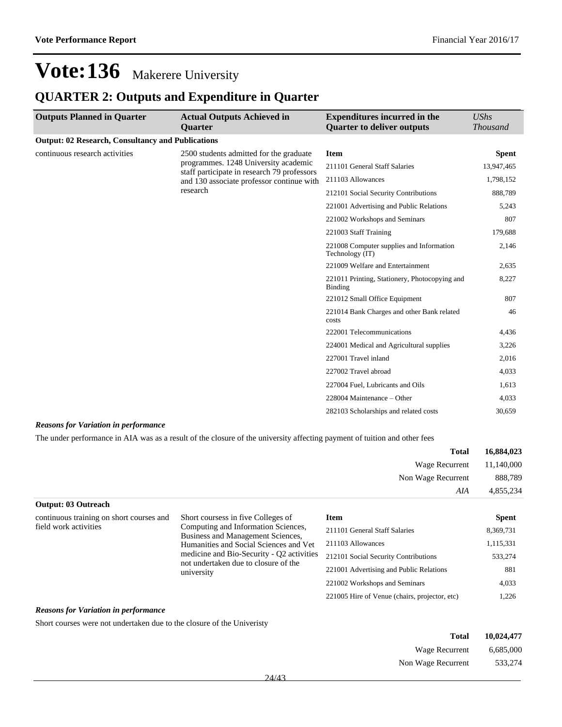### **QUARTER 2: Outputs and Expenditure in Quarter**

| <b>Outputs Planned in Quarter</b>                        | <b>Actual Outputs Achieved in</b><br><b>Ouarter</b>                                                                                                                         | <b>Expenditures incurred in the</b><br><b>Quarter to deliver outputs</b> | <b>UShs</b><br><b>Thousand</b> |
|----------------------------------------------------------|-----------------------------------------------------------------------------------------------------------------------------------------------------------------------------|--------------------------------------------------------------------------|--------------------------------|
| <b>Output: 02 Research, Consultancy and Publications</b> |                                                                                                                                                                             |                                                                          |                                |
| continuous research activities                           | 2500 students admitted for the graduate<br>programmes. 1248 University academic<br>staff participate in research 79 professors<br>and 130 associate professor continue with | <b>Item</b>                                                              | <b>Spent</b>                   |
|                                                          |                                                                                                                                                                             | 211101 General Staff Salaries                                            | 13,947,465                     |
|                                                          |                                                                                                                                                                             | 211103 Allowances                                                        | 1,798,152                      |
|                                                          | research                                                                                                                                                                    | 212101 Social Security Contributions                                     | 888,789                        |
|                                                          |                                                                                                                                                                             | 221001 Advertising and Public Relations                                  | 5,243                          |
|                                                          |                                                                                                                                                                             | 221002 Workshops and Seminars                                            | 807                            |
|                                                          |                                                                                                                                                                             | 221003 Staff Training                                                    | 179,688                        |
|                                                          |                                                                                                                                                                             | 221008 Computer supplies and Information<br>Technology (IT)              | 2,146                          |
|                                                          |                                                                                                                                                                             | 221009 Welfare and Entertainment                                         | 2,635                          |
|                                                          |                                                                                                                                                                             | 221011 Printing, Stationery, Photocopying and<br><b>Binding</b>          | 8,227                          |
|                                                          |                                                                                                                                                                             | 221012 Small Office Equipment                                            | 807                            |
|                                                          |                                                                                                                                                                             | 221014 Bank Charges and other Bank related<br>costs                      | 46                             |
|                                                          |                                                                                                                                                                             | 222001 Telecommunications                                                | 4,436                          |
|                                                          |                                                                                                                                                                             | 224001 Medical and Agricultural supplies                                 | 3,226                          |
|                                                          |                                                                                                                                                                             | 227001 Travel inland                                                     | 2,016                          |
|                                                          |                                                                                                                                                                             | 227002 Travel abroad                                                     | 4,033                          |
|                                                          |                                                                                                                                                                             | 227004 Fuel, Lubricants and Oils                                         | 1,613                          |
|                                                          |                                                                                                                                                                             | 228004 Maintenance – Other                                               | 4,033                          |
|                                                          |                                                                                                                                                                             | 282103 Scholarships and related costs                                    | 30,659                         |

#### *Reasons for Variation in performance*

The under performance in AIA was as a result of the closure of the university affecting payment of tuition and other fees

| 16,884,023 | <b>Total</b>              |
|------------|---------------------------|
|            | Wage Recurrent 11,140,000 |
| 888,789    | Non Wage Recurrent        |
| 4,855,234  | AIA                       |

#### **Output: 03 Outreach**

continuous training on short courses and field work activities

Short coursess in five Colleges of Computing and Information Sciences, Business and Management Sciences, Humanities and Social Sciences and Vet medicine and Bio-Security - Q2 activities not undertaken due to closure of the university

| <b>Item</b>                                   | <b>Spent</b> |
|-----------------------------------------------|--------------|
| 211101 General Staff Salaries                 | 8,369,731    |
| 211103 Allowances                             | 1,115,331    |
| 212101 Social Security Contributions          | 533,274      |
| 221001 Advertising and Public Relations       | 881          |
| 221002 Workshops and Seminars                 | 4,033        |
| 221005 Hire of Venue (chairs, projector, etc) | 1.226        |

#### *Reasons for Variation in performance*

Short courses were not undertaken due to the closure of the Univeristy

| Total              | 10,024,477 |
|--------------------|------------|
| Wage Recurrent     | 6.685,000  |
| Non Wage Recurrent | 533,274    |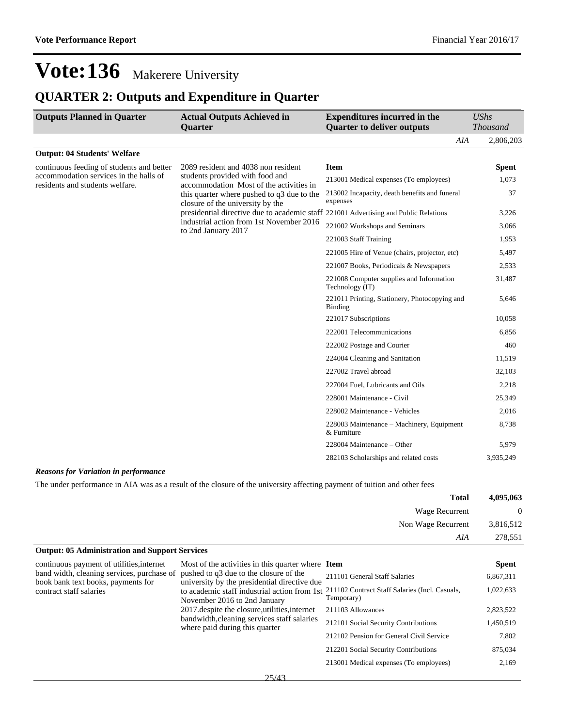## **QUARTER 2: Outputs and Expenditure in Quarter**

| <b>Outputs Planned in Quarter</b>                                         | <b>Actual Outputs Achieved in</b>                                                                                                                                                                                  | <b>Expenditures incurred in the</b>                             | $\mathit{UShs}$ |
|---------------------------------------------------------------------------|--------------------------------------------------------------------------------------------------------------------------------------------------------------------------------------------------------------------|-----------------------------------------------------------------|-----------------|
|                                                                           | <b>Ouarter</b>                                                                                                                                                                                                     | <b>Quarter to deliver outputs</b>                               | <b>Thousand</b> |
|                                                                           |                                                                                                                                                                                                                    | AIA                                                             | 2,806,203       |
| <b>Output: 04 Students' Welfare</b>                                       |                                                                                                                                                                                                                    |                                                                 |                 |
| continuous feeding of students and better                                 | 2089 resident and 4038 non resident                                                                                                                                                                                | <b>Item</b>                                                     | <b>Spent</b>    |
| accommodation services in the halls of<br>residents and students welfare. | students provided with food and<br>accommodation Most of the activities in                                                                                                                                         | 213001 Medical expenses (To employees)                          | 1,073           |
|                                                                           | this quarter where pushed to q3 due to the<br>closure of the university by the<br>presidential directive due to academic staff 221001 Advertising and Public Relations<br>industrial action from 1st November 2016 | 213002 Incapacity, death benefits and funeral<br>expenses       | 37              |
|                                                                           |                                                                                                                                                                                                                    |                                                                 | 3,226           |
| to 2nd January 2017                                                       |                                                                                                                                                                                                                    | 221002 Workshops and Seminars                                   | 3,066           |
|                                                                           |                                                                                                                                                                                                                    | 221003 Staff Training                                           | 1,953           |
|                                                                           |                                                                                                                                                                                                                    | 221005 Hire of Venue (chairs, projector, etc)                   | 5,497           |
|                                                                           |                                                                                                                                                                                                                    | 221007 Books, Periodicals & Newspapers                          | 2,533           |
|                                                                           |                                                                                                                                                                                                                    | 221008 Computer supplies and Information<br>Technology (IT)     | 31,487          |
|                                                                           |                                                                                                                                                                                                                    | 221011 Printing, Stationery, Photocopying and<br><b>Binding</b> | 5,646           |
|                                                                           |                                                                                                                                                                                                                    | 221017 Subscriptions                                            | 10,058          |
|                                                                           |                                                                                                                                                                                                                    | 222001 Telecommunications                                       | 6,856           |
|                                                                           |                                                                                                                                                                                                                    | 222002 Postage and Courier                                      | 460             |
|                                                                           |                                                                                                                                                                                                                    | 224004 Cleaning and Sanitation                                  | 11,519          |
|                                                                           |                                                                                                                                                                                                                    | 227002 Travel abroad                                            | 32,103          |
|                                                                           |                                                                                                                                                                                                                    | 227004 Fuel, Lubricants and Oils                                | 2,218           |
|                                                                           |                                                                                                                                                                                                                    | 228001 Maintenance - Civil                                      | 25,349          |
|                                                                           |                                                                                                                                                                                                                    | 228002 Maintenance - Vehicles                                   | 2,016           |
|                                                                           |                                                                                                                                                                                                                    | 228003 Maintenance – Machinery, Equipment<br>& Furniture        | 8,738           |
|                                                                           |                                                                                                                                                                                                                    | 228004 Maintenance – Other                                      | 5,979           |
|                                                                           |                                                                                                                                                                                                                    | 282103 Scholarships and related costs                           | 3,935,249       |

#### *Reasons for Variation in performance*

The under performance in AIA was as a result of the closure of the university affecting payment of tuition and other fees

| 4,095,063 | <b>Total</b>       |
|-----------|--------------------|
| U         | Wage Recurrent     |
| 3,816,512 | Non Wage Recurrent |
| 278,551   | AIA                |
|           |                    |

| <b>Output: 05 Administration and Support Services</b>                                                                                                                                                                                                                                                                     |                                                                                              |                                                              |              |
|---------------------------------------------------------------------------------------------------------------------------------------------------------------------------------------------------------------------------------------------------------------------------------------------------------------------------|----------------------------------------------------------------------------------------------|--------------------------------------------------------------|--------------|
| continuous payment of utilities, internet                                                                                                                                                                                                                                                                                 | Most of the activities in this quarter where Item                                            |                                                              | <b>Spent</b> |
| band width, cleaning services, purchase of<br>pushed to $q3$ due to the closure of the<br>book bank text books, payments for<br>contract staff salaries<br>November 2016 to 2nd January<br>2017 despite the closure, utilities, internet<br>bandwidth, cleaning services staff salaries<br>where paid during this quarter | university by the presidential directive due<br>to academic staff industrial action from 1st | 211101 General Staff Salaries                                | 6,867,311    |
|                                                                                                                                                                                                                                                                                                                           |                                                                                              | 211102 Contract Staff Salaries (Incl. Casuals,<br>Temporary) | 1,022,633    |
|                                                                                                                                                                                                                                                                                                                           | 211103 Allowances                                                                            | 2,823,522                                                    |              |
|                                                                                                                                                                                                                                                                                                                           |                                                                                              | 212101 Social Security Contributions                         | 1,450,519    |
|                                                                                                                                                                                                                                                                                                                           |                                                                                              | 212102 Pension for General Civil Service                     | 7.802        |
|                                                                                                                                                                                                                                                                                                                           |                                                                                              | 212201 Social Security Contributions                         | 875,034      |
|                                                                                                                                                                                                                                                                                                                           |                                                                                              | 213001 Medical expenses (To employees)                       | 2,169        |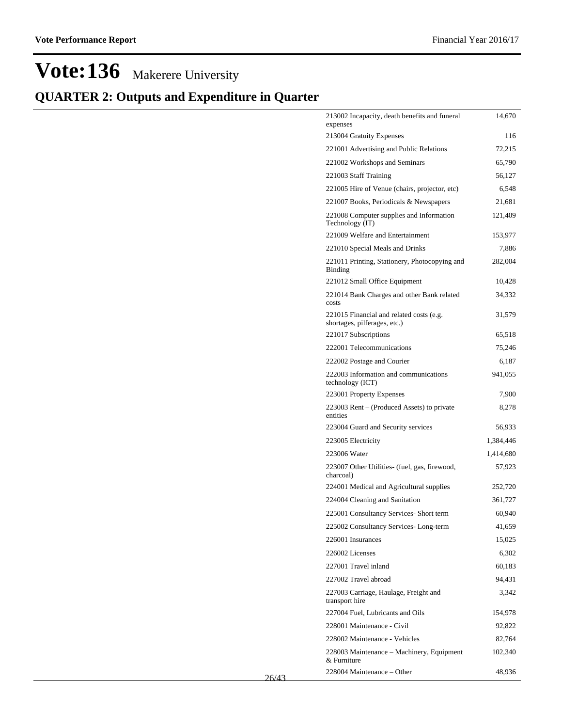## **QUARTER 2: Outputs and Expenditure in Quarter**

| 213002 Incapacity, death benefits and funeral<br>expenses                | 14,670    |
|--------------------------------------------------------------------------|-----------|
| 213004 Gratuity Expenses                                                 | 116       |
| 221001 Advertising and Public Relations                                  | 72,215    |
| 221002 Workshops and Seminars                                            | 65,790    |
| 221003 Staff Training                                                    | 56,127    |
| 221005 Hire of Venue (chairs, projector, etc)                            | 6,548     |
| 221007 Books, Periodicals & Newspapers                                   | 21,681    |
| 221008 Computer supplies and Information<br>Technology (IT)              | 121,409   |
| 221009 Welfare and Entertainment                                         | 153,977   |
| 221010 Special Meals and Drinks                                          | 7,886     |
| 221011 Printing, Stationery, Photocopying and<br>Binding                 | 282,004   |
| 221012 Small Office Equipment                                            | 10,428    |
| 221014 Bank Charges and other Bank related<br>costs                      | 34,332    |
| 221015 Financial and related costs (e.g.<br>shortages, pilferages, etc.) | 31,579    |
| 221017 Subscriptions                                                     | 65,518    |
| 222001 Telecommunications                                                | 75,246    |
| 222002 Postage and Courier                                               | 6,187     |
| 222003 Information and communications<br>technology (ICT)                | 941,055   |
| 223001 Property Expenses                                                 | 7,900     |
| 223003 Rent – (Produced Assets) to private<br>entities                   | 8,278     |
| 223004 Guard and Security services                                       | 56,933    |
| 223005 Electricity                                                       | 1,384,446 |
| 223006 Water                                                             | 1,414,680 |
| 223007 Other Utilities- (fuel, gas, firewood,<br>charcoal)               | 57,923    |
| 224001 Medical and Agricultural supplies                                 | 252,720   |
| 224004 Cleaning and Sanitation                                           | 361,727   |
| 225001 Consultancy Services- Short term                                  | 60,940    |
| 225002 Consultancy Services-Long-term                                    | 41,659    |
| 226001 Insurances                                                        | 15,025    |
| 226002 Licenses                                                          | 6,302     |
| 227001 Travel inland                                                     | 60,183    |
| 227002 Travel abroad                                                     | 94,431    |
| 227003 Carriage, Haulage, Freight and<br>transport hire                  | 3,342     |
| 227004 Fuel, Lubricants and Oils                                         | 154,978   |
| 228001 Maintenance - Civil                                               | 92,822    |
| 228002 Maintenance - Vehicles                                            | 82,764    |
| 228003 Maintenance – Machinery, Equipment<br>& Furniture                 | 102,340   |
| 228004 Maintenance – Other                                               | 48,936    |

26/43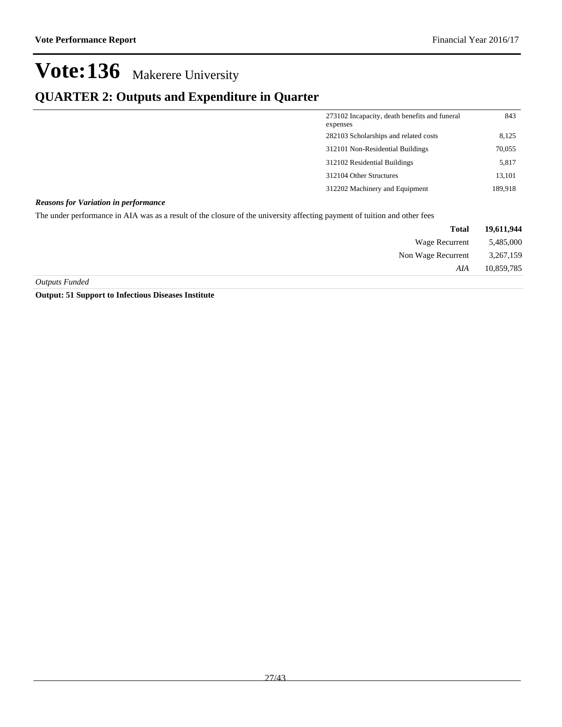### **QUARTER 2: Outputs and Expenditure in Quarter**

| 273102 Incapacity, death benefits and funeral<br>expenses | 843     |
|-----------------------------------------------------------|---------|
| 282103 Scholarships and related costs                     | 8,125   |
| 312101 Non-Residential Buildings                          | 70,055  |
| 312102 Residential Buildings                              | 5,817   |
| 312104 Other Structures                                   | 13,101  |
| 312202 Machinery and Equipment                            | 189,918 |

#### *Reasons for Variation in performance*

The under performance in AIA was as a result of the closure of the university affecting payment of tuition and other fees

| 19,611,944 | <b>Total</b>       |
|------------|--------------------|
| 5,485,000  | Wage Recurrent     |
| 3,267,159  | Non Wage Recurrent |
| 10,859,785 | AIA                |
|            |                    |

*Outputs Funded*

**Output: 51 Support to Infectious Diseases Institute**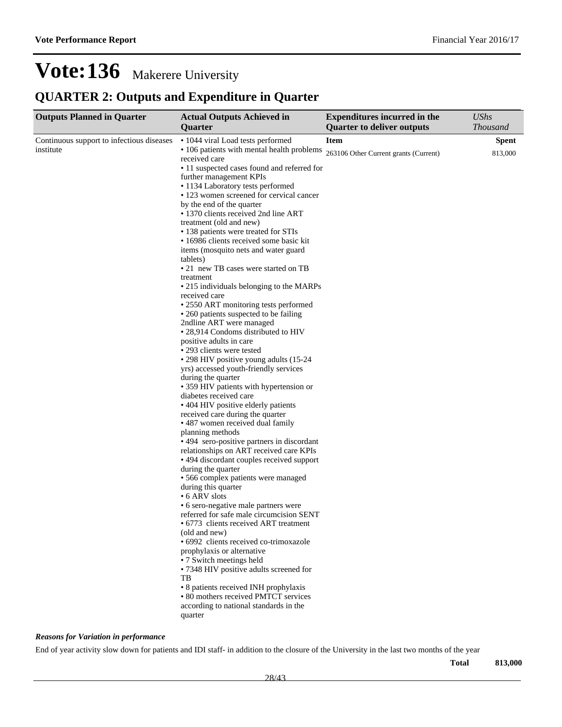## **QUARTER 2: Outputs and Expenditure in Quarter**

| <b>Outputs Planned in Quarter</b>         | <b>Actual Outputs Achieved in</b><br>Quarter                                    | <b>Expenditures incurred in the</b><br><b>Quarter to deliver outputs</b> | <b>UShs</b><br>Thousand |
|-------------------------------------------|---------------------------------------------------------------------------------|--------------------------------------------------------------------------|-------------------------|
| Continuous support to infectious diseases | • 1044 viral Load tests performed                                               | <b>Item</b>                                                              | <b>Spent</b>            |
| institute                                 | • 106 patients with mental health problems<br>received care                     | 263106 Other Current grants (Current)                                    | 813,000                 |
|                                           | • 11 suspected cases found and referred for                                     |                                                                          |                         |
|                                           | further management KPIs                                                         |                                                                          |                         |
|                                           | • 1134 Laboratory tests performed                                               |                                                                          |                         |
|                                           | • 123 women screened for cervical cancer                                        |                                                                          |                         |
|                                           | by the end of the quarter<br>• 1370 clients received 2nd line ART               |                                                                          |                         |
|                                           | treatment (old and new)                                                         |                                                                          |                         |
|                                           | • 138 patients were treated for STIs                                            |                                                                          |                         |
|                                           | • 16986 clients received some basic kit<br>items (mosquito nets and water guard |                                                                          |                         |
|                                           | tablets)<br>• 21 new TB cases were started on TB                                |                                                                          |                         |
|                                           | treatment                                                                       |                                                                          |                         |
|                                           | • 215 individuals belonging to the MARPs<br>received care                       |                                                                          |                         |
|                                           | • 2550 ART monitoring tests performed                                           |                                                                          |                         |
|                                           | • 260 patients suspected to be failing                                          |                                                                          |                         |
|                                           | 2ndline ART were managed                                                        |                                                                          |                         |
|                                           | • 28,914 Condoms distributed to HIV                                             |                                                                          |                         |
|                                           | positive adults in care                                                         |                                                                          |                         |
|                                           | • 293 clients were tested<br>• 298 HIV positive young adults (15-24)            |                                                                          |                         |
|                                           | yrs) accessed youth-friendly services                                           |                                                                          |                         |
|                                           | during the quarter                                                              |                                                                          |                         |
|                                           | • 359 HIV patients with hypertension or                                         |                                                                          |                         |
|                                           | diabetes received care                                                          |                                                                          |                         |
|                                           | • 404 HIV positive elderly patients                                             |                                                                          |                         |
|                                           | received care during the quarter                                                |                                                                          |                         |
|                                           | • 487 women received dual family                                                |                                                                          |                         |
|                                           | planning methods                                                                |                                                                          |                         |
|                                           | • 494 sero-positive partners in discordant                                      |                                                                          |                         |
|                                           | relationships on ART received care KPIs                                         |                                                                          |                         |
|                                           | • 494 discordant couples received support<br>during the quarter                 |                                                                          |                         |
|                                           | • 566 complex patients were managed                                             |                                                                          |                         |
|                                           | during this quarter                                                             |                                                                          |                         |
|                                           | • 6 ARV slots                                                                   |                                                                          |                         |
|                                           | • 6 sero-negative male partners were                                            |                                                                          |                         |
|                                           | referred for safe male circumcision SENT                                        |                                                                          |                         |
|                                           | • 6773 clients received ART treatment                                           |                                                                          |                         |
|                                           | (old and new)                                                                   |                                                                          |                         |
|                                           | • 6992 clients received co-trimoxazole                                          |                                                                          |                         |
|                                           | prophylaxis or alternative                                                      |                                                                          |                         |
|                                           | • 7 Switch meetings held                                                        |                                                                          |                         |
|                                           | • 7348 HIV positive adults screened for<br>TВ                                   |                                                                          |                         |
|                                           | • 8 patients received INH prophylaxis                                           |                                                                          |                         |
|                                           | • 80 mothers received PMTCT services                                            |                                                                          |                         |
|                                           | according to national standards in the                                          |                                                                          |                         |
|                                           | quarter                                                                         |                                                                          |                         |
|                                           |                                                                                 |                                                                          |                         |

#### *Reasons for Variation in performance*

End of year activity slow down for patients and IDI staff- in addition to the closure of the University in the last two months of the year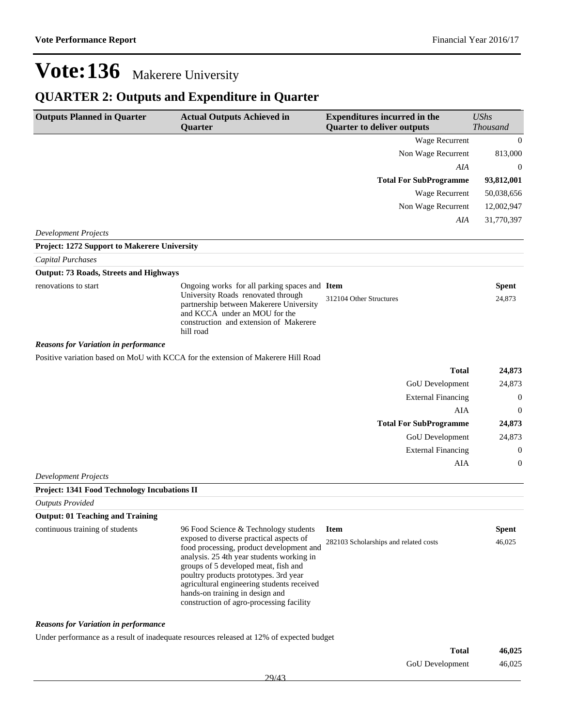GoU Development 46,025

## **Vote:136** Makerere University

## **QUARTER 2: Outputs and Expenditure in Quarter**

| <b>Outputs Planned in Quarter</b>             | <b>Actual Outputs Achieved in</b><br><b>Quarter</b>                                                                                                                                                                                                                                                                                                                                     | <b>Expenditures incurred in the</b><br><b>Quarter to deliver outputs</b> | <b>UShs</b><br>Thousand |
|-----------------------------------------------|-----------------------------------------------------------------------------------------------------------------------------------------------------------------------------------------------------------------------------------------------------------------------------------------------------------------------------------------------------------------------------------------|--------------------------------------------------------------------------|-------------------------|
|                                               |                                                                                                                                                                                                                                                                                                                                                                                         | Wage Recurrent                                                           | $\mathbf{0}$            |
|                                               |                                                                                                                                                                                                                                                                                                                                                                                         | Non Wage Recurrent                                                       | 813,000                 |
|                                               |                                                                                                                                                                                                                                                                                                                                                                                         | AIA                                                                      | $\theta$                |
|                                               |                                                                                                                                                                                                                                                                                                                                                                                         | <b>Total For SubProgramme</b>                                            | 93,812,001              |
|                                               |                                                                                                                                                                                                                                                                                                                                                                                         | Wage Recurrent                                                           | 50,038,656              |
|                                               |                                                                                                                                                                                                                                                                                                                                                                                         | Non Wage Recurrent                                                       | 12,002,947              |
|                                               |                                                                                                                                                                                                                                                                                                                                                                                         | AIA                                                                      | 31,770,397              |
| <b>Development Projects</b>                   |                                                                                                                                                                                                                                                                                                                                                                                         |                                                                          |                         |
| Project: 1272 Support to Makerere University  |                                                                                                                                                                                                                                                                                                                                                                                         |                                                                          |                         |
| Capital Purchases                             |                                                                                                                                                                                                                                                                                                                                                                                         |                                                                          |                         |
| <b>Output: 73 Roads, Streets and Highways</b> |                                                                                                                                                                                                                                                                                                                                                                                         |                                                                          |                         |
| renovations to start                          | Ongoing works for all parking spaces and Item<br>University Roads renovated through<br>partnership between Makerere University<br>and KCCA under an MOU for the<br>construction and extension of Makerere<br>hill road                                                                                                                                                                  | 312104 Other Structures                                                  | <b>Spent</b><br>24,873  |
| <b>Reasons for Variation in performance</b>   |                                                                                                                                                                                                                                                                                                                                                                                         |                                                                          |                         |
|                                               | Positive variation based on MoU with KCCA for the extension of Makerere Hill Road                                                                                                                                                                                                                                                                                                       |                                                                          |                         |
|                                               |                                                                                                                                                                                                                                                                                                                                                                                         | <b>Total</b>                                                             | 24,873                  |
|                                               |                                                                                                                                                                                                                                                                                                                                                                                         | GoU Development                                                          | 24,873                  |
|                                               |                                                                                                                                                                                                                                                                                                                                                                                         | <b>External Financing</b>                                                | $\mathbf{0}$            |
|                                               |                                                                                                                                                                                                                                                                                                                                                                                         | AIA                                                                      | $\theta$                |
|                                               |                                                                                                                                                                                                                                                                                                                                                                                         | <b>Total For SubProgramme</b>                                            | 24,873                  |
|                                               |                                                                                                                                                                                                                                                                                                                                                                                         | GoU Development                                                          | 24,873                  |
|                                               |                                                                                                                                                                                                                                                                                                                                                                                         | <b>External Financing</b>                                                | $\boldsymbol{0}$        |
|                                               |                                                                                                                                                                                                                                                                                                                                                                                         | AIA                                                                      | $\mathbf{0}$            |
| <b>Development Projects</b>                   |                                                                                                                                                                                                                                                                                                                                                                                         |                                                                          |                         |
| Project: 1341 Food Technology Incubations II  |                                                                                                                                                                                                                                                                                                                                                                                         |                                                                          |                         |
| <b>Outputs Provided</b>                       |                                                                                                                                                                                                                                                                                                                                                                                         |                                                                          |                         |
| <b>Output: 01 Teaching and Training</b>       |                                                                                                                                                                                                                                                                                                                                                                                         |                                                                          |                         |
| continuous training of students               | 96 Food Science & Technology students<br>exposed to diverse practical aspects of<br>food processing, product development and<br>analysis. 25 4th year students working in<br>groups of 5 developed meat, fish and<br>poultry products prototypes. 3rd year<br>agricultural engineering students received<br>hands-on training in design and<br>construction of agro-processing facility | <b>Item</b><br>282103 Scholarships and related costs                     | <b>Spent</b><br>46,025  |
| <b>Reasons for Variation in performance</b>   |                                                                                                                                                                                                                                                                                                                                                                                         |                                                                          |                         |
|                                               | Under performance as a result of inadequate resources released at 12% of expected budget                                                                                                                                                                                                                                                                                                | <b>Total</b>                                                             | 46,025                  |

29/43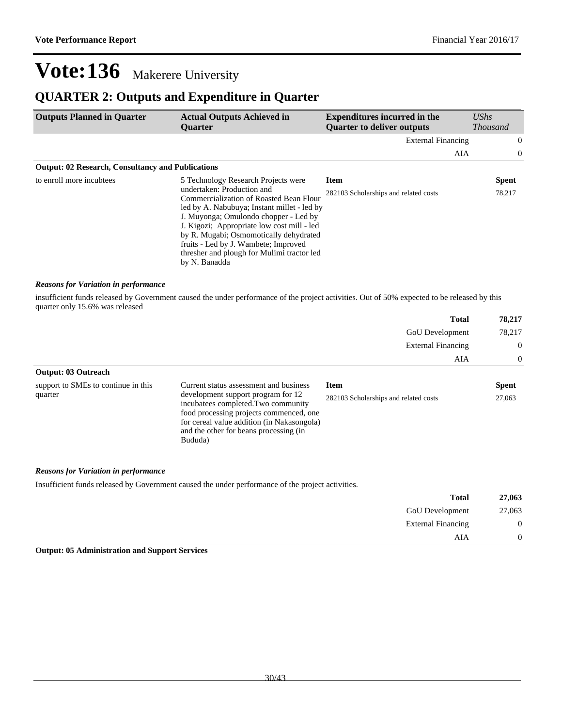### **QUARTER 2: Outputs and Expenditure in Quarter**

| <b>Outputs Planned in Quarter</b>                        | <b>Actual Outputs Achieved in</b><br><b>Ouarter</b>                                                                                                                                                                                                                                                                                                          | <b>Expenditures incurred in the</b><br><b>Ouarter to deliver outputs</b> | UShs<br><i>Thousand</i> |
|----------------------------------------------------------|--------------------------------------------------------------------------------------------------------------------------------------------------------------------------------------------------------------------------------------------------------------------------------------------------------------------------------------------------------------|--------------------------------------------------------------------------|-------------------------|
|                                                          |                                                                                                                                                                                                                                                                                                                                                              | <b>External Financing</b>                                                | $\overline{0}$          |
|                                                          |                                                                                                                                                                                                                                                                                                                                                              | AIA                                                                      | $\overline{0}$          |
| <b>Output: 02 Research, Consultancy and Publications</b> |                                                                                                                                                                                                                                                                                                                                                              |                                                                          |                         |
| to enroll more incubtees                                 | 5 Technology Research Projects were                                                                                                                                                                                                                                                                                                                          | <b>Item</b>                                                              | <b>Spent</b>            |
|                                                          | undertaken: Production and<br>Commercialization of Roasted Bean Flour<br>led by A. Nabubuya; Instant millet - led by<br>J. Muyonga; Omulondo chopper - Led by<br>J. Kigozi; Appropriate low cost mill - led<br>by R. Mugabi; Osmomotically dehydrated<br>fruits - Led by J. Wambete; Improved<br>thresher and plough for Mulimi tractor led<br>by N. Banadda | 282103 Scholarships and related costs                                    | 78,217                  |

#### *Reasons for Variation in performance*

insufficient funds released by Government caused the under performance of the project activities. Out of 50% expected to be released by this quarter only 15.6% was released

|                                     |                                                                           | <b>Total</b>                          | 78.217       |
|-------------------------------------|---------------------------------------------------------------------------|---------------------------------------|--------------|
|                                     |                                                                           | <b>GoU</b> Development                | 78.217       |
|                                     |                                                                           | <b>External Financing</b>             | $\Omega$     |
|                                     |                                                                           | AIA                                   | $\Omega$     |
| <b>Output: 03 Outreach</b>          |                                                                           |                                       |              |
| support to SMEs to continue in this | Current status assessment and business                                    | <b>Item</b>                           | <b>Spent</b> |
| quarter                             | development support program for 12<br>incubatees completed. Two community | 282103 Scholarships and related costs | 27,063       |
|                                     | food processing projects commenced, one                                   |                                       |              |

for cereal value addition (in Nakasongola) and the other for beans processing (in

#### *Reasons for Variation in performance*

Insufficient funds released by Government caused the under performance of the project activities.

Bududa)

| 27,063           | <b>Total</b>              |
|------------------|---------------------------|
| 27,063           | <b>GoU</b> Development    |
| $\boldsymbol{0}$ | <b>External Financing</b> |
| $\theta$         | AIA                       |

**Output: 05 Administration and Support Services**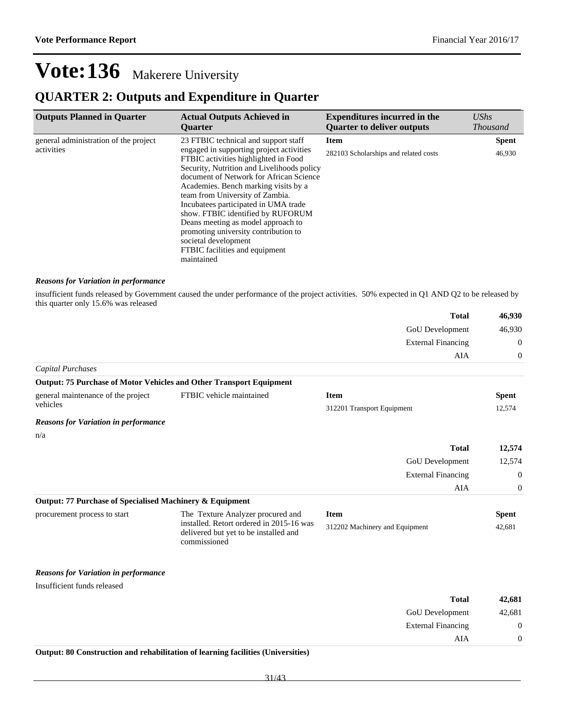External Financing 0

 $AIA \qquad \qquad 0$ 

## **Vote:136** Makerere University

### **QUARTER 2: Outputs and Expenditure in Quarter**

| <b>Outputs Planned in Quarter</b>     | <b>Actual Outputs Achieved in</b><br><b>Ouarter</b>                                                                                                                                                                                                                                                                                                                                                                                                                                     | <b>Expenditures incurred in the</b><br><b>Quarter to deliver outputs</b> | $\mathit{UShs}$<br><b>Thousand</b> |
|---------------------------------------|-----------------------------------------------------------------------------------------------------------------------------------------------------------------------------------------------------------------------------------------------------------------------------------------------------------------------------------------------------------------------------------------------------------------------------------------------------------------------------------------|--------------------------------------------------------------------------|------------------------------------|
| general administration of the project | 23 FTBIC technical and support staff                                                                                                                                                                                                                                                                                                                                                                                                                                                    | <b>Item</b>                                                              | <b>Spent</b>                       |
| activities                            | engaged in supporting project activities<br>FTBIC activities highlighted in Food<br>Security, Nutrition and Livelihoods policy<br>document of Network for African Science<br>Academies. Bench marking visits by a<br>team from University of Zambia.<br>Incubatees participated in UMA trade<br>show. FTBIC identified by RUFORUM<br>Deans meeting as model approach to<br>promoting university contribution to<br>societal development<br>FTBIC facilities and equipment<br>maintained | 282103 Scholarships and related costs                                    | 46,930                             |

#### *Reasons for Variation in performance*

insufficient funds released by Government caused the under performance of the project activities. 50% expected in Q1 AND Q2 to be released by this quarter only 15.6% was released

|                                                          |                                                                                                   | <b>Total</b>                   | 46,930           |
|----------------------------------------------------------|---------------------------------------------------------------------------------------------------|--------------------------------|------------------|
|                                                          |                                                                                                   | GoU Development                | 46,930           |
|                                                          |                                                                                                   | <b>External Financing</b>      | $\boldsymbol{0}$ |
|                                                          |                                                                                                   | AIA                            | $\theta$         |
| <b>Capital Purchases</b>                                 |                                                                                                   |                                |                  |
|                                                          | Output: 75 Purchase of Motor Vehicles and Other Transport Equipment                               |                                |                  |
| general maintenance of the project                       | FTBIC vehicle maintained                                                                          | <b>Item</b>                    | <b>Spent</b>     |
| vehicles                                                 |                                                                                                   | 312201 Transport Equipment     | 12,574           |
| <b>Reasons for Variation in performance</b>              |                                                                                                   |                                |                  |
| n/a                                                      |                                                                                                   |                                |                  |
|                                                          |                                                                                                   | <b>Total</b>                   | 12,574           |
|                                                          |                                                                                                   | GoU Development                | 12,574           |
|                                                          |                                                                                                   | <b>External Financing</b>      | $\theta$         |
|                                                          |                                                                                                   | AIA                            | $\theta$         |
| Output: 77 Purchase of Specialised Machinery & Equipment |                                                                                                   |                                |                  |
| procurement process to start                             | The Texture Analyzer procured and                                                                 | <b>Item</b>                    | <b>Spent</b>     |
|                                                          | installed. Retort ordered in 2015-16 was<br>delivered but yet to be installed and<br>commissioned | 312202 Machinery and Equipment | 42,681           |
| <b>Reasons for Variation in performance</b>              |                                                                                                   |                                |                  |
| Insufficient funds released                              |                                                                                                   |                                |                  |
|                                                          |                                                                                                   | <b>Total</b>                   | 42,681           |
|                                                          |                                                                                                   | GoU Development                | 42.681           |

#### **Output: 80 Construction and rehabilitation of learning facilities (Universities)**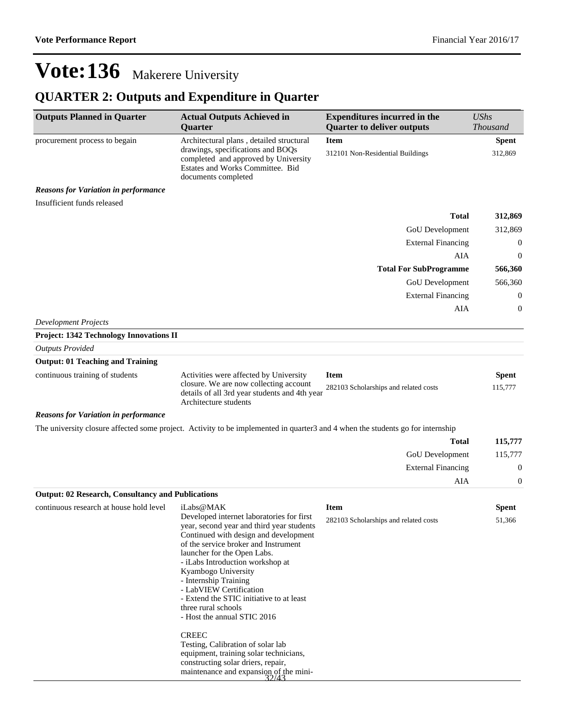## **QUARTER 2: Outputs and Expenditure in Quarter**

| <b>Outputs Planned in Quarter</b>                        | <b>Actual Outputs Achieved in</b><br>Quarter                                                                                                                                                                                                                                                                                                                                                                            | <b>Expenditures incurred in the</b><br><b>Quarter to deliver outputs</b> | <b>UShs</b><br><b>Thousand</b> |
|----------------------------------------------------------|-------------------------------------------------------------------------------------------------------------------------------------------------------------------------------------------------------------------------------------------------------------------------------------------------------------------------------------------------------------------------------------------------------------------------|--------------------------------------------------------------------------|--------------------------------|
| procurement process to begain                            | Architectural plans, detailed structural                                                                                                                                                                                                                                                                                                                                                                                | <b>Item</b>                                                              | <b>Spent</b>                   |
|                                                          | drawings, specifications and BOQs<br>completed and approved by University<br>Estates and Works Committee. Bid<br>documents completed                                                                                                                                                                                                                                                                                    | 312101 Non-Residential Buildings                                         | 312,869                        |
| <b>Reasons for Variation in performance</b>              |                                                                                                                                                                                                                                                                                                                                                                                                                         |                                                                          |                                |
| Insufficient funds released                              |                                                                                                                                                                                                                                                                                                                                                                                                                         |                                                                          |                                |
|                                                          |                                                                                                                                                                                                                                                                                                                                                                                                                         | <b>Total</b>                                                             | 312,869                        |
|                                                          |                                                                                                                                                                                                                                                                                                                                                                                                                         | GoU Development                                                          | 312,869                        |
|                                                          |                                                                                                                                                                                                                                                                                                                                                                                                                         | <b>External Financing</b>                                                | $\boldsymbol{0}$               |
|                                                          |                                                                                                                                                                                                                                                                                                                                                                                                                         | AIA                                                                      | 0                              |
|                                                          |                                                                                                                                                                                                                                                                                                                                                                                                                         | <b>Total For SubProgramme</b>                                            | 566,360                        |
|                                                          |                                                                                                                                                                                                                                                                                                                                                                                                                         | GoU Development                                                          | 566,360                        |
|                                                          |                                                                                                                                                                                                                                                                                                                                                                                                                         | <b>External Financing</b>                                                | $\boldsymbol{0}$               |
|                                                          |                                                                                                                                                                                                                                                                                                                                                                                                                         | AIA                                                                      | 0                              |
| <b>Development Projects</b>                              |                                                                                                                                                                                                                                                                                                                                                                                                                         |                                                                          |                                |
| Project: 1342 Technology Innovations II                  |                                                                                                                                                                                                                                                                                                                                                                                                                         |                                                                          |                                |
| <b>Outputs Provided</b>                                  |                                                                                                                                                                                                                                                                                                                                                                                                                         |                                                                          |                                |
| <b>Output: 01 Teaching and Training</b>                  |                                                                                                                                                                                                                                                                                                                                                                                                                         |                                                                          |                                |
| continuous training of students                          | Activities were affected by University<br>closure. We are now collecting account<br>details of all 3rd year students and 4th year<br>Architecture students                                                                                                                                                                                                                                                              | <b>Item</b><br>282103 Scholarships and related costs                     | <b>Spent</b><br>115,777        |
| <b>Reasons for Variation in performance</b>              |                                                                                                                                                                                                                                                                                                                                                                                                                         |                                                                          |                                |
|                                                          | The university closure affected some project. Activity to be implemented in quarter3 and 4 when the students go for internship                                                                                                                                                                                                                                                                                          |                                                                          |                                |
|                                                          |                                                                                                                                                                                                                                                                                                                                                                                                                         | <b>Total</b>                                                             | 115,777                        |
|                                                          |                                                                                                                                                                                                                                                                                                                                                                                                                         | <b>GoU</b> Development                                                   | 115,777                        |
|                                                          |                                                                                                                                                                                                                                                                                                                                                                                                                         | <b>External Financing</b>                                                | 0                              |
|                                                          |                                                                                                                                                                                                                                                                                                                                                                                                                         | AIA                                                                      | 0                              |
| <b>Output: 02 Research, Consultancy and Publications</b> |                                                                                                                                                                                                                                                                                                                                                                                                                         |                                                                          |                                |
| continuous research at house hold level                  | iLabs@MAK                                                                                                                                                                                                                                                                                                                                                                                                               | <b>Item</b>                                                              | <b>Spent</b>                   |
|                                                          | Developed internet laboratories for first<br>year, second year and third year students<br>Continued with design and development<br>of the service broker and Instrument<br>launcher for the Open Labs.<br>- iLabs Introduction workshop at<br>Kyambogo University<br>- Internship Training<br>- LabVIEW Certification<br>- Extend the STIC initiative to at least<br>three rural schools<br>- Host the annual STIC 2016 | 282103 Scholarships and related costs                                    | 51,366                         |
|                                                          | <b>CREEC</b><br>Testing, Calibration of solar lab<br>equipment, training solar technicians,<br>constructing solar driers, repair,<br>maintenance and expansion of the mini-<br>$\frac{32/43}{\cdots}$                                                                                                                                                                                                                   |                                                                          |                                |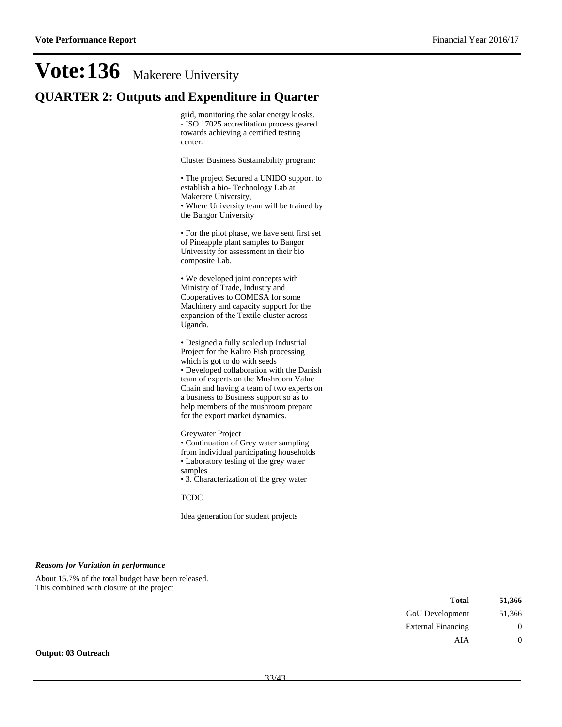### **QUARTER 2: Outputs and Expenditure in Quarter**

grid, monitoring the solar energy kiosks. - ISO 17025 accreditation process geared towards achieving a certified testing center.

Cluster Business Sustainability program:

The project Secured a UNIDO support to establish a bio- Technology Lab at Makerere University, Where University team will be trained by the Bangor University

For the pilot phase, we have sent first set of Pineapple plant samples to Bangor University for assessment in their bio composite Lab.

We developed joint concepts with Ministry of Trade, Industry and Cooperatives to COMESA for some Machinery and capacity support for the expansion of the Textile cluster across Uganda.

Designed a fully scaled up Industrial Project for the Kaliro Fish processing which is got to do with seeds Developed collaboration with the Danish team of experts on the Mushroom Value Chain and having a team of two experts on a business to Business support so as to help members of the mushroom prepare for the export market dynamics.

Greywater Project

Continuation of Grey water sampling from individual participating households Laboratory testing of the grey water samples

3. Characterization of the grey water

TCDC

Idea generation for student projects

#### *Reasons for Variation in performance*

About 15.7% of the total budget have been released. This combined with closure of the project

| <b>Total</b>              | 51,366         |
|---------------------------|----------------|
| GoU Development           | 51,366         |
| <b>External Financing</b> | $\overline{0}$ |
| AIA                       | $\overline{0}$ |
| $\Omega$ utuoook          |                |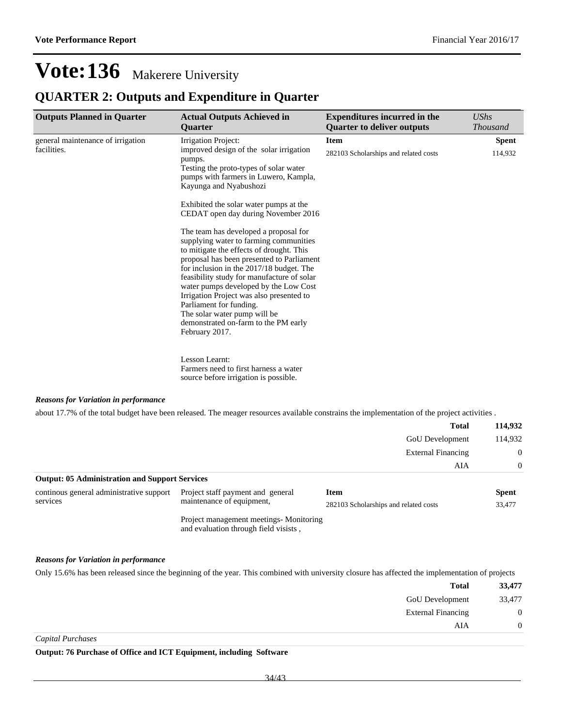### **QUARTER 2: Outputs and Expenditure in Quarter**

| <b>Outputs Planned in Quarter</b>                | <b>Actual Outputs Achieved in</b><br><b>Ouarter</b>                                                                                                                                                                                                                                                                                                                                                                                                                                                                                                                                                                                                                                                                                                    | <b>Expenditures incurred in the</b><br><b>Quarter to deliver outputs</b> | <b>UShs</b><br><i>Thousand</i> |
|--------------------------------------------------|--------------------------------------------------------------------------------------------------------------------------------------------------------------------------------------------------------------------------------------------------------------------------------------------------------------------------------------------------------------------------------------------------------------------------------------------------------------------------------------------------------------------------------------------------------------------------------------------------------------------------------------------------------------------------------------------------------------------------------------------------------|--------------------------------------------------------------------------|--------------------------------|
| general maintenance of irrigation<br>facilities. | Irrigation Project:<br>improved design of the solar irrigation<br>pumps.<br>Testing the proto-types of solar water<br>pumps with farmers in Luwero, Kampla,<br>Kayunga and Nyabushozi<br>Exhibited the solar water pumps at the<br>CEDAT open day during November 2016<br>The team has developed a proposal for<br>supplying water to farming communities<br>to mitigate the effects of drought. This<br>proposal has been presented to Parliament<br>for inclusion in the 2017/18 budget. The<br>feasibility study for manufacture of solar<br>water pumps developed by the Low Cost<br>Irrigation Project was also presented to<br>Parliament for funding.<br>The solar water pump will be<br>demonstrated on-farm to the PM early<br>February 2017. | <b>Item</b><br>282103 Scholarships and related costs                     | <b>Spent</b><br>114,932        |
|                                                  | Lesson Learnt:<br>Farmers need to first harness a water<br>source before irrigation is possible.                                                                                                                                                                                                                                                                                                                                                                                                                                                                                                                                                                                                                                                       |                                                                          |                                |

#### *Reasons for Variation in performance*

about 17.7% of the total budget have been released. The meager resources available constrains the implementation of the project activities .

|                                                       |                                   | <b>Total</b>                                               | 114,932                         |
|-------------------------------------------------------|-----------------------------------|------------------------------------------------------------|---------------------------------|
|                                                       |                                   | <b>GoU</b> Development<br><b>External Financing</b><br>AIA | 114,932<br>$\Omega$<br>$\Omega$ |
|                                                       |                                   |                                                            |                                 |
|                                                       |                                   |                                                            |                                 |
| <b>Output: 05 Administration and Support Services</b> |                                   |                                                            |                                 |
| continous general administrative support              | Project staff payment and general | Item                                                       | <b>Spent</b>                    |
| services                                              | maintenance of equipment,         | 282103 Scholarships and related costs                      | 33,477                          |

Project management meetings- Monitoring and evaluation through field visists ,

#### *Reasons for Variation in performance*

Only 15.6% has been released since the beginning of the year. This combined with university closure has affected the implementation of projects

| 33,477           | <b>Total</b>              |
|------------------|---------------------------|
| 33,477           | GoU Development           |
| $\boldsymbol{0}$ | <b>External Financing</b> |
|                  | AIA                       |
|                  |                           |

*Capital Purchases*

**Output: 76 Purchase of Office and ICT Equipment, including Software**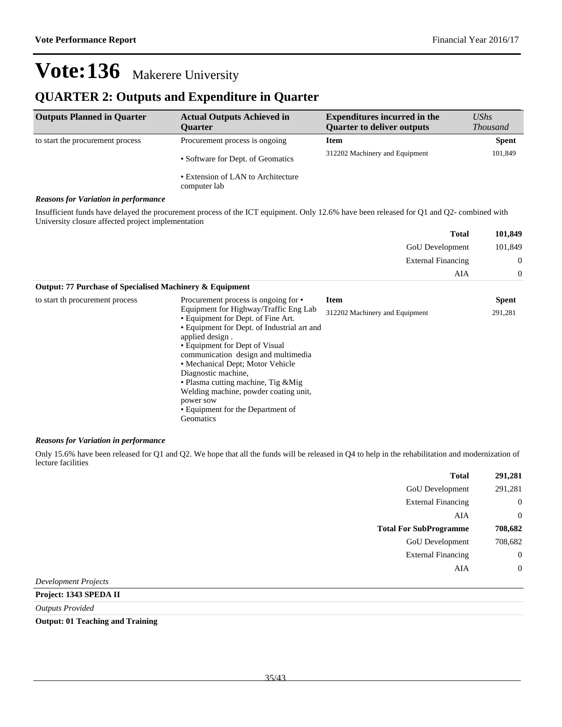### **QUARTER 2: Outputs and Expenditure in Quarter**

| <b>Outputs Planned in Quarter</b>                                                            | <b>Actual Outputs Achieved in</b><br><b>Ouarter</b> | <b>Expenditures incurred in the</b><br><b>Quarter to deliver outputs</b> | $\mathit{UShs}$<br><b>Thousand</b> |
|----------------------------------------------------------------------------------------------|-----------------------------------------------------|--------------------------------------------------------------------------|------------------------------------|
| to start the procurement process                                                             | Procurement process is ongoing                      | Item                                                                     | <b>Spent</b>                       |
|                                                                                              | • Software for Dept. of Geomatics                   | 312202 Machinery and Equipment                                           | 101,849                            |
|                                                                                              | • Extension of LAN to Architecture<br>computer lab  |                                                                          |                                    |
| $\bf{D}$ and are $\bf{L}$ and $\bf{V}$ and at $\bf{L}$ are $\bf{L}$ are another second order |                                                     |                                                                          |                                    |

#### *Reasons for Variation in performance*

Insufficient funds have delayed the procurement process of the ICT equipment. Only 12.6% have been released for Q1 and Q2- combined with University closure affected project implementation

| 101,849          | <b>Total</b>              |
|------------------|---------------------------|
| 101,849          | GoU Development           |
| $\boldsymbol{0}$ | <b>External Financing</b> |
|                  | AIA                       |
|                  |                           |

| Output: 77 Purchase of Specialised Machinery & Equipment |                                                                                                                                                                                                                                                                                                                                                                                |                                |              |
|----------------------------------------------------------|--------------------------------------------------------------------------------------------------------------------------------------------------------------------------------------------------------------------------------------------------------------------------------------------------------------------------------------------------------------------------------|--------------------------------|--------------|
| to start th procurement process                          | Procurement process is ongoing for •                                                                                                                                                                                                                                                                                                                                           | <b>Item</b>                    | <b>Spent</b> |
|                                                          | Equipment for Highway/Traffic Eng Lab<br>• Equipment for Dept. of Fine Art.<br>• Equipment for Dept. of Industrial art and<br>applied design.<br>• Equipment for Dept of Visual<br>communication design and multimedia<br>• Mechanical Dept; Motor Vehicle<br>Diagnostic machine,<br>• Plasma cutting machine, Tig & Mig<br>Welding machine, powder coating unit,<br>power sow | 312202 Machinery and Equipment | 291,281      |
|                                                          | • Equipment for the Department of<br>Geomatics                                                                                                                                                                                                                                                                                                                                 |                                |              |

#### *Reasons for Variation in performance*

Only 15.6% have been released for Q1 and Q2. We hope that all the funds will be released in Q4 to help in the rehabilitation and modernization of lecture facilities

| 291,281        | <b>Total</b>                  |  |
|----------------|-------------------------------|--|
| 291,281        | GoU Development               |  |
| $\mathbf{0}$   | <b>External Financing</b>     |  |
| $\overline{0}$ | AIA                           |  |
| 708,682        | <b>Total For SubProgramme</b> |  |
| 708,682        | GoU Development               |  |
| $\overline{0}$ | <b>External Financing</b>     |  |
| $\overline{0}$ | AIA                           |  |
|                | $ -$                          |  |

*Development Projects*

**Project: 1343 SPEDA II**

*Outputs Provided*

**Output: 01 Teaching and Training**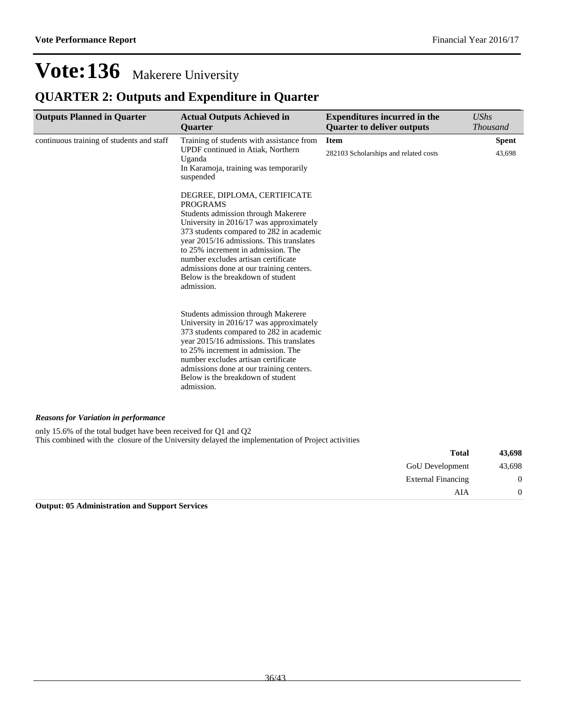## **QUARTER 2: Outputs and Expenditure in Quarter**

| <b>Outputs Planned in Quarter</b>                               | <b>Actual Outputs Achieved in</b><br>Quarter                                                                                                                                                                                                                                                                                                                                                          | <b>Expenditures incurred in the</b><br><b>Quarter to deliver outputs</b> | UShs<br><b>Thousand</b> |
|-----------------------------------------------------------------|-------------------------------------------------------------------------------------------------------------------------------------------------------------------------------------------------------------------------------------------------------------------------------------------------------------------------------------------------------------------------------------------------------|--------------------------------------------------------------------------|-------------------------|
| continuous training of students and staff                       | Training of students with assistance from<br>UPDF continued in Atiak, Northern<br>Uganda<br>In Karamoja, training was temporarily<br>suspended                                                                                                                                                                                                                                                        | <b>Item</b><br>282103 Scholarships and related costs                     | <b>Spent</b><br>43,698  |
|                                                                 | DEGREE, DIPLOMA, CERTIFICATE<br><b>PROGRAMS</b><br>Students admission through Makerere<br>University in 2016/17 was approximately<br>373 students compared to 282 in academic<br>year 2015/16 admissions. This translates<br>to 25% increment in admission. The<br>number excludes artisan certificate<br>admissions done at our training centers.<br>Below is the breakdown of student<br>admission. |                                                                          |                         |
|                                                                 | Students admission through Makerere<br>University in 2016/17 was approximately<br>373 students compared to 282 in academic<br>year 2015/16 admissions. This translates<br>to 25% increment in admission. The<br>number excludes artisan certificate<br>admissions done at our training centers.<br>Below is the breakdown of student<br>admission.                                                    |                                                                          |                         |
| <b>Reasons for Variation in performance</b>                     |                                                                                                                                                                                                                                                                                                                                                                                                       |                                                                          |                         |
| only 15.6% of the total budget have been received for Q1 and Q2 | This combined with the closure of the University delayed the implementation of Project activities                                                                                                                                                                                                                                                                                                     |                                                                          |                         |
|                                                                 |                                                                                                                                                                                                                                                                                                                                                                                                       | <b>Total</b>                                                             | 43,698                  |
|                                                                 |                                                                                                                                                                                                                                                                                                                                                                                                       | <b>GoU</b> Development                                                   | 43,698                  |
|                                                                 |                                                                                                                                                                                                                                                                                                                                                                                                       | <b>External Financing</b>                                                | $\boldsymbol{0}$        |
|                                                                 |                                                                                                                                                                                                                                                                                                                                                                                                       | AIA                                                                      | $\overline{0}$          |

**Output: 05 Administration and Support Services**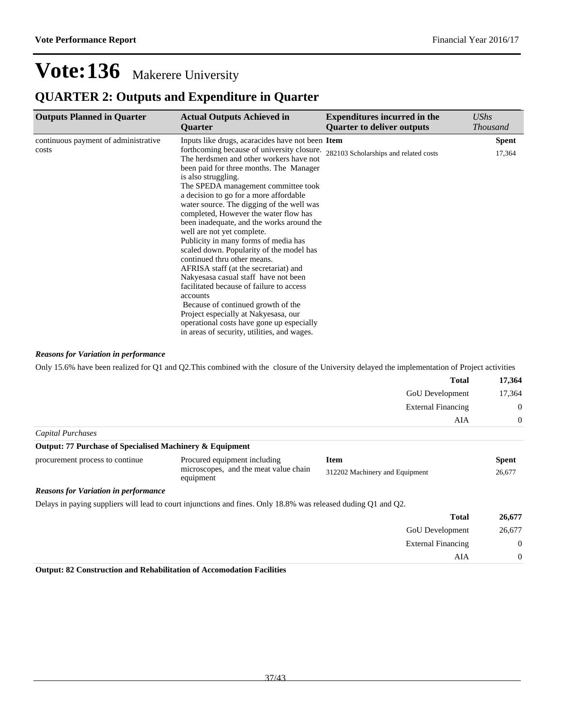### **QUARTER 2: Outputs and Expenditure in Quarter**

| <b>Actual Outputs Achieved in</b><br><b>Ouarter</b>                                                                                                                                                                                                                                                                                                                                                                                                                                                                                                                                                                                                                                                                                                | <b>Expenditures incurred in the</b><br><b>Quarter to deliver outputs</b> | <b>UShs</b><br><b>Thousand</b>                                                                 |
|----------------------------------------------------------------------------------------------------------------------------------------------------------------------------------------------------------------------------------------------------------------------------------------------------------------------------------------------------------------------------------------------------------------------------------------------------------------------------------------------------------------------------------------------------------------------------------------------------------------------------------------------------------------------------------------------------------------------------------------------------|--------------------------------------------------------------------------|------------------------------------------------------------------------------------------------|
| The herdsmen and other workers have not<br>been paid for three months. The Manager<br>is also struggling.<br>The SPEDA management committee took<br>a decision to go for a more affordable<br>water source. The digging of the well was<br>completed, However the water flow has<br>been inadequate, and the works around the<br>well are not yet complete.<br>Publicity in many forms of media has<br>scaled down. Popularity of the model has<br>continued thru other means.<br>AFRISA staff (at the secretariat) and<br>Nakyesasa casual staff have not been<br>facilitated because of failure to access<br>accounts<br>Because of continued growth of the<br>Project especially at Nakyesasa, our<br>operational costs have gone up especially | 282103 Scholarships and related costs                                    | <b>Spent</b><br>17,364                                                                         |
|                                                                                                                                                                                                                                                                                                                                                                                                                                                                                                                                                                                                                                                                                                                                                    | in areas of security, utilities, and wages.                              | Inputs like drugs, acaracides have not been Item<br>forthcoming because of university closure. |

*Reasons for Variation in performance*

Only 15.6% have been realized for Q1 and Q2.This combined with the closure of the University delayed the implementation of Project activities

|                   | <b>Total</b>              | 17,364         |
|-------------------|---------------------------|----------------|
|                   | GoU Development           | 17,364         |
|                   | <b>External Financing</b> | $\overline{0}$ |
|                   | AIA                       | $\theta$       |
| Capital Purchases |                           |                |

| <b>Output: 77 Purchase of Specialised Machinery &amp; Equipment</b> |                                                    |                                |        |  |
|---------------------------------------------------------------------|----------------------------------------------------|--------------------------------|--------|--|
| procurement process to continue                                     | Procured equipment including                       | <b>Item</b>                    | Spent  |  |
|                                                                     | microscopes, and the meat value chain<br>equipment | 312202 Machinery and Equipment | 26,677 |  |
| <b>Degraps for Variation in performance</b>                         |                                                    |                                |        |  |

#### *Reasons for Variation in performance*

Delays in paying suppliers will lead to court injunctions and fines. Only 18.8% was released duding Q1 and Q2.

| 26,677           | <b>Total</b>              |
|------------------|---------------------------|
| 26,677           | <b>GoU</b> Development    |
| $\boldsymbol{0}$ | <b>External Financing</b> |
| $\Omega$         | AIA                       |

**Output: 82 Construction and Rehabilitation of Accomodation Facilities**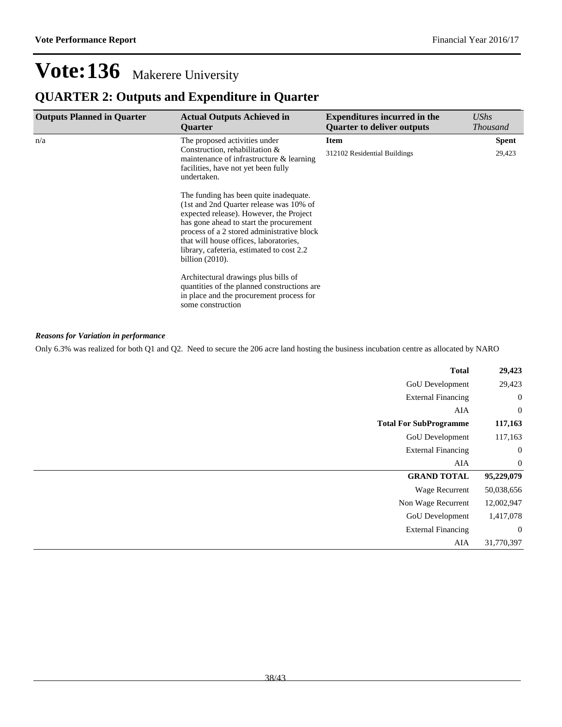### **QUARTER 2: Outputs and Expenditure in Quarter**

| <b>Outputs Planned in Quarter</b> | <b>Actual Outputs Achieved in</b><br><b>Ouarter</b>                                                                                                                                                                                                                                                                                | <b>Expenditures incurred in the</b><br><b>Quarter to deliver outputs</b> | <b>UShs</b><br><b>Thousand</b> |
|-----------------------------------|------------------------------------------------------------------------------------------------------------------------------------------------------------------------------------------------------------------------------------------------------------------------------------------------------------------------------------|--------------------------------------------------------------------------|--------------------------------|
| n/a                               | The proposed activities under                                                                                                                                                                                                                                                                                                      | <b>Item</b>                                                              | <b>Spent</b>                   |
|                                   | Construction, rehabilitation &<br>maintenance of infrastructure $\&$ learning<br>facilities, have not yet been fully<br>undertaken.                                                                                                                                                                                                | 312102 Residential Buildings                                             | 29,423                         |
|                                   | The funding has been quite inadequate.<br>(1st and 2nd Quarter release was 10% of<br>expected release). However, the Project<br>has gone ahead to start the procurement<br>process of a 2 stored administrative block<br>that will house offices, laboratories,<br>library, cafeteria, estimated to cost 2.2<br>billion $(2010)$ . |                                                                          |                                |
|                                   | Architectural drawings plus bills of<br>quantities of the planned constructions are.<br>in place and the procurement process for<br>some construction                                                                                                                                                                              |                                                                          |                                |

#### *Reasons for Variation in performance*

Only 6.3% was realized for both Q1 and Q2. Need to secure the 206 acre land hosting the business incubation centre as allocated by NARO

| <b>Total</b>                  | 29,423           |
|-------------------------------|------------------|
| GoU Development               | 29,423           |
| <b>External Financing</b>     | $\boldsymbol{0}$ |
| AIA                           | $\boldsymbol{0}$ |
| <b>Total For SubProgramme</b> | 117,163          |
| GoU Development               | 117,163          |
| <b>External Financing</b>     | $\boldsymbol{0}$ |
| AIA                           | $\mathbf{0}$     |
| <b>GRAND TOTAL</b>            | 95,229,079       |
| Wage Recurrent                | 50,038,656       |
| Non Wage Recurrent            | 12,002,947       |
| GoU Development               | 1,417,078        |
| <b>External Financing</b>     | $\mathbf{0}$     |
| AIA                           | 31,770,397       |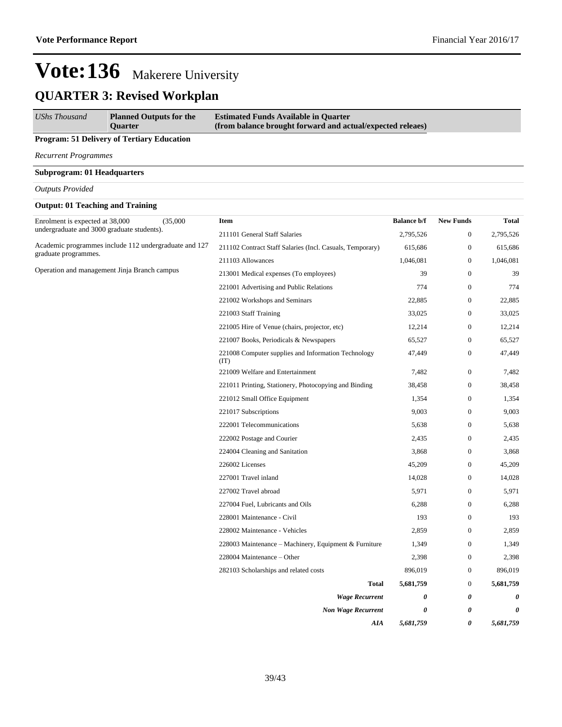## **QUARTER 3: Revised Workplan**

| <b>UShs Thousand</b> | <b>Planned Outputs for the</b> | <b>Estimated Funds Available in Quarter</b>                |
|----------------------|--------------------------------|------------------------------------------------------------|
|                      | <b>Ouarter</b>                 | (from balance brought forward and actual/expected releaes) |

#### **Program: 51 Delivery of Tertiary Education**

*Recurrent Programmes*

#### **Subprogram: 01 Headquarters**

*Outputs Provided*

#### **Output: 01 Teaching and Training**

| Enrolment is expected at 38,000<br>undergraduate and 3000 graduate students). | (35,000) | Item                                                        | <b>Balance b/f</b> | <b>New Funds</b> | Total     |
|-------------------------------------------------------------------------------|----------|-------------------------------------------------------------|--------------------|------------------|-----------|
|                                                                               |          | 211101 General Staff Salaries                               | 2,795,526          | $\mathbf{0}$     | 2,795,526 |
| Academic programmes include 112 undergraduate and 127<br>graduate programmes. |          | 211102 Contract Staff Salaries (Incl. Casuals, Temporary)   | 615,686            | $\boldsymbol{0}$ | 615,686   |
|                                                                               |          | 211103 Allowances                                           | 1,046,081          | $\mathbf{0}$     | 1,046,081 |
| Operation and management Jinja Branch campus                                  |          | 213001 Medical expenses (To employees)                      | 39                 | $\mathbf{0}$     | 39        |
|                                                                               |          | 221001 Advertising and Public Relations                     | 774                | $\overline{0}$   | 774       |
|                                                                               |          | 221002 Workshops and Seminars                               | 22,885             | $\mathbf{0}$     | 22,885    |
|                                                                               |          | 221003 Staff Training                                       | 33,025             | $\mathbf{0}$     | 33,025    |
|                                                                               |          | 221005 Hire of Venue (chairs, projector, etc)               | 12,214             | $\boldsymbol{0}$ | 12,214    |
|                                                                               |          | 221007 Books, Periodicals & Newspapers                      | 65,527             | $\mathbf{0}$     | 65,527    |
|                                                                               |          | 221008 Computer supplies and Information Technology<br>(TT) | 47,449             | $\boldsymbol{0}$ | 47,449    |
|                                                                               |          | 221009 Welfare and Entertainment                            | 7,482              | $\boldsymbol{0}$ | 7,482     |
|                                                                               |          | 221011 Printing, Stationery, Photocopying and Binding       | 38,458             | $\boldsymbol{0}$ | 38,458    |
|                                                                               |          | 221012 Small Office Equipment                               | 1,354              | $\boldsymbol{0}$ | 1,354     |
|                                                                               |          | 221017 Subscriptions                                        | 9,003              | $\mathbf{0}$     | 9,003     |
|                                                                               |          | 222001 Telecommunications                                   | 5,638              | $\boldsymbol{0}$ | 5,638     |
|                                                                               |          | 222002 Postage and Courier                                  | 2,435              | $\boldsymbol{0}$ | 2,435     |
|                                                                               |          | 224004 Cleaning and Sanitation                              | 3,868              | $\boldsymbol{0}$ | 3,868     |
|                                                                               |          | 226002 Licenses                                             | 45,209             | $\boldsymbol{0}$ | 45,209    |
|                                                                               |          | 227001 Travel inland                                        | 14,028             | $\mathbf{0}$     | 14,028    |
|                                                                               |          | 227002 Travel abroad                                        | 5,971              | $\boldsymbol{0}$ | 5,971     |
|                                                                               |          | 227004 Fuel, Lubricants and Oils                            | 6,288              | $\boldsymbol{0}$ | 6,288     |
|                                                                               |          | 228001 Maintenance - Civil                                  | 193                | $\boldsymbol{0}$ | 193       |
|                                                                               |          | 228002 Maintenance - Vehicles                               | 2,859              | $\boldsymbol{0}$ | 2,859     |
|                                                                               |          | 228003 Maintenance – Machinery, Equipment & Furniture       | 1,349              | $\boldsymbol{0}$ | 1,349     |
|                                                                               |          | 228004 Maintenance - Other                                  | 2,398              | $\boldsymbol{0}$ | 2,398     |
|                                                                               |          | 282103 Scholarships and related costs                       | 896,019            | $\boldsymbol{0}$ | 896,019   |
|                                                                               |          | <b>Total</b>                                                | 5,681,759          | $\boldsymbol{0}$ | 5,681,759 |
|                                                                               |          | <b>Wage Recurrent</b>                                       | 0                  | 0                | 0         |
|                                                                               |          | <b>Non Wage Recurrent</b>                                   | 0                  | 0                | 0         |
|                                                                               |          | AIA                                                         | 5,681,759          | 0                | 5,681,759 |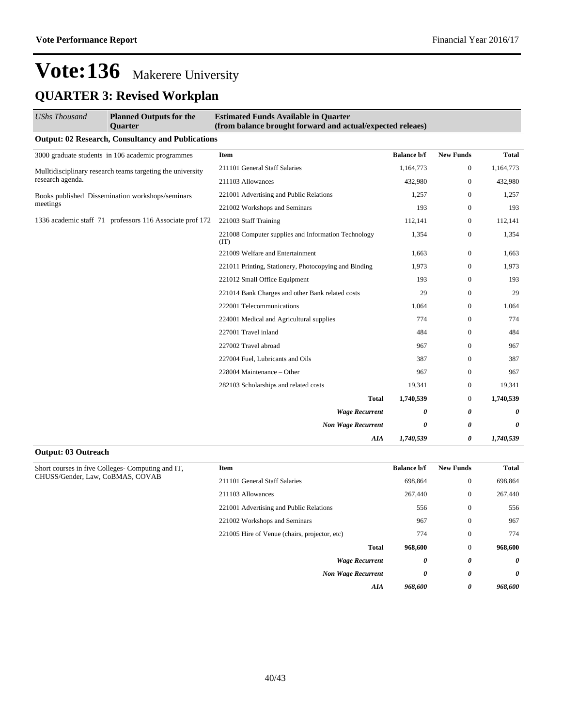## **QUARTER 3: Revised Workplan**

| UShs Thousand    | <b>Planned Outputs for the</b><br><b>Ouarter</b>           | <b>Estimated Funds Available in Quarter</b><br>(from balance brought forward and actual/expected releaes) |                    |                  |           |
|------------------|------------------------------------------------------------|-----------------------------------------------------------------------------------------------------------|--------------------|------------------|-----------|
|                  | <b>Output: 02 Research, Consultancy and Publications</b>   |                                                                                                           |                    |                  |           |
|                  | 3000 graduate students in 106 academic programmes          | Item                                                                                                      | <b>Balance b/f</b> | <b>New Funds</b> | Total     |
|                  | Mulltidisciplinary research teams targeting the university | 211101 General Staff Salaries                                                                             | 1,164,773          | 0                | 1,164,773 |
| research agenda. |                                                            | 211103 Allowances                                                                                         | 432,980            | $\mathbf{0}$     | 432,980   |
|                  | Books published Dissemination workshops/seminars           | 221001 Advertising and Public Relations                                                                   | 1,257              | $\mathbf{0}$     | 1,257     |
| meetings         |                                                            | 221002 Workshops and Seminars                                                                             | 193                | $\overline{0}$   | 193       |
|                  | 1336 academic staff 71 professors 116 Associate prof 172   | 221003 Staff Training                                                                                     | 112,141            | $\mathbf{0}$     | 112,141   |
|                  |                                                            | 221008 Computer supplies and Information Technology<br>(TT)                                               | 1,354              | $\overline{0}$   | 1,354     |
|                  |                                                            | 221009 Welfare and Entertainment                                                                          | 1,663              | $\overline{0}$   | 1,663     |
|                  |                                                            | 221011 Printing, Stationery, Photocopying and Binding                                                     | 1,973              | $\overline{0}$   | 1,973     |
|                  |                                                            | 221012 Small Office Equipment                                                                             | 193                | $\overline{0}$   | 193       |
|                  |                                                            | 221014 Bank Charges and other Bank related costs                                                          | 29                 | $\mathbf{0}$     | 29        |
|                  |                                                            | 222001 Telecommunications                                                                                 | 1,064              | $\overline{0}$   | 1,064     |
|                  |                                                            | 224001 Medical and Agricultural supplies                                                                  | 774                | $\mathbf{0}$     | 774       |
|                  |                                                            | 227001 Travel inland                                                                                      | 484                | $\overline{0}$   | 484       |
|                  |                                                            | 227002 Travel abroad                                                                                      | 967                | $\overline{0}$   | 967       |
|                  |                                                            | 227004 Fuel, Lubricants and Oils                                                                          | 387                | $\mathbf{0}$     | 387       |
|                  |                                                            | 228004 Maintenance - Other                                                                                | 967                | $\overline{0}$   | 967       |
|                  |                                                            | 282103 Scholarships and related costs                                                                     | 19,341             | $\overline{0}$   | 19,341    |
|                  |                                                            | <b>Total</b>                                                                                              | 1,740,539          | $\overline{0}$   | 1,740,539 |
|                  |                                                            | <b>Wage Recurrent</b>                                                                                     | 0                  | 0                | 0         |
|                  |                                                            | <b>Non Wage Recurrent</b>                                                                                 | 0                  | 0                | 0         |
|                  |                                                            | AIA                                                                                                       | 1,740,539          | 0                | 1,740,539 |

#### **Output: 03 Outreach**

| <b>New Funds</b><br><b>Balance b/f</b> | Item                                          | Short courses in five Colleges- Computing and IT, |
|----------------------------------------|-----------------------------------------------|---------------------------------------------------|
| 698,864                                | 211101 General Staff Salaries                 | CHUSS/Gender, Law, CoBMAS, COVAB                  |
| 267,440                                | 211103 Allowances                             |                                                   |
| 556                                    | 221001 Advertising and Public Relations       |                                                   |
| 967                                    | 221002 Workshops and Seminars                 |                                                   |
| 774                                    | 221005 Hire of Venue (chairs, projector, etc) |                                                   |
| <b>Total</b><br>968,600                |                                               |                                                   |
| 0                                      | <b>Wage Recurrent</b>                         |                                                   |
| 0                                      | <b>Non Wage Recurrent</b>                     |                                                   |
| 968,600<br>AIA                         |                                               |                                                   |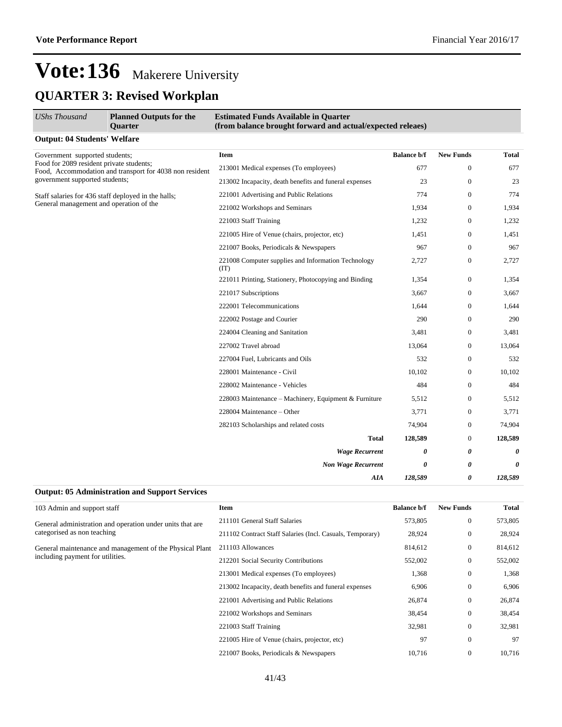## **QUARTER 3: Revised Workplan**

| <b>UShs Thousand</b>                                                                                                                  | <b>Planned Outputs for the</b><br><b>Ouarter</b>            | <b>Estimated Funds Available in Quarter</b><br>(from balance brought forward and actual/expected releaes) |                    |                  |         |
|---------------------------------------------------------------------------------------------------------------------------------------|-------------------------------------------------------------|-----------------------------------------------------------------------------------------------------------|--------------------|------------------|---------|
| <b>Output: 04 Students' Welfare</b>                                                                                                   |                                                             |                                                                                                           |                    |                  |         |
| Government supported students;                                                                                                        |                                                             | Item                                                                                                      | <b>Balance b/f</b> | <b>New Funds</b> | Total   |
| Food for 2089 resident private students;<br>Food, Accommodation and transport for 4038 non resident<br>government supported students; | 213001 Medical expenses (To employees)                      | 677                                                                                                       | $\overline{0}$     | 677              |         |
|                                                                                                                                       | 213002 Incapacity, death benefits and funeral expenses      | 23                                                                                                        | $\boldsymbol{0}$   | 23               |         |
| Staff salaries for 436 staff deployed in the halls;                                                                                   |                                                             | 221001 Advertising and Public Relations                                                                   | 774                | $\mathbf{0}$     | 774     |
| General management and operation of the                                                                                               |                                                             | 221002 Workshops and Seminars                                                                             | 1,934              | $\overline{0}$   | 1,934   |
|                                                                                                                                       |                                                             | 221003 Staff Training                                                                                     | 1,232              | $\mathbf{0}$     | 1,232   |
|                                                                                                                                       |                                                             | 221005 Hire of Venue (chairs, projector, etc)                                                             | 1,451              | $\mathbf{0}$     | 1,451   |
|                                                                                                                                       |                                                             | 221007 Books, Periodicals & Newspapers                                                                    | 967                | $\overline{0}$   | 967     |
|                                                                                                                                       | 221008 Computer supplies and Information Technology<br>(TT) | 2,727                                                                                                     | 0                  | 2,727            |         |
|                                                                                                                                       | 221011 Printing, Stationery, Photocopying and Binding       | 1,354                                                                                                     | $\overline{0}$     | 1,354            |         |
|                                                                                                                                       |                                                             | 221017 Subscriptions                                                                                      | 3,667              | $\boldsymbol{0}$ | 3,667   |
|                                                                                                                                       | 222001 Telecommunications                                   | 1,644                                                                                                     | $\overline{0}$     | 1,644            |         |
|                                                                                                                                       | 222002 Postage and Courier                                  | 290                                                                                                       | $\overline{0}$     | 290              |         |
|                                                                                                                                       | 224004 Cleaning and Sanitation                              | 3,481                                                                                                     | $\boldsymbol{0}$   | 3,481            |         |
|                                                                                                                                       | 227002 Travel abroad                                        | 13,064                                                                                                    | $\boldsymbol{0}$   | 13,064           |         |
|                                                                                                                                       |                                                             | 227004 Fuel, Lubricants and Oils                                                                          | 532                | $\overline{0}$   | 532     |
|                                                                                                                                       |                                                             | 228001 Maintenance - Civil                                                                                | 10,102             | $\overline{0}$   | 10,102  |
|                                                                                                                                       |                                                             | 228002 Maintenance - Vehicles                                                                             | 484                | $\mathbf{0}$     | 484     |
|                                                                                                                                       |                                                             | 228003 Maintenance – Machinery, Equipment & Furniture                                                     | 5,512              | 0                | 5,512   |
|                                                                                                                                       |                                                             | 228004 Maintenance – Other                                                                                | 3,771              | $\mathbf{0}$     | 3,771   |
|                                                                                                                                       |                                                             | 282103 Scholarships and related costs                                                                     | 74,904             | $\overline{0}$   | 74,904  |
|                                                                                                                                       |                                                             | Total                                                                                                     | 128,589            | $\boldsymbol{0}$ | 128,589 |
|                                                                                                                                       |                                                             | <b>Wage Recurrent</b>                                                                                     | 0                  | 0                | 0       |
|                                                                                                                                       |                                                             | <b>Non Wage Recurrent</b>                                                                                 | 0                  | 0                | 0       |
|                                                                                                                                       |                                                             | AIA                                                                                                       | 128,589            | 0                | 128,589 |
|                                                                                                                                       |                                                             |                                                                                                           |                    |                  |         |

| <b>Output: 05 Administration and Support Services</b> |  |
|-------------------------------------------------------|--|
|-------------------------------------------------------|--|

| 103 Admin and support staff                               | <b>Item</b>                                               | <b>Balance b/f</b> | <b>New Funds</b> | Total   |
|-----------------------------------------------------------|-----------------------------------------------------------|--------------------|------------------|---------|
| General administration and operation under units that are | 211101 General Staff Salaries                             | 573,805            | $\mathbf{0}$     | 573,805 |
| categorised as non teaching                               | 211102 Contract Staff Salaries (Incl. Casuals, Temporary) | 28,924             | $\mathbf{0}$     | 28,924  |
| General maintenance and management of the Physical Plant  | 211103 Allowances                                         | 814,612            | $\mathbf{0}$     | 814,612 |
| including payment for utilities.                          | 212201 Social Security Contributions                      | 552,002            | $\mathbf{0}$     | 552,002 |
|                                                           | 213001 Medical expenses (To employees)                    | 1,368              | $\mathbf{0}$     | 1,368   |
|                                                           | 213002 Incapacity, death benefits and funeral expenses    | 6,906              | $\mathbf{0}$     | 6,906   |
|                                                           | 221001 Advertising and Public Relations                   | 26,874             | $\mathbf{0}$     | 26,874  |
|                                                           | 221002 Workshops and Seminars                             | 38,454             | $\mathbf{0}$     | 38,454  |
|                                                           | 221003 Staff Training                                     | 32,981             | $\mathbf{0}$     | 32,981  |
|                                                           | 221005 Hire of Venue (chairs, projector, etc)             | 97                 | $\mathbf{0}$     | 97      |
|                                                           | 221007 Books, Periodicals & Newspapers                    | 10,716             | $\mathbf{0}$     | 10,716  |
|                                                           |                                                           |                    |                  |         |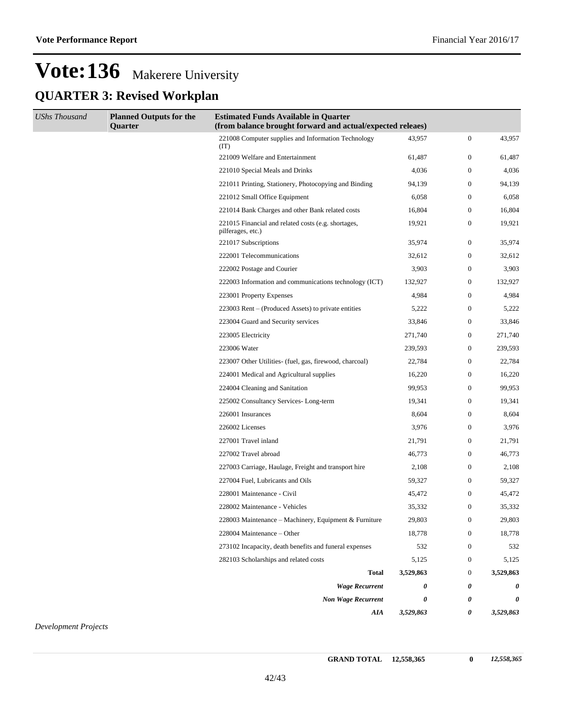## **Vote:136** Makerere University **QUARTER 3: Revised Workplan**

| <b>UShs Thousand</b> | <b>Planned Outputs for the</b><br>Quarter | <b>Estimated Funds Available in Quarter</b><br>(from balance brought forward and actual/expected releaes) |           |                  |           |
|----------------------|-------------------------------------------|-----------------------------------------------------------------------------------------------------------|-----------|------------------|-----------|
|                      |                                           | 221008 Computer supplies and Information Technology<br>(TT)                                               | 43,957    | $\boldsymbol{0}$ | 43,957    |
|                      |                                           | 221009 Welfare and Entertainment                                                                          | 61,487    | $\boldsymbol{0}$ | 61,487    |
|                      |                                           | 221010 Special Meals and Drinks                                                                           | 4,036     | $\boldsymbol{0}$ | 4,036     |
|                      |                                           | 221011 Printing, Stationery, Photocopying and Binding                                                     | 94,139    | $\boldsymbol{0}$ | 94,139    |
|                      |                                           | 221012 Small Office Equipment                                                                             | 6,058     | $\boldsymbol{0}$ | 6,058     |
|                      |                                           | 221014 Bank Charges and other Bank related costs                                                          | 16,804    | $\boldsymbol{0}$ | 16,804    |
|                      |                                           | 221015 Financial and related costs (e.g. shortages,<br>pilferages, etc.)                                  | 19,921    | $\boldsymbol{0}$ | 19,921    |
|                      |                                           | 221017 Subscriptions                                                                                      | 35,974    | $\boldsymbol{0}$ | 35,974    |
|                      |                                           | 222001 Telecommunications                                                                                 | 32,612    | $\boldsymbol{0}$ | 32,612    |
|                      |                                           | 222002 Postage and Courier                                                                                | 3,903     | $\boldsymbol{0}$ | 3,903     |
|                      |                                           | 222003 Information and communications technology (ICT)                                                    | 132,927   | $\boldsymbol{0}$ | 132,927   |
|                      |                                           | 223001 Property Expenses                                                                                  | 4,984     | $\boldsymbol{0}$ | 4,984     |
|                      |                                           | 223003 Rent – (Produced Assets) to private entities                                                       | 5,222     | $\boldsymbol{0}$ | 5,222     |
|                      |                                           | 223004 Guard and Security services                                                                        | 33,846    | $\boldsymbol{0}$ | 33,846    |
|                      |                                           | 223005 Electricity                                                                                        | 271,740   | $\boldsymbol{0}$ | 271,740   |
|                      |                                           | 223006 Water                                                                                              | 239,593   | $\boldsymbol{0}$ | 239,593   |
|                      |                                           | 223007 Other Utilities- (fuel, gas, firewood, charcoal)                                                   | 22,784    | $\boldsymbol{0}$ | 22,784    |
|                      |                                           | 224001 Medical and Agricultural supplies                                                                  | 16,220    | $\boldsymbol{0}$ | 16,220    |
|                      |                                           | 224004 Cleaning and Sanitation                                                                            | 99,953    | $\boldsymbol{0}$ | 99,953    |
|                      |                                           | 225002 Consultancy Services-Long-term                                                                     | 19,341    | $\boldsymbol{0}$ | 19,341    |
|                      |                                           | 226001 Insurances                                                                                         | 8,604     | $\boldsymbol{0}$ | 8,604     |
|                      |                                           | 226002 Licenses                                                                                           | 3,976     | $\boldsymbol{0}$ | 3,976     |
|                      |                                           | 227001 Travel inland                                                                                      | 21,791    | $\boldsymbol{0}$ | 21,791    |
|                      |                                           | 227002 Travel abroad                                                                                      | 46,773    | $\boldsymbol{0}$ | 46,773    |
|                      |                                           | 227003 Carriage, Haulage, Freight and transport hire                                                      | 2,108     | $\boldsymbol{0}$ | 2,108     |
|                      |                                           | 227004 Fuel, Lubricants and Oils                                                                          | 59,327    | $\boldsymbol{0}$ | 59,327    |
|                      |                                           | 228001 Maintenance - Civil                                                                                | 45,472    | $\boldsymbol{0}$ | 45,472    |
|                      |                                           | 228002 Maintenance - Vehicles                                                                             | 35,332    | $\boldsymbol{0}$ | 35,332    |
|                      |                                           | 228003 Maintenance – Machinery, Equipment & Furniture                                                     | 29,803    | $\mathbf{0}$     | 29,803    |
|                      |                                           | 228004 Maintenance – Other                                                                                | 18,778    | $\mathbf{0}$     | 18,778    |
|                      |                                           | 273102 Incapacity, death benefits and funeral expenses                                                    | 532       | $\boldsymbol{0}$ | 532       |
|                      |                                           | 282103 Scholarships and related costs                                                                     | 5,125     | $\boldsymbol{0}$ | 5,125     |
|                      |                                           | <b>Total</b>                                                                                              | 3,529,863 | $\mathbf{0}$     | 3,529,863 |
|                      |                                           | <b>Wage Recurrent</b>                                                                                     | 0         | 0                | 0         |
|                      |                                           | <b>Non Wage Recurrent</b>                                                                                 | 0         | 0                | 0         |
|                      |                                           | AIA                                                                                                       | 3,529,863 | 0                | 3,529,863 |

*Development Projects*